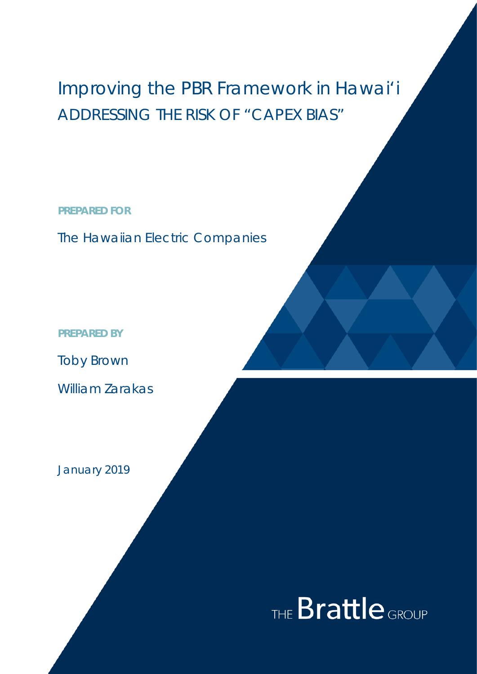## Improving the PBR Framework in Hawai'i ADDRESSING THE RISK OF "CAPEX BIAS"

NEW YORK

SAN FRANCISCO

TORONTO

**PREPARED FOR**

The Hawaiian Electric Companies

**PREPARED BY**

Toby Brown

William Zarakas

January 2019

# THE **Brattle** GROUP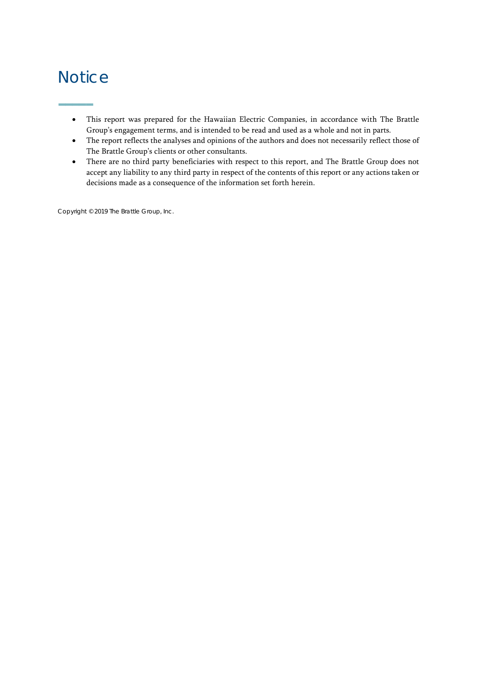### **Notice**

**–––––**

- This report was prepared for the Hawaiian Electric Companies, in accordance with The Brattle Group's engagement terms, and is intended to be read and used as a whole and not in parts.
- The report reflects the analyses and opinions of the authors and does not necessarily reflect those of The Brattle Group's clients or other consultants.
- There are no third party beneficiaries with respect to this report, and The Brattle Group does not accept any liability to any third party in respect of the contents of this report or any actions taken or decisions made as a consequence of the information set forth herein.

Copyright © 2019 The Brattle Group, Inc.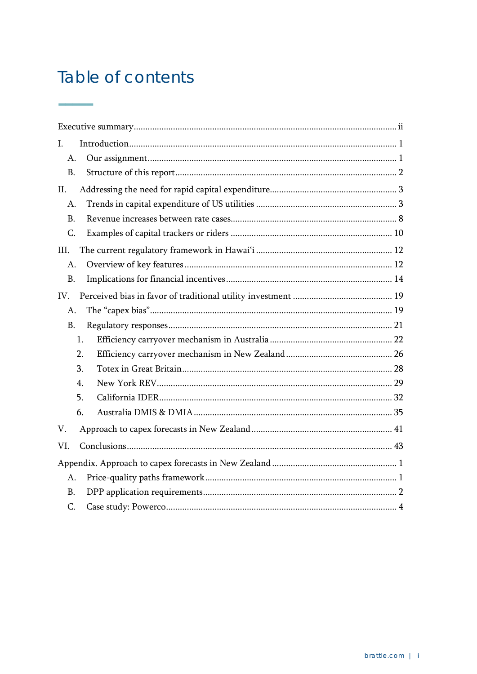### Table of contents

 $\sim$ 

| $\mathbf{I}$ . |  |
|----------------|--|
| A.             |  |
| <b>B.</b>      |  |
| II.            |  |
| A.             |  |
| <b>B.</b>      |  |
| C.             |  |
| III.           |  |
| A.             |  |
| <b>B.</b>      |  |
| IV.            |  |
| A.             |  |
| <b>B.</b>      |  |
| 1.             |  |
| 2.             |  |
| 3.             |  |
| 4.             |  |
| 5.             |  |
| 6.             |  |
| V.             |  |
| VI.            |  |
|                |  |
| A.             |  |
| <b>B.</b>      |  |
| C.             |  |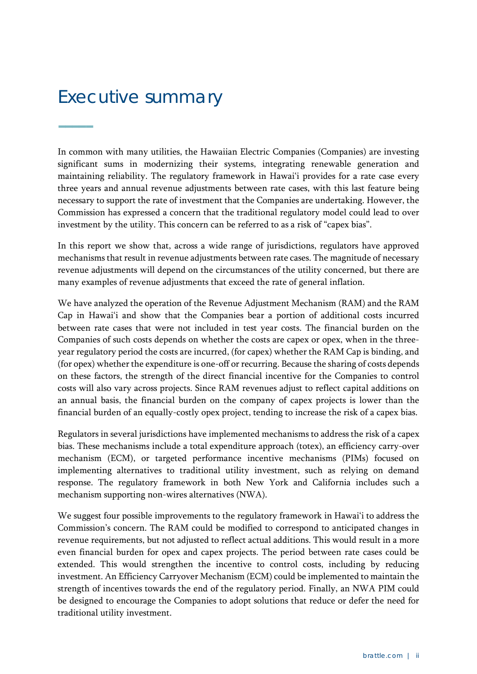## <span id="page-3-0"></span>Executive summary

**–––––**

In common with many utilities, the Hawaiian Electric Companies (Companies) are investing significant sums in modernizing their systems, integrating renewable generation and maintaining reliability. The regulatory framework in Hawai'i provides for a rate case every three years and annual revenue adjustments between rate cases, with this last feature being necessary to support the rate of investment that the Companies are undertaking. However, the Commission has expressed a concern that the traditional regulatory model could lead to over investment by the utility. This concern can be referred to as a risk of "capex bias".

revenue adjustments will depend on the circumstances of the utility concerned, but there are In this report we show that, across a wide range of jurisdictions, regulators have approved mechanisms that result in revenue adjustments between rate cases. The magnitude of necessary many examples of revenue adjustments that exceed the rate of general inflation.

We have analyzed the operation of the Revenue Adjustment Mechanism (RAM) and the RAM Cap in Hawai'i and show that the Companies bear a portion of additional costs incurred between rate cases that were not included in test year costs. The financial burden on the Companies of such costs depends on whether the costs are capex or opex, when in the threeyear regulatory period the costs are incurred, (for capex) whether the RAM Cap is binding, and (for opex) whether the expenditure is one-off or recurring. Because the sharing of costs depends on these factors, the strength of the direct financial incentive for the Companies to control costs will also vary across projects. Since RAM revenues adjust to reflect capital additions on an annual basis, the financial burden on the company of capex projects is lower than the financial burden of an equally-costly opex project, tending to increase the risk of a capex bias.

Regulators in several jurisdictions have implemented mechanisms to address the risk of a capex bias. These mechanisms include a total expenditure approach (totex), an efficiency carry-over mechanism (ECM), or targeted performance incentive mechanisms (PIMs) focused on implementing alternatives to traditional utility investment, such as relying on demand response. The regulatory framework in both New York and California includes such a mechanism supporting non-wires alternatives (NWA).

We suggest four possible improvements to the regulatory framework in Hawai'i to address the Commission's concern. The RAM could be modified to correspond to anticipated changes in revenue requirements, but not adjusted to reflect actual additions. This would result in a more even financial burden for opex and capex projects. The period between rate cases could be extended. This would strengthen the incentive to control costs, including by reducing investment. An Efficiency Carryover Mechanism (ECM) could be implemented to maintain the strength of incentives towards the end of the regulatory period. Finally, an NWA PIM could be designed to encourage the Companies to adopt solutions that reduce or defer the need for traditional utility investment.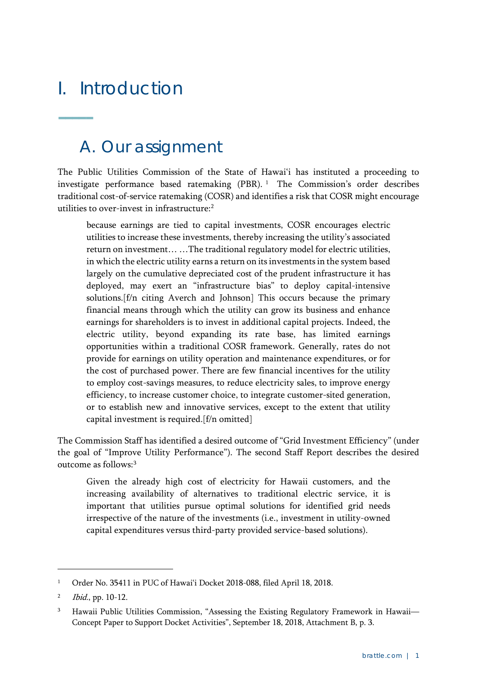## <span id="page-4-0"></span>I. Introduction

<span id="page-4-1"></span>**–––––**

### A. Our assignment

The Public Utilities Commission of the State of Hawai'i has instituted a proceeding to investigate performance based ratemaking (PBR). [1](#page-4-2) The Commission's order describes traditional cost-of-service ratemaking (COSR) and identifies a risk that COSR might encourage utilities to over-invest in infrastructure:<sup>[2](#page-4-3)</sup>

because earnings are tied to capital investments, COSR encourages electric utilities to increase these investments, thereby increasing the utility's associated return on investment… …The traditional regulatory model for electric utilities, in which the electric utility earns a return on its investments in the system based largely on the cumulative depreciated cost of the prudent infrastructure it has deployed, may exert an "infrastructure bias" to deploy capital-intensive solutions.[f/n citing Averch and Johnson] This occurs because the primary financial means through which the utility can grow its business and enhance earnings for shareholders is to invest in additional capital projects. Indeed, the electric utility, beyond expanding its rate base, has limited earnings opportunities within a traditional COSR framework. Generally, rates do not provide for earnings on utility operation and maintenance expenditures, or for the cost of purchased power. There are few financial incentives for the utility to employ cost-savings measures, to reduce electricity sales, to improve energy efficiency, to increase customer choice, to integrate customer-sited generation, or to establish new and innovative services, except to the extent that utility capital investment is required.[f/n omitted]

The Commission Staff has identified a desired outcome of "Grid Investment Efficiency" (under the goal of "Improve Utility Performance"). The second Staff Report describes the desired outcome as follows:[3](#page-4-4)

Given the already high cost of electricity for Hawaii customers, and the increasing availability of alternatives to traditional electric service, it is important that utilities pursue optimal solutions for identified grid needs irrespective of the nature of the investments (i.e., investment in utility-owned capital expenditures versus third-party provided service-based solutions).

<span id="page-4-2"></span><sup>&</sup>lt;sup>1</sup> Order No. 35411 in PUC of Hawai'i Docket 2018-088, filed April 18, 2018.

<span id="page-4-3"></span><sup>2</sup> Ibid., pp. 10-12.

<span id="page-4-4"></span><sup>&</sup>lt;sup>3</sup> Hawaii Public Utilities Commission, "Assessing the Existing Regulatory Framework in Hawaii-Concept Paper to Support Docket Activities", September 18, 2018, Attachment B, p. 3.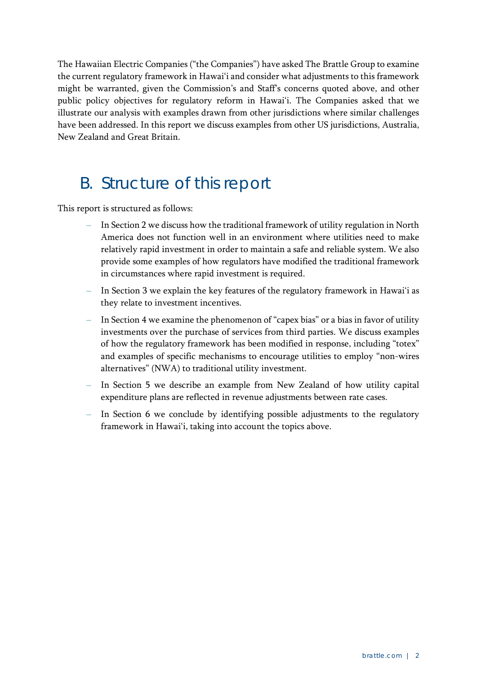The Hawaiian Electric Companies ("the Companies") have asked The Brattle Group to examine the current regulatory framework in Hawai'i and consider what adjustments to this framework might be warranted, given the Commission's and Staff's concerns quoted above, and other public policy objectives for regulatory reform in Hawai'i. The Companies asked that we illustrate our analysis with examples drawn from other jurisdictions where similar challenges have been addressed. In this report we discuss examples from other US jurisdictions, Australia, New Zealand and Great Britain.

### <span id="page-5-0"></span>B. Structure of this report

This report is structured as follows:

- **–** In Section 2 we discuss how the traditional framework of utility regulation in North America does not function well in an environment where utilities need to make relatively rapid investment in order to maintain a safe and reliable system. We also provide some examples of how regulators have modified the traditional framework in circumstances where rapid investment is required.
- **–** In Section 3 we explain the key features of the regulatory framework in Hawai'i as they relate to investment incentives.
- **–** In Section 4 we examine the phenomenon of "capex bias" or a bias in favor of utility investments over the purchase of services from third parties. We discuss examples of how the regulatory framework has been modified in response, including "totex" and examples of specific mechanisms to encourage utilities to employ "non-wires alternatives" (NWA) to traditional utility investment.
- **–** In Section 5 we describe an example from New Zealand of how utility capital expenditure plans are reflected in revenue adjustments between rate cases.
- **–** In Section 6 we conclude by identifying possible adjustments to the regulatory framework in Hawai'i, taking into account the topics above.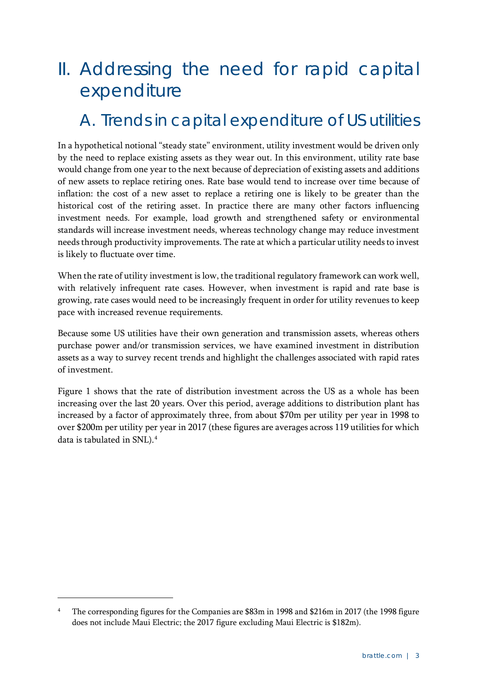## <span id="page-6-0"></span>II. Addressing the need for rapid capital expenditure

### <span id="page-6-1"></span>A. Trends in capital expenditure of US utilities

In a hypothetical notional "steady state" environment, utility investment would be driven only by the need to replace existing assets as they wear out. In this environment, utility rate base would change from one year to the next because of depreciation of existing assets and additions of new assets to replace retiring ones. Rate base would tend to increase over time because of inflation: the cost of a new asset to replace a retiring one is likely to be greater than the historical cost of the retiring asset. In practice there are many other factors influencing investment needs. For example, load growth and strengthened safety or environmental standards will increase investment needs, whereas technology change may reduce investment needs through productivity improvements. The rate at which a particular utility needs to invest is likely to fluctuate over time.

When the rate of utility investment is low, the traditional regulatory framework can work well, with relatively infrequent rate cases. However, when investment is rapid and rate base is growing, rate cases would need to be increasingly frequent in order for utility revenues to keep pace with increased revenue requirements.

Because some US utilities have their own generation and transmission assets, whereas others purchase power and/or transmission services, we have examined investment in distribution assets as a way to survey recent trends and highlight the challenges associated with rapid rates of investment.

[Figure 1](#page-7-0) shows that the rate of distribution investment across the US as a whole has been increasing over the last 20 years. Over this period, average additions to distribution plant has increased by a factor of approximately three, from about \$70m per utility per year in 1998 to over \$200m per utility per year in 2017 (these figures are averages across 119 utilities for which data is tabulated in SNL).[4](#page-6-2)

<span id="page-6-2"></span><sup>4</sup> The corresponding figures for the Companies are \$83m in 1998 and \$216m in 2017 (the 1998 figure does not include Maui Electric; the 2017 figure excluding Maui Electric is \$182m).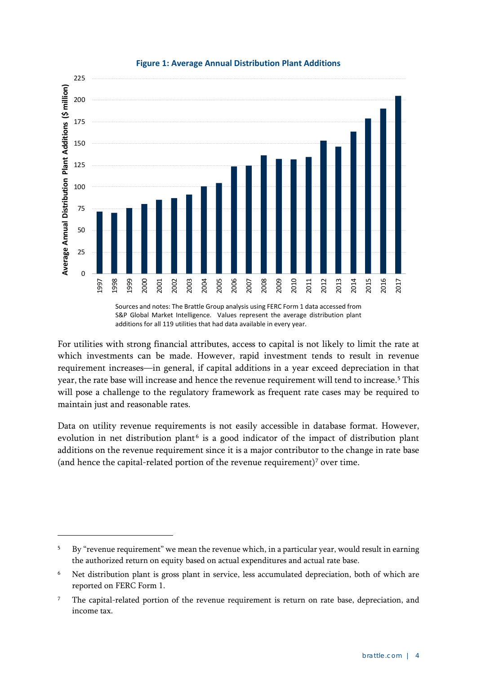<span id="page-7-0"></span>

#### **Figure 1: Average Annual Distribution Plant Additions**

For utilities with strong financial attributes, access to capital is not likely to limit the rate at which investments can be made. However, rapid investment tends to result in revenue requirement increases—in general, if capital additions in a year exceed depreciation in that year, the rate base will increase and hence the revenue requirement will tend to increase.<sup>[5](#page-7-1)</sup> This will pose a challenge to the regulatory framework as frequent rate cases may be required to maintain just and reasonable rates.

Data on utility revenue requirements is not easily accessible in database format. However, evolution in net distribution plant<sup> $6$ </sup> is a good indicator of the impact of distribution plant additions on the revenue requirement since it is a major contributor to the change in rate base (and hence the capital-related portion of the revenue requirement)<sup>[7](#page-7-3)</sup> over time.

<span id="page-7-1"></span><sup>&</sup>lt;sup>5</sup> By "revenue requirement" we mean the revenue which, in a particular year, would result in earning the authorized return on equity based on actual expenditures and actual rate base.

<span id="page-7-2"></span><sup>&</sup>lt;sup>6</sup> Net distribution plant is gross plant in service, less accumulated depreciation, both of which are reported on FERC Form 1.

<span id="page-7-3"></span><sup>&</sup>lt;sup>7</sup> The capital-related portion of the revenue requirement is return on rate base, depreciation, and income tax.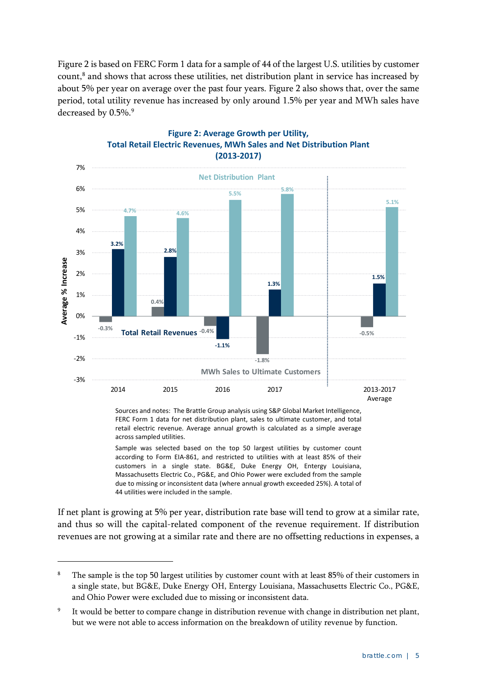[Figure 2](#page-8-0) is based on FERC Form 1 data for a sample of 44 of the largest U.S. utilities by customer count, [8](#page-8-1) and shows that across these utilities, net distribution plant in service has increased by about 5% per year on average over the past four years. [Figure 2](#page-8-0) also shows that, over the same period, total utility revenue has increased by only around 1.5% per year and MWh sales have decreased by 0.5%. [9](#page-8-2)

<span id="page-8-0"></span>

#### **Figure 2: Average Growth per Utility, Total Retail Electric Revenues, MWh Sales and Net Distribution Plant (2013-2017)**

Sources and notes: The Brattle Group analysis using S&P Global Market Intelligence, FERC Form 1 data for net distribution plant, sales to ultimate customer, and total retail electric revenue. Average annual growth is calculated as a simple average across sampled utilities.

Sample was selected based on the top 50 largest utilities by customer count according to Form EIA-861, and restricted to utilities with at least 85% of their customers in a single state. BG&E, Duke Energy OH, Entergy Louisiana, Massachusetts Electric Co., PG&E, and Ohio Power were excluded from the sample due to missing or inconsistent data (where annual growth exceeded 25%). A total of 44 utilities were included in the sample.

If net plant is growing at 5% per year, distribution rate base will tend to grow at a similar rate, and thus so will the capital-related component of the revenue requirement. If distribution revenues are not growing at a similar rate and there are no offsetting reductions in expenses, a

<span id="page-8-1"></span>The sample is the top 50 largest utilities by customer count with at least 85% of their customers in a single state, but BG&E, Duke Energy OH, Entergy Louisiana, Massachusetts Electric Co., PG&E, and Ohio Power were excluded due to missing or inconsistent data.

<span id="page-8-2"></span><sup>&</sup>lt;sup>9</sup> It would be better to compare change in distribution revenue with change in distribution net plant, but we were not able to access information on the breakdown of utility revenue by function.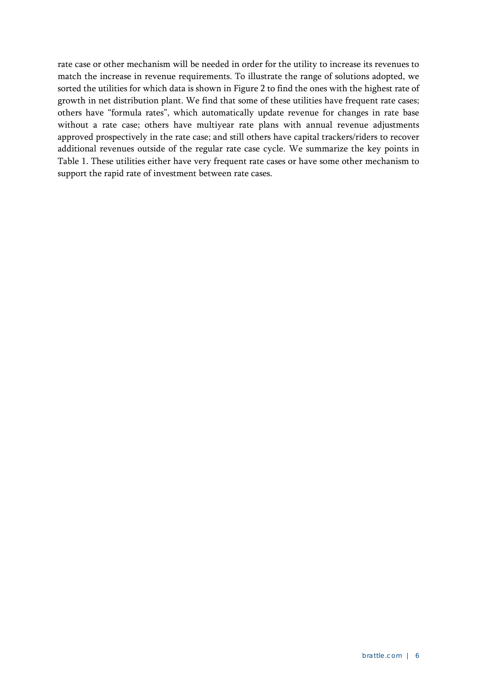rate case or other mechanism will be needed in order for the utility to increase its revenues to match the increase in revenue requirements. To illustrate the range of solutions adopted, we sorted the utilities for which data is shown in [Figure 2](#page-8-0) to find the ones with the highest rate of growth in net distribution plant. We find that some of these utilities have frequent rate cases; others have "formula rates", which automatically update revenue for changes in rate base without a rate case; others have multiyear rate plans with annual revenue adjustments approved prospectively in the rate case; and still others have capital trackers/riders to recover additional revenues outside of the regular rate case cycle. We summarize the key points in [Table 1.](#page-10-0) These utilities either have very frequent rate cases or have some other mechanism to support the rapid rate of investment between rate cases.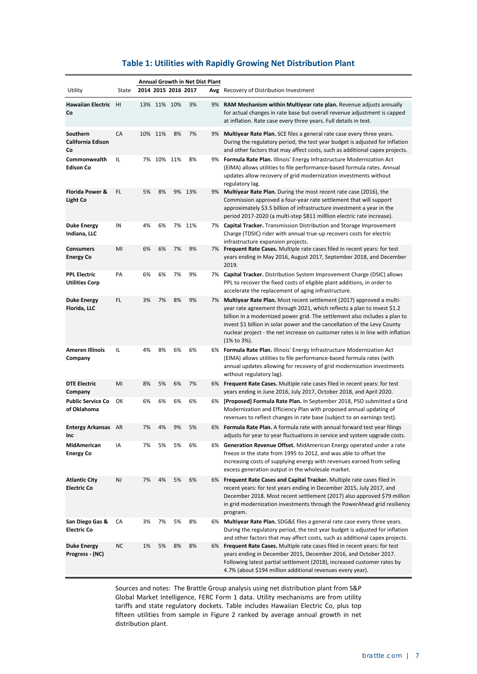#### **Table 1: Utilities with Rapidly Growing Net Distribution Plant**

<span id="page-10-0"></span>

| Annual Growth in Net Dist Plant               |       |    |                     |    |        |     |                                                                                                                                                                                                                                                                                                                                                                                                                |
|-----------------------------------------------|-------|----|---------------------|----|--------|-----|----------------------------------------------------------------------------------------------------------------------------------------------------------------------------------------------------------------------------------------------------------------------------------------------------------------------------------------------------------------------------------------------------------------|
| Utility                                       | State |    | 2014 2015 2016 2017 |    |        | Avg | Recovery of Distribution Investment                                                                                                                                                                                                                                                                                                                                                                            |
| Hawaiian Electric HI<br>Co                    |       |    | 13% 11% 10%         |    | 3%     |     | 9% RAM Mechanism within Multiyear rate plan. Revenue adjusts annually<br>for actual changes in rate base but overall revenue adjustment is capped<br>at inflation. Rate case every three years. Full details in text.                                                                                                                                                                                          |
| Southern<br><b>California Edison</b><br>Co    | CA    |    | 10% 11%             | 8% | 7%     |     | 9% Multiyear Rate Plan. SCE files a general rate case every three years.<br>During the regulatory period, the test year budget is adjusted for inflation<br>and other factors that may affect costs, such as additional capex projects.                                                                                                                                                                        |
| Commonwealth<br><b>Edison Co</b>              | IL    |    | 7% 10% 11%          |    | 8%     |     | 9% Formula Rate Plan. Illinois' Energy Infrastructure Modernization Act<br>(EIMA) allows utilities to file performance-based formula rates. Annual<br>updates allow recovery of grid modernization investments without<br>regulatory lag.                                                                                                                                                                      |
| <b>Florida Power &amp;</b><br><b>Light Co</b> | FL.   | 5% | 8%                  |    | 9% 13% |     | 9% Multiyear Rate Plan. During the most recent rate case (2016), the<br>Commission approved a four-year rate settlement that will support<br>approximately \$3.5 billion of infrastructure investment a year in the<br>period 2017-2020 (a multi-step \$811 milllion electric rate increase).                                                                                                                  |
| <b>Duke Energy</b><br>Indiana, LLC            | IN    | 4% | 6%                  |    | 7% 11% |     | 7% Capital Tracker. Transmission Distribution and Storage Improvement<br>Charge (TDSIC) rider with annual true-up recovers costs for electric<br>infrastructure expansion projects.                                                                                                                                                                                                                            |
| <b>Consumers</b><br><b>Energy Co</b>          | MI    | 6% | 6%                  | 7% | 9%     |     | 7% Frequent Rate Cases. Multiple rate cases filed in recent years: for test<br>years ending in May 2016, August 2017, September 2018, and December<br>2019.                                                                                                                                                                                                                                                    |
| <b>PPL Electric</b><br><b>Utilities Corp</b>  | PA    | 6% | 6%                  | 7% | 9%     |     | 7% <b>Capital Tracker.</b> Distribution System Improvement Charge (DSIC) allows<br>PPL to recover the fixed costs of eligible plant additions, in order to<br>accelerate the replacement of aging infrastructure.                                                                                                                                                                                              |
| <b>Duke Energy</b><br>Florida, LLC            | FL    | 3% | 7%                  | 8% | 9%     |     | 7% Multiyear Rate Plan. Most recent settlement (2017) approved a multi-<br>year rate agreement through 2021, which reflects a plan to invest \$1.2<br>billion in a modernized power grid. The settlement also includes a plan to<br>invest \$1 billion in solar power and the cancellation of the Levy County<br>nuclear project - the net increase on customer rates is in line with inflation<br>(1% to 3%). |
| <b>Ameren Illinois</b><br>Company             | IL    | 4% | 8%                  | 6% | 6%     |     | 6% Formula Rate Plan. Illinois' Energy Infrastructure Modernization Act<br>(EIMA) allows utilities to file performance-based formula rates (with<br>annual updates allowing for recovery of grid modernization investments<br>without regulatory lag).                                                                                                                                                         |
| <b>DTE Electric</b><br>Company                | MI    | 8% | 5%                  | 6% | 7%     |     | 6% Frequent Rate Cases. Multiple rate cases filed in recent years: for test<br>years ending in June 2016, July 2017, October 2018, and April 2020.                                                                                                                                                                                                                                                             |
| <b>Public Service Co</b><br>of Oklahoma       | ОК    | 6% | 6%                  | 6% | 6%     |     | 6% [Proposed] Formula Rate Plan. In September 2018, PSO submitted a Grid<br>Modernization and Efficiency Plan with proposed annual updating of<br>revenues to reflect changes in rate base (subject to an earnings test).                                                                                                                                                                                      |
| <b>Entergy Arkansas</b><br>Inc                | AR    | 7% | 4%                  | 9% | 5%     |     | 6% Formula Rate Plan. A formula rate with annual forward test year filings<br>adjusts for year to year fluctuations in service and system upgrade costs.                                                                                                                                                                                                                                                       |
| MidAmerican<br><b>Energy Co</b>               | ΙA    | 7% | 5%                  | 5% | 6%     |     | 6% Generation Revenue Offset. MidAmerican Energy operated under a rate<br>freeze in the state from 1995 to 2012, and was able to offset the<br>increasing costs of supplying energy with revenues earned from selling<br>excess generation output in the wholesale market.                                                                                                                                     |
| <b>Atlantic City</b><br><b>Electric Co</b>    | NJ    | 7% | 4%                  | 5% | 6%     |     | 6% Frequent Rate Cases and Capital Tracker. Multiple rate cases filed in<br>recent years: for test years ending in December 2015, July 2017, and<br>December 2018. Most recent settlement (2017) also approved \$79 million<br>in grid modernization investments through the PowerAhead grid resiliency<br>program.                                                                                            |
| San Diego Gas &<br><b>Electric Co</b>         | СA    | 3% | 7%                  | 5% | 8%     |     | 6% Multiyear Rate Plan. SDG&E files a general rate case every three years.<br>During the regulatory period, the test year budget is adjusted for inflation<br>and other factors that may affect costs, such as additional capex projects.                                                                                                                                                                      |
| <b>Duke Energy</b><br>Progress - (NC)         | NС    | 1% | 5%                  | 8% | 8%     |     | 6% Frequent Rate Cases. Multiple rate cases filed in recent years: for test<br>years ending in December 2015, December 2016, and October 2017.<br>Following latest partial settlement (2018), increased customer rates by<br>4.7% (about \$194 million additional revenues every year).                                                                                                                        |

Sources and notes: The Brattle Group analysis using net distribution plant from S&P Global Market Intelligence, FERC Form 1 data. Utility mechanisms are from utility tariffs and state regulatory dockets. Table includes Hawaiian Electric Co, plus top fifteen utilities from sample in [Figure 2](#page-8-0) ranked by average annual growth in net distribution plant.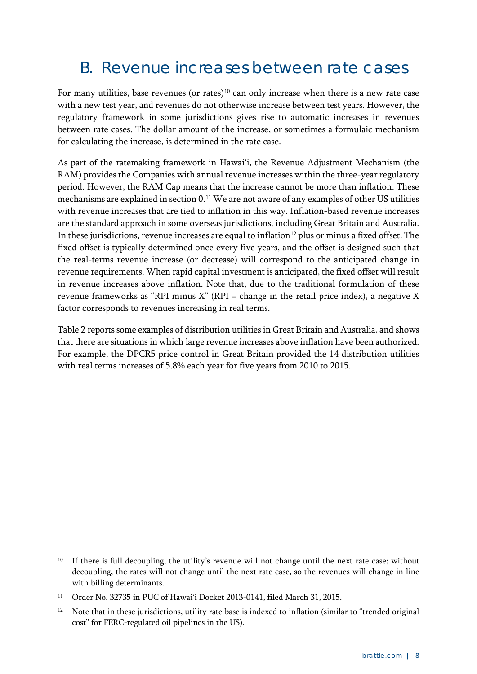### <span id="page-11-0"></span>B. Revenue increases between rate cases

For many utilities, base revenues (or rates)<sup>[10](#page-11-1)</sup> can only increase when there is a new rate case with a new test year, and revenues do not otherwise increase between test years. However, the regulatory framework in some jurisdictions gives rise to automatic increases in revenues between rate cases. The dollar amount of the increase, or sometimes a formulaic mechanism for calculating the increase, is determined in the rate case.

As part of the ratemaking framework in Hawai'i, the Revenue Adjustment Mechanism (the RAM) provides the Companies with annual revenue increases within the three-year regulatory period. However, the RAM Cap means that the increase cannot be more than inflation. These mechanisms are explained in sectio[n 0.](#page-14-0) [11](#page-11-2) We are not aware of any examples of other US utilities with revenue increases that are tied to inflation in this way. Inflation-based revenue increases are the standard approach in some overseas jurisdictions, including Great Britain and Australia. In these jurisdictions, revenue increases are equal to inflation<sup>[12](#page-11-3)</sup> plus or minus a fixed offset. The fixed offset is typically determined once every five years, and the offset is designed such that the real-terms revenue increase (or decrease) will correspond to the anticipated change in revenue requirements. When rapid capital investment is anticipated, the fixed offset will result in revenue increases above inflation. Note that, due to the traditional formulation of these revenue frameworks as "RPI minus  $X$ " (RPI = change in the retail price index), a negative X factor corresponds to revenues increasing in real terms.

[Table 2](#page-12-0) reports some examples of distribution utilities in Great Britain and Australia, and shows that there are situations in which large revenue increases above inflation have been authorized. For example, the DPCR5 price control in Great Britain provided the 14 distribution utilities with real terms increases of 5.8% each year for five years from 2010 to 2015.

<span id="page-11-1"></span><sup>&</sup>lt;sup>10</sup> If there is full decoupling, the utility's revenue will not change until the next rate case; without decoupling, the rates will not change until the next rate case, so the revenues will change in line with billing determinants.

<span id="page-11-2"></span><sup>11</sup> Order No. 32735 in PUC of Hawai'i Docket 2013-0141, filed March 31, 2015.

<span id="page-11-3"></span>Note that in these jurisdictions, utility rate base is indexed to inflation (similar to "trended original cost" for FERC-regulated oil pipelines in the US).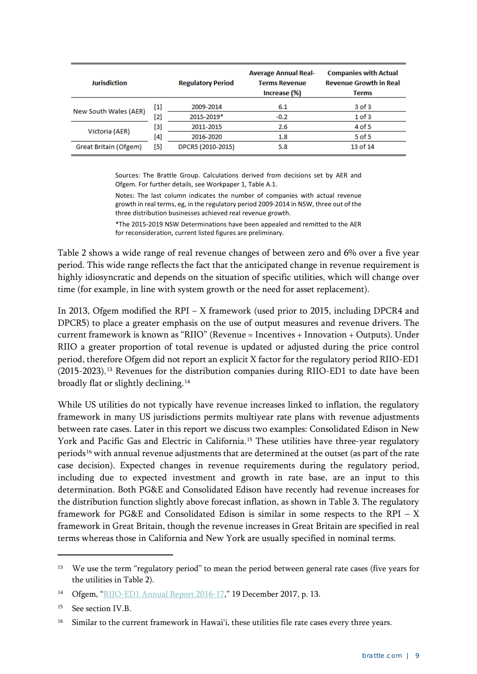<span id="page-12-0"></span>

| Jurisdiction          |       | <b>Regulatory Period</b> | <b>Average Annual Real-</b><br><b>Terms Revenue</b><br>Increase (%) | <b>Companies with Actual</b><br><b>Revenue Growth in Real</b><br>Terms |
|-----------------------|-------|--------------------------|---------------------------------------------------------------------|------------------------------------------------------------------------|
|                       | $[1]$ | 2009-2014                | 6.1                                                                 | $3$ of $3$                                                             |
| New South Wales (AER) | [2]   | 2015-2019*               | $-0.2$                                                              | $1$ of $3$                                                             |
|                       | [3]   | 2011-2015                | 2.6                                                                 | 4 of 5                                                                 |
| Victoria (AER)        | [4]   | 2016-2020                | 1.8                                                                 | $5$ of $5$                                                             |
| Great Britain (Ofgem) | [5]   | DPCR5 (2010-2015)        | 5.8                                                                 | 13 of 14                                                               |

Sources: The Brattle Group. Calculations derived from decisions set by AER and Ofgem. For further details, see Workpaper 1, Table A.1.

Notes: The last column indicates the number of companies with actual revenue growth in real terms, eg, in the regulatory period 2009-2014 in NSW, three out of the three distribution businesses achieved real revenue growth.

\*The 2015-2019 NSW Determinations have been appealed and remitted to the AER for reconsideration, current listed figures are preliminary.

[Table 2](#page-12-0) shows a wide range of real revenue changes of between zero and 6% over a five year period. This wide range reflects the fact that the anticipated change in revenue requirement is highly idiosyncratic and depends on the situation of specific utilities, which will change over time (for example, in line with system growth or the need for asset replacement).

In 2013, Ofgem modified the RPI – X framework (used prior to 2015, including DPCR4 and DPCR5) to place a greater emphasis on the use of output measures and revenue drivers. The current framework is known as "RIIO" (Revenue = Incentives + Innovation + Outputs). Under RIIO a greater proportion of total revenue is updated or adjusted during the price control period, therefore Ofgem did not report an explicit X factor for the regulatory period RIIO-ED1 (2015-2023). [13](#page-12-1) Revenues for the distribution companies during RIIO-ED1 to date have been broadly flat or slightly declining.<sup>[14](#page-12-2)</sup>

While US utilities do not typically have revenue increases linked to inflation, the regulatory framework in many US jurisdictions permits multiyear rate plans with revenue adjustments between rate cases. Later in this report we discuss two examples: Consolidated Edison in New York and Pacific Gas and Electric in California.<sup>[15](#page-12-3)</sup> These utilities have three-year regulatory periods<sup>[16](#page-12-4)</sup> with annual revenue adjustments that are determined at the outset (as part of the rate case decision). Expected changes in revenue requirements during the regulatory period, including due to expected investment and growth in rate base, are an input to this determination. Both PG&E and Consolidated Edison have recently had revenue increases for the distribution function slightly above forecast inflation, as shown in [Table 3.](#page-13-1) The regulatory framework for PG&E and Consolidated Edison is similar in some respects to the RPI –  $X$ framework in Great Britain, though the revenue increases in Great Britain are specified in real terms whereas those in California and New York are usually specified in nominal terms.

<span id="page-12-1"></span><sup>&</sup>lt;sup>13</sup> We use the term "regulatory period" to mean the period between general rate cases (five years for the utilities in [Table 2\)](#page-12-0).

<span id="page-12-2"></span><sup>14</sup> Ofgem, ["RIIO-ED1 Annual Report 2016-17,](https://www.ofgem.gov.uk/system/files/docs/2017/12/riio-ed1_annual_report_2016-17.pdf)" 19 December 2017, p. 13.

<span id="page-12-3"></span><sup>15</sup> See section [IV.B.](#page-24-0)

<span id="page-12-4"></span><sup>&</sup>lt;sup>16</sup> Similar to the current framework in Hawai'i, these utilities file rate cases every three years.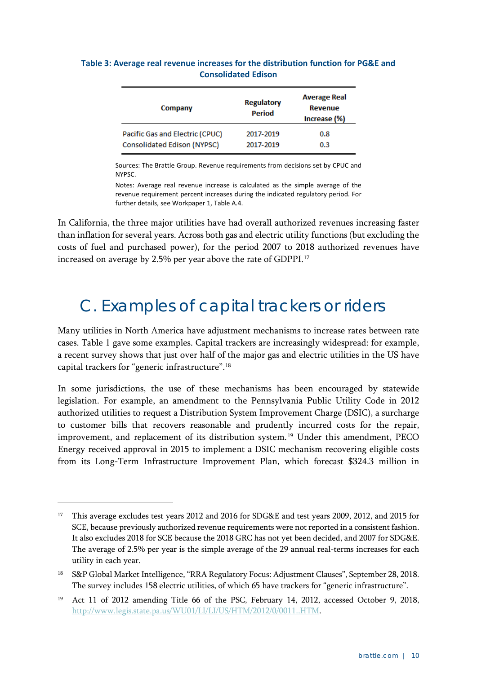| Company                         | <b>Regulatory</b><br><b>Period</b> | <b>Average Real</b><br><b>Revenue</b><br>Increase (%) |
|---------------------------------|------------------------------------|-------------------------------------------------------|
| Pacific Gas and Electric (CPUC) | 2017-2019                          | 0.8                                                   |
| Consolidated Edison (NYPSC)     | 2017-2019                          | 0.3                                                   |

#### <span id="page-13-1"></span>**Table 3: Average real revenue increases for the distribution function for PG&E and Consolidated Edison**

Sources: The Brattle Group. Revenue requirements from decisions set by CPUC and NYPSC.

Notes: Average real revenue increase is calculated as the simple average of the revenue requirement percent increases during the indicated regulatory period. For further details, see Workpaper 1, Table A.4.

In California, the three major utilities have had overall authorized revenues increasing faster than inflation for several years. Across both gas and electric utility functions (but excluding the costs of fuel and purchased power), for the period 2007 to 2018 authorized revenues have increased on average by 2.5% per year above the rate of GDPPI.[17](#page-13-2)

### <span id="page-13-0"></span>C. Examples of capital trackers or riders

Many utilities in North America have adjustment mechanisms to increase rates between rate cases. [Table 1](#page-10-0) gave some examples. Capital trackers are increasingly widespread: for example, a recent survey shows that just over half of the major gas and electric utilities in the US have capital trackers for "generic infrastructure".[18](#page-13-3)

In some jurisdictions, the use of these mechanisms has been encouraged by statewide legislation. For example, an amendment to the Pennsylvania Public Utility Code in 2012 authorized utilities to request a Distribution System Improvement Charge (DSIC), a surcharge to customer bills that recovers reasonable and prudently incurred costs for the repair, improvement, and replacement of its distribution system. [19](#page-13-4) Under this amendment, PECO Energy received approval in 2015 to implement a DSIC mechanism recovering eligible costs from its Long-Term Infrastructure Improvement Plan, which forecast \$324.3 million in

<span id="page-13-2"></span><sup>&</sup>lt;sup>17</sup> This average excludes test years 2012 and 2016 for SDG&E and test years 2009, 2012, and 2015 for SCE, because previously authorized revenue requirements were not reported in a consistent fashion. It also excludes 2018 for SCE because the 2018 GRC has not yet been decided, and 2007 for SDG&E. The average of 2.5% per year is the simple average of the 29 annual real-terms increases for each utility in each year.

<span id="page-13-3"></span><sup>18</sup> S&P Global Market Intelligence, "RRA Regulatory Focus: Adjustment Clauses", September 28, 2018. The survey includes 158 electric utilities, of which 65 have trackers for "generic infrastructure".

<span id="page-13-4"></span><sup>&</sup>lt;sup>19</sup> Act 11 of 2012 amending Title 66 of the PSC, February 14, 2012, accessed October 9, 2018, [http://www.legis.state.pa.us/WU01/LI/LI/US/HTM/2012/0/0011..HTM.](http://www.legis.state.pa.us/WU01/LI/LI/US/HTM/2012/0/0011..HTM)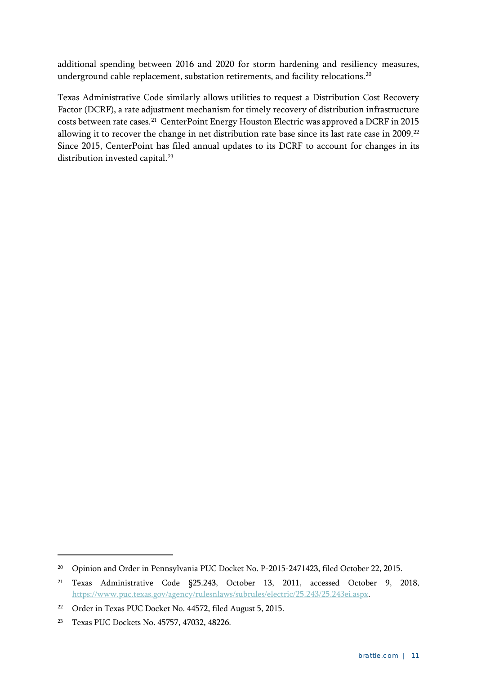additional spending between 2016 and 2020 for storm hardening and resiliency measures, underground cable replacement, substation retirements, and facility relocations.<sup>20</sup>

<span id="page-14-0"></span>Texas Administrative Code similarly allows utilities to request a Distribution Cost Recovery Factor (DCRF), a rate adjustment mechanism for timely recovery of distribution infrastructure costs between rate cases.[21](#page-14-2) CenterPoint Energy Houston Electric was approved a DCRF in 2015 allowing it to recover the change in net distribution rate base since its last rate case in 2009.<sup>[22](#page-14-3)</sup> Since 2015, CenterPoint has filed annual updates to its DCRF to account for changes in its distribution invested capital.<sup>[23](#page-14-4)</sup>

<span id="page-14-1"></span><sup>&</sup>lt;sup>20</sup> Opinion and Order in Pennsylvania PUC Docket No. P-2015-2471423, filed October 22, 2015.

<span id="page-14-2"></span><sup>21</sup> Texas Administrative Code §25.243, October 13, 2011, accessed October 9, 2018, [https://www.puc.texas.gov/agency/rulesnlaws/subrules/electric/25.243/25.243ei.aspx.](https://www.puc.texas.gov/agency/rulesnlaws/subrules/electric/25.243/25.243ei.aspx)

<span id="page-14-3"></span><sup>22</sup> Order in Texas PUC Docket No. 44572, filed August 5, 2015.

<span id="page-14-4"></span><sup>23</sup> Texas PUC Dockets No. 45757, 47032, 48226.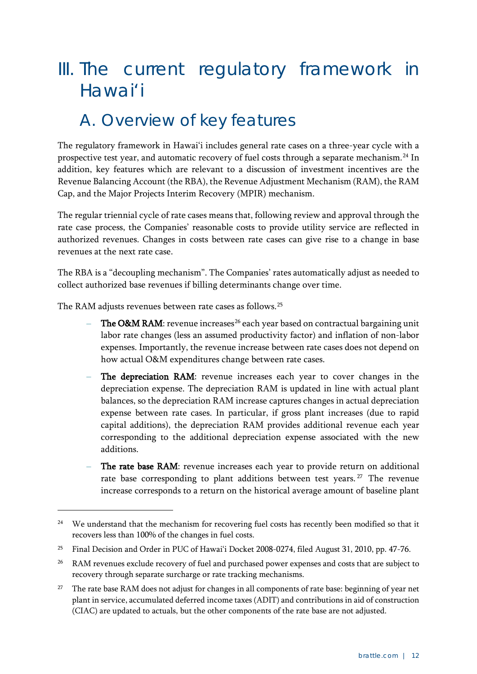## <span id="page-15-0"></span>III. The current regulatory framework in Hawai'i

## <span id="page-15-1"></span>A. Overview of key features

The regulatory framework in Hawai'i includes general rate cases on a three-year cycle with a prospective test year, and automatic recovery of fuel costs through a separate mechanism.<sup>[24](#page-15-2)</sup> In addition, key features which are relevant to a discussion of investment incentives are the Revenue Balancing Account (the RBA), the Revenue Adjustment Mechanism (RAM), the RAM Cap, and the Major Projects Interim Recovery (MPIR) mechanism.

The regular triennial cycle of rate cases means that, following review and approval through the rate case process, the Companies' reasonable costs to provide utility service are reflected in authorized revenues. Changes in costs between rate cases can give rise to a change in base revenues at the next rate case.

The RBA is a "decoupling mechanism". The Companies' rates automatically adjust as needed to collect authorized base revenues if billing determinants change over time.

The RAM adjusts revenues between rate cases as follows.[25](#page-15-3)

- The O&M RAM: revenue increases<sup>[26](#page-15-4)</sup> each year based on contractual bargaining unit labor rate changes (less an assumed productivity factor) and inflation of non-labor expenses. Importantly, the revenue increase between rate cases does not depend on how actual O&M expenditures change between rate cases.
- The depreciation RAM: revenue increases each year to cover changes in the depreciation expense. The depreciation RAM is updated in line with actual plant balances, so the depreciation RAM increase captures changes in actual depreciation expense between rate cases. In particular, if gross plant increases (due to rapid capital additions), the depreciation RAM provides additional revenue each year corresponding to the additional depreciation expense associated with the new additions.
- The rate base RAM: revenue increases each year to provide return on additional rate base corresponding to plant additions between test years.<sup>[27](#page-15-5)</sup> The revenue increase corresponds to a return on the historical average amount of baseline plant

<span id="page-15-2"></span><sup>&</sup>lt;sup>24</sup> We understand that the mechanism for recovering fuel costs has recently been modified so that it recovers less than 100% of the changes in fuel costs.

<span id="page-15-3"></span><sup>&</sup>lt;sup>25</sup> Final Decision and Order in PUC of Hawai'i Docket 2008-0274, filed August 31, 2010, pp. 47-76.

<span id="page-15-4"></span><sup>&</sup>lt;sup>26</sup> RAM revenues exclude recovery of fuel and purchased power expenses and costs that are subject to recovery through separate surcharge or rate tracking mechanisms.

<span id="page-15-5"></span><sup>&</sup>lt;sup>27</sup> The rate base RAM does not adjust for changes in all components of rate base: beginning of year net plant in service, accumulated deferred income taxes (ADIT) and contributions in aid of construction (CIAC) are updated to actuals, but the other components of the rate base are not adjusted.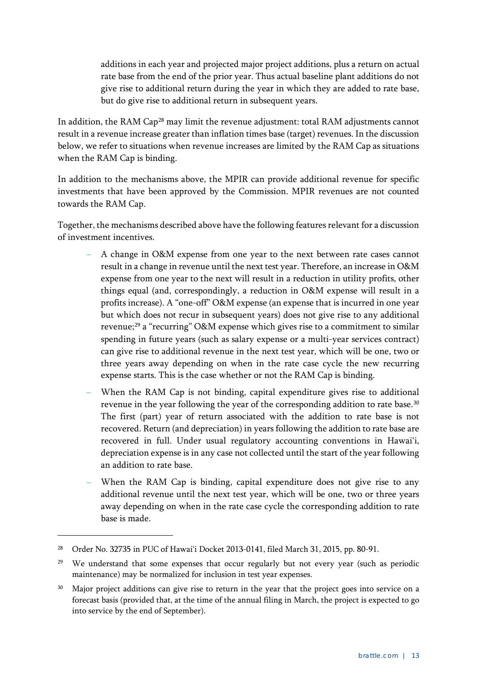additions in each year and projected major project additions, plus a return on actual rate base from the end of the prior year. Thus actual baseline plant additions do not give rise to additional return during the year in which they are added to rate base, but do give rise to additional return in subsequent years.

In addition, the RAM Cap<sup>[28](#page-16-0)</sup> may limit the revenue adjustment: total RAM adjustments cannot result in a revenue increase greater than inflation times base (target) revenues. In the discussion below, we refer to situations when revenue increases are limited by the RAM Cap as situations when the RAM Cap is binding.

In addition to the mechanisms above, the MPIR can provide additional revenue for specific investments that have been approved by the Commission. MPIR revenues are not counted towards the RAM Cap.

Together, the mechanisms described above have the following features relevant for a discussion of investment incentives.

- **–** A change in O&M expense from one year to the next between rate cases cannot result in a change in revenue until the next test year. Therefore, an increase in O&M expense from one year to the next will result in a reduction in utility profits, other things equal (and, correspondingly, a reduction in O&M expense will result in a profits increase). A "one-off" O&M expense (an expense that is incurred in one year but which does not recur in subsequent years) does not give rise to any additional revenue;<sup>[29](#page-16-1)</sup> a "recurring" O&M expense which gives rise to a commitment to similar spending in future years (such as salary expense or a multi-year services contract) can give rise to additional revenue in the next test year, which will be one, two or three years away depending on when in the rate case cycle the new recurring expense starts. This is the case whether or not the RAM Cap is binding.
- **–** When the RAM Cap is not binding, capital expenditure gives rise to additional revenue in the year following the year of the corresponding addition to rate base.<sup>[30](#page-16-2)</sup> The first (part) year of return associated with the addition to rate base is not recovered. Return (and depreciation) in years following the addition to rate base are recovered in full. Under usual regulatory accounting conventions in Hawai'i, depreciation expense is in any case not collected until the start of the year following an addition to rate base.
- **–** When the RAM Cap is binding, capital expenditure does not give rise to any additional revenue until the next test year, which will be one, two or three years away depending on when in the rate case cycle the corresponding addition to rate base is made.

<span id="page-16-0"></span><sup>28</sup> Order No. 32735 in PUC of Hawai'i Docket 2013-0141, filed March 31, 2015, pp. 80-91.

<span id="page-16-1"></span><sup>&</sup>lt;sup>29</sup> We understand that some expenses that occur regularly but not every year (such as periodic maintenance) may be normalized for inclusion in test year expenses.

<span id="page-16-2"></span><sup>&</sup>lt;sup>30</sup> Major project additions can give rise to return in the year that the project goes into service on a forecast basis (provided that, at the time of the annual filing in March, the project is expected to go into service by the end of September).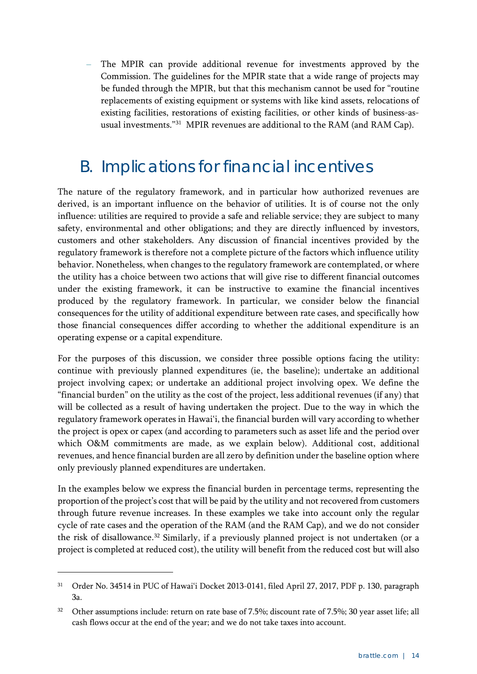**–** The MPIR can provide additional revenue for investments approved by the Commission. The guidelines for the MPIR state that a wide range of projects may be funded through the MPIR, but that this mechanism cannot be used for "routine replacements of existing equipment or systems with like kind assets, relocations of existing facilities, restorations of existing facilities, or other kinds of business-asusual investments."[31](#page-17-1) MPIR revenues are additional to the RAM (and RAM Cap).

### <span id="page-17-0"></span>B. Implications for financial incentives

The nature of the regulatory framework, and in particular how authorized revenues are derived, is an important influence on the behavior of utilities. It is of course not the only influence: utilities are required to provide a safe and reliable service; they are subject to many safety, environmental and other obligations; and they are directly influenced by investors, customers and other stakeholders. Any discussion of financial incentives provided by the regulatory framework is therefore not a complete picture of the factors which influence utility behavior. Nonetheless, when changes to the regulatory framework are contemplated, or where the utility has a choice between two actions that will give rise to different financial outcomes under the existing framework, it can be instructive to examine the financial incentives produced by the regulatory framework. In particular, we consider below the financial consequences for the utility of additional expenditure between rate cases, and specifically how those financial consequences differ according to whether the additional expenditure is an operating expense or a capital expenditure.

For the purposes of this discussion, we consider three possible options facing the utility: continue with previously planned expenditures (ie, the baseline); undertake an additional project involving capex; or undertake an additional project involving opex. We define the "financial burden" on the utility as the cost of the project, less additional revenues (if any) that will be collected as a result of having undertaken the project. Due to the way in which the regulatory framework operates in Hawai'i, the financial burden will vary according to whether the project is opex or capex (and according to parameters such as asset life and the period over which O&M commitments are made, as we explain below). Additional cost, additional revenues, and hence financial burden are all zero by definition under the baseline option where only previously planned expenditures are undertaken.

In the examples below we express the financial burden in percentage terms, representing the proportion of the project's cost that will be paid by the utility and not recovered from customers through future revenue increases. In these examples we take into account only the regular cycle of rate cases and the operation of the RAM (and the RAM Cap), and we do not consider the risk of disallowance. [32](#page-17-2) Similarly, if a previously planned project is not undertaken (or a project is completed at reduced cost), the utility will benefit from the reduced cost but will also

<span id="page-17-1"></span><sup>31</sup> Order No. 34514 in PUC of Hawai'i Docket 2013-0141, filed April 27, 2017, PDF p. 130, paragraph 3a.

<span id="page-17-2"></span><sup>&</sup>lt;sup>32</sup> Other assumptions include: return on rate base of 7.5%; discount rate of 7.5%; 30 year asset life; all cash flows occur at the end of the year; and we do not take taxes into account.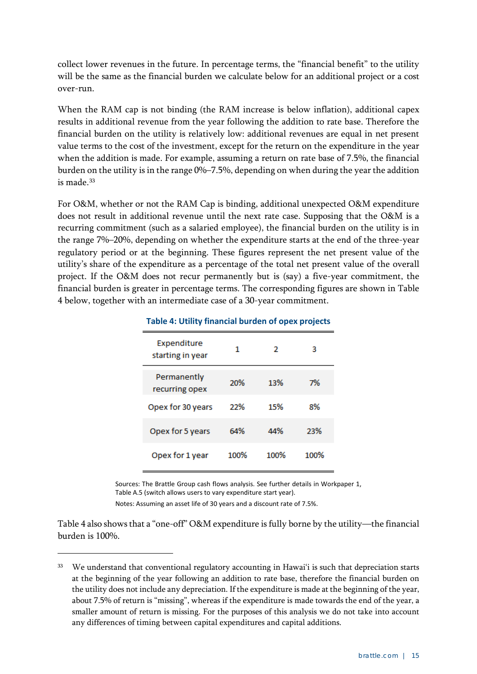collect lower revenues in the future. In percentage terms, the "financial benefit" to the utility will be the same as the financial burden we calculate below for an additional project or a cost over-run.

When the RAM cap is not binding (the RAM increase is below inflation), additional capex results in additional revenue from the year following the addition to rate base. Therefore the financial burden on the utility is relatively low: additional revenues are equal in net present value terms to the cost of the investment, except for the return on the expenditure in the year when the addition is made. For example, assuming a return on rate base of 7.5%, the financial burden on the utility is in the range 0%–7.5%, depending on when during the year the addition is made. [33](#page-18-1)

For O&M, whether or not the RAM Cap is binding, additional unexpected O&M expenditure does not result in additional revenue until the next rate case. Supposing that the O&M is a recurring commitment (such as a salaried employee), the financial burden on the utility is in the range 7%–20%, depending on whether the expenditure starts at the end of the three-year regulatory period or at the beginning. These figures represent the net present value of the utility's share of the expenditure as a percentage of the total net present value of the overall project. If the O&M does not recur permanently but is (say) a five-year commitment, the financial burden is greater in percentage terms. The corresponding figures are shown in [Table](#page-18-0)  [4](#page-18-0) below, together with an intermediate case of a 30-year commitment.

| Expenditure<br>starting in year | 1    | 2    | 3    |
|---------------------------------|------|------|------|
| Permanently<br>recurring opex   | 20%  | 13%  | 7%   |
| Opex for 30 years               | 22%  | 15%  | 8%   |
| Opex for 5 years                | 64%  | 44%  | 23%  |
| Opex for 1 year                 | 100% | 100% | 100% |

#### <span id="page-18-0"></span>**Table 4: Utility financial burden of opex projects**

Sources: The Brattle Group cash flows analysis. See further details in Workpaper 1, Table A.5 (switch allows users to vary expenditure start year).

Notes: Assuming an asset life of 30 years and a discount rate of 7.5%.

-

[Table 4](#page-18-0) also shows that a "one-off" O&M expenditure is fully borne by the utility—the financial burden is 100%.

<span id="page-18-1"></span>We understand that conventional regulatory accounting in Hawai'i is such that depreciation starts at the beginning of the year following an addition to rate base, therefore the financial burden on the utility does not include any depreciation. If the expenditure is made at the beginning of the year, about 7.5% of return is "missing", whereas if the expenditure is made towards the end of the year, a smaller amount of return is missing. For the purposes of this analysis we do not take into account any differences of timing between capital expenditures and capital additions.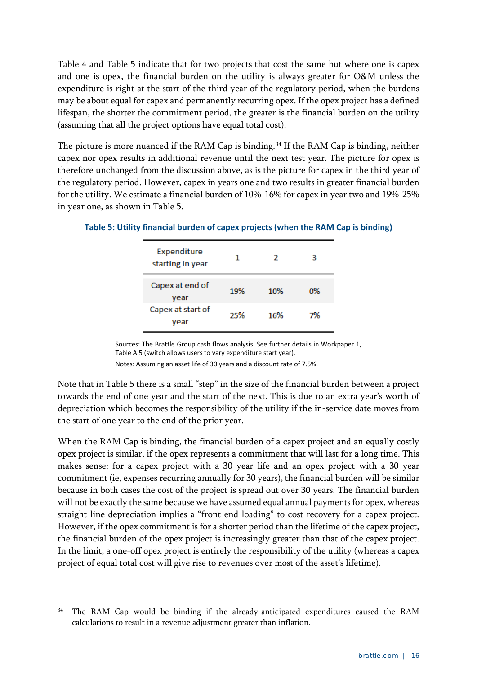[Table 4](#page-18-0) and [Table 5](#page-19-0) indicate that for two projects that cost the same but where one is capex and one is opex, the financial burden on the utility is always greater for O&M unless the expenditure is right at the start of the third year of the regulatory period, when the burdens may be about equal for capex and permanently recurring opex. If the opex project has a defined lifespan, the shorter the commitment period, the greater is the financial burden on the utility (assuming that all the project options have equal total cost).

The picture is more nuanced if the RAM Cap is binding.<sup>[34](#page-19-1)</sup> If the RAM Cap is binding, neither capex nor opex results in additional revenue until the next test year. The picture for opex is therefore unchanged from the discussion above, as is the picture for capex in the third year of the regulatory period. However, capex in years one and two results in greater financial burden for the utility. We estimate a financial burden of 10%-16% for capex in year two and 19%-25% in year one, as shown in [Table 5.](#page-19-0)

| Expenditure<br>starting in year |     | 2   | з  |
|---------------------------------|-----|-----|----|
| Capex at end of<br>vear         | 19% | 10% | 0% |
| Capex at start of<br>vear       | 25% | 16% | 7% |

#### <span id="page-19-0"></span>**Table 5: Utility financial burden of capex projects (when the RAM Cap is binding)**

Sources: The Brattle Group cash flows analysis. See further details in Workpaper 1, Table A.5 (switch allows users to vary expenditure start year).

Notes: Assuming an asset life of 30 years and a discount rate of 7.5%.

Note that in [Table 5](#page-19-0) there is a small "step" in the size of the financial burden between a project towards the end of one year and the start of the next. This is due to an extra year's worth of depreciation which becomes the responsibility of the utility if the in-service date moves from the start of one year to the end of the prior year.

When the RAM Cap is binding, the financial burden of a capex project and an equally costly opex project is similar, if the opex represents a commitment that will last for a long time. This makes sense: for a capex project with a 30 year life and an opex project with a 30 year commitment (ie, expenses recurring annually for 30 years), the financial burden will be similar because in both cases the cost of the project is spread out over 30 years. The financial burden will not be exactly the same because we have assumed equal annual payments for opex, whereas straight line depreciation implies a "front end loading" to cost recovery for a capex project. However, if the opex commitment is for a shorter period than the lifetime of the capex project, the financial burden of the opex project is increasingly greater than that of the capex project. In the limit, a one-off opex project is entirely the responsibility of the utility (whereas a capex project of equal total cost will give rise to revenues over most of the asset's lifetime).

<span id="page-19-1"></span><sup>34</sup> The RAM Cap would be binding if the already-anticipated expenditures caused the RAM calculations to result in a revenue adjustment greater than inflation.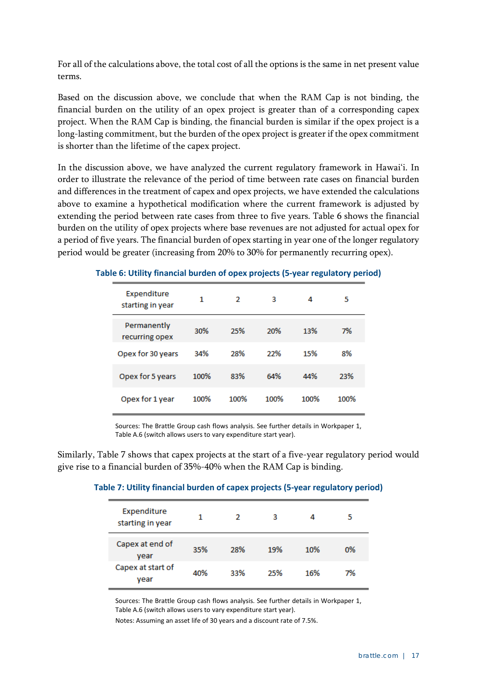For all of the calculations above, the total cost of all the options is the same in net present value terms.

Based on the discussion above, we conclude that when the RAM Cap is not binding, the financial burden on the utility of an opex project is greater than of a corresponding capex project. When the RAM Cap is binding, the financial burden is similar if the opex project is a long-lasting commitment, but the burden of the opex project is greater if the opex commitment is shorter than the lifetime of the capex project.

In the discussion above, we have analyzed the current regulatory framework in Hawai'i. In order to illustrate the relevance of the period of time between rate cases on financial burden and differences in the treatment of capex and opex projects, we have extended the calculations above to examine a hypothetical modification where the current framework is adjusted by extending the period between rate cases from three to five years. [Table 6](#page-20-0) shows the financial burden on the utility of opex projects where base revenues are not adjusted for actual opex for a period of five years. The financial burden of opex starting in year one of the longer regulatory period would be greater (increasing from 20% to 30% for permanently recurring opex).

| Expenditure<br>starting in year | 1    | 2    | 3    | 4    | 5    |
|---------------------------------|------|------|------|------|------|
| Permanently<br>recurring opex   | 30%  | 25%  | 20%  | 13%  | 7%   |
| Opex for 30 years               | 34%  | 28%  | 22%  | 15%  | 8%   |
| Opex for 5 years                | 100% | 83%  | 64%  | 44%  | 23%  |
| Opex for 1 year                 | 100% | 100% | 100% | 100% | 100% |

#### <span id="page-20-0"></span>**Table 6: Utility financial burden of opex projects (5-year regulatory period)**

Sources: The Brattle Group cash flows analysis. See further details in Workpaper 1, Table A.6 (switch allows users to vary expenditure start year).

<span id="page-20-1"></span>Similarly, [Table 7](#page-20-1) shows that capex projects at the start of a five-year regulatory period would give rise to a financial burden of 35%-40% when the RAM Cap is binding.

#### **Table 7: Utility financial burden of capex projects (5-year regulatory period)**

| Expenditure<br>starting in year | 1   | 2   | з   | 4   | 5  |
|---------------------------------|-----|-----|-----|-----|----|
| Capex at end of<br>year         | 35% | 28% | 19% | 10% | 0% |
| Capex at start of<br>vear       | 40% | 33% | 25% | 16% | 7% |

Sources: The Brattle Group cash flows analysis. See further details in Workpaper 1, Table A.6 (switch allows users to vary expenditure start year).

Notes: Assuming an asset life of 30 years and a discount rate of 7.5%.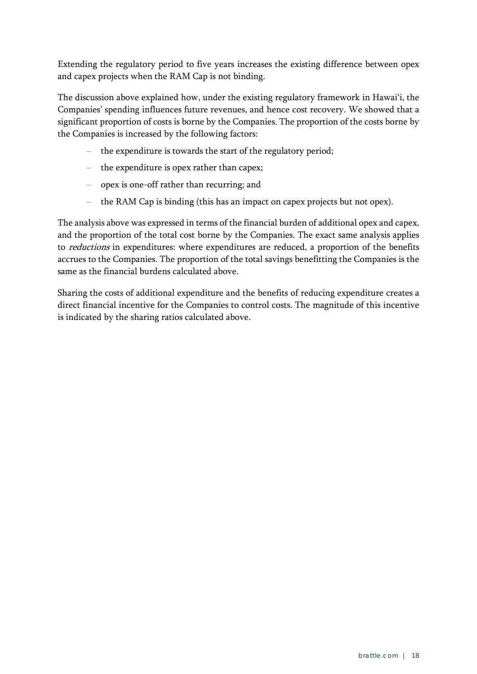Extending the regulatory period to five years increases the existing difference between opex and capex projects when the RAM Cap is not binding.

The discussion above explained how, under the existing regulatory framework in Hawai'i, the Companies' spending influences future revenues, and hence cost recovery. We showed that a significant proportion of costs is borne by the Companies. The proportion of the costs borne by the Companies is increased by the following factors:

- **–** the expenditure is towards the start of the regulatory period;
- **–** the expenditure is opex rather than capex;
- **–** opex is one-off rather than recurring; and
- **–** the RAM Cap is binding (this has an impact on capex projects but not opex).

The analysis above was expressed in terms of the financial burden of additional opex and capex, and the proportion of the total cost borne by the Companies. The exact same analysis applies to reductions in expenditures: where expenditures are reduced, a proportion of the benefits accrues to the Companies. The proportion of the total savings benefitting the Companies is the same as the financial burdens calculated above.

Sharing the costs of additional expenditure and the benefits of reducing expenditure creates a direct financial incentive for the Companies to control costs. The magnitude of this incentive is indicated by the sharing ratios calculated above.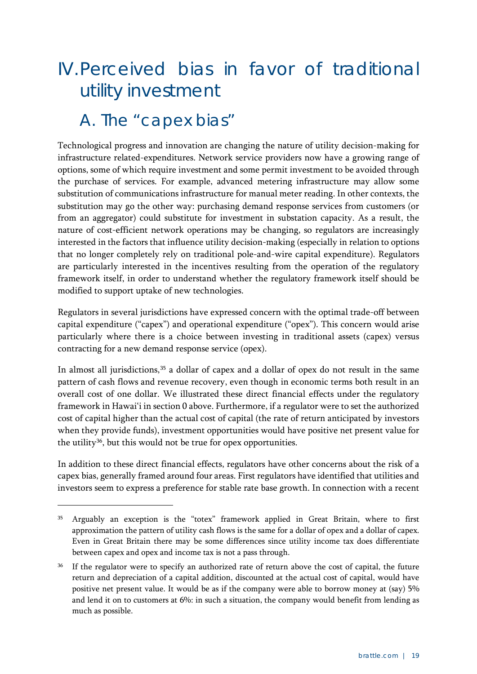## <span id="page-22-0"></span>IV.Perceived bias in favor of traditional utility investment

### <span id="page-22-1"></span>A. The "capex bias"

-

Technological progress and innovation are changing the nature of utility decision-making for infrastructure related-expenditures. Network service providers now have a growing range of options, some of which require investment and some permit investment to be avoided through the purchase of services. For example, advanced metering infrastructure may allow some substitution of communications infrastructure for manual meter reading. In other contexts, the substitution may go the other way: purchasing demand response services from customers (or from an aggregator) could substitute for investment in substation capacity. As a result, the nature of cost-efficient network operations may be changing, so regulators are increasingly interested in the factors that influence utility decision-making (especially in relation to options that no longer completely rely on traditional pole-and-wire capital expenditure). Regulators are particularly interested in the incentives resulting from the operation of the regulatory framework itself, in order to understand whether the regulatory framework itself should be modified to support uptake of new technologies.

Regulators in several jurisdictions have expressed concern with the optimal trade-off between capital expenditure ("capex") and operational expenditure ("opex"). This concern would arise particularly where there is a choice between investing in traditional assets (capex) versus contracting for a new demand response service (opex).

In almost all jurisdictions,<sup>[35](#page-22-2)</sup> a dollar of capex and a dollar of opex do not result in the same pattern of cash flows and revenue recovery, even though in economic terms both result in an overall cost of one dollar. We illustrated these direct financial effects under the regulatory framework in Hawai'i in section [0](#page-14-0) above. Furthermore, if a regulator were to set the authorized cost of capital higher than the actual cost of capital (the rate of return anticipated by investors when they provide funds), investment opportunities would have positive net present value for the utility<sup>36</sup>, but this would not be true for opex opportunities.

In addition to these direct financial effects, regulators have other concerns about the risk of a capex bias, generally framed around four areas. First regulators have identified that utilities and investors seem to express a preference for stable rate base growth. In connection with a recent

<span id="page-22-2"></span><sup>35</sup> Arguably an exception is the "totex" framework applied in Great Britain, where to first approximation the pattern of utility cash flows is the same for a dollar of opex and a dollar of capex. Even in Great Britain there may be some differences since utility income tax does differentiate between capex and opex and income tax is not a pass through.

<span id="page-22-3"></span><sup>&</sup>lt;sup>36</sup> If the regulator were to specify an authorized rate of return above the cost of capital, the future return and depreciation of a capital addition, discounted at the actual cost of capital, would have positive net present value. It would be as if the company were able to borrow money at (say) 5% and lend it on to customers at 6%: in such a situation, the company would benefit from lending as much as possible.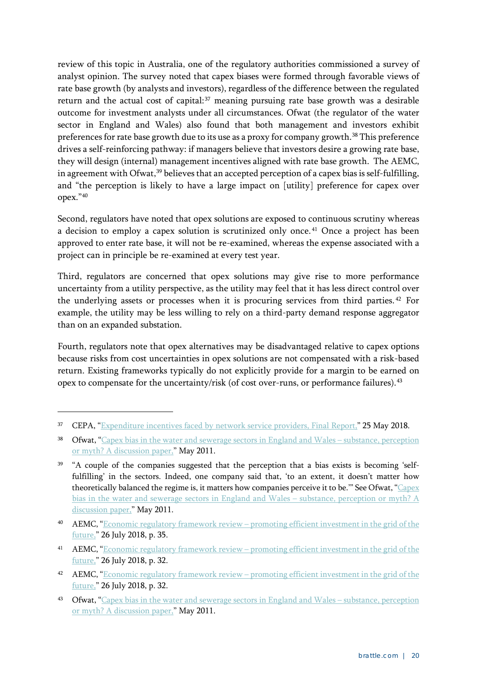review of this topic in Australia, one of the regulatory authorities commissioned a survey of analyst opinion. The survey noted that capex biases were formed through favorable views of rate base growth (by analysts and investors), regardless of the difference between the regulated return and the actual cost of capital:<sup>[37](#page-23-0)</sup> meaning pursuing rate base growth was a desirable outcome for investment analysts under all circumstances. Ofwat (the regulator of the water sector in England and Wales) also found that both management and investors exhibit preferences for rate base growth due to its use as a proxy for company growth.<sup>[38](#page-23-1)</sup> This preference drives a self-reinforcing pathway: if managers believe that investors desire a growing rate base, they will design (internal) management incentives aligned with rate base growth. The AEMC, in agreement with Ofwat,<sup>[39](#page-23-2)</sup> believes that an accepted perception of a capex bias is self-fulfilling, and "the perception is likely to have a large impact on [utility] preference for capex over opex.["40](#page-23-3)

Second, regulators have noted that opex solutions are exposed to continuous scrutiny whereas a decision to employ a capex solution is scrutinized only once.<sup>[41](#page-23-4)</sup> Once a project has been approved to enter rate base, it will not be re-examined, whereas the expense associated with a project can in principle be re-examined at every test year.

Third, regulators are concerned that opex solutions may give rise to more performance uncertainty from a utility perspective, as the utility may feel that it has less direct control over the underlying assets or processes when it is procuring services from third parties. [42](#page-23-5) For example, the utility may be less willing to rely on a third-party demand response aggregator than on an expanded substation.

Fourth, regulators note that opex alternatives may be disadvantaged relative to capex options because risks from cost uncertainties in opex solutions are not compensated with a risk-based return. Existing frameworks typically do not explicitly provide for a margin to be earned on opex to compensate for the uncertainty/risk (of cost over-runs, or performance failures).<sup>[43](#page-23-6)</sup>

<span id="page-23-0"></span><sup>&</sup>lt;sup>37</sup> CEPA, ["Expenditure incentives faced by network service providers, Final Report,](https://www.aemc.gov.au/sites/default/files/2018-07/CEPA%20Final%20Report.pdf)" 25 May 2018.

<span id="page-23-1"></span><sup>&</sup>lt;sup>38</sup> Ofwat, ["Capex bias in the water and sewerage sectors in England and Wales –](http://webarchive.nationalarchives.gov.uk/20150603202050/https:/www.ofwat.gov.uk/future/monopolies/fpl/pap_tec1105capex.pdf) substance, perception [or myth? A discussion paper,](http://webarchive.nationalarchives.gov.uk/20150603202050/https:/www.ofwat.gov.uk/future/monopolies/fpl/pap_tec1105capex.pdf)" May 2011.

<span id="page-23-2"></span><sup>&</sup>lt;sup>39</sup> "A couple of the companies suggested that the perception that a bias exists is becoming 'selffulfilling' in the sectors. Indeed, one company said that, 'to an extent, it doesn't matter how theoretically balanced the regime is, it matters how companies perceive it to be.'" See Ofwat, ["Capex](http://www.hwa.uk.com/site/wp-content/uploads/2018/02/CD.OTH_.13-Atkins-Barton-High-Level-Bridge-Monitoring-Report-November-2013.pdf)  [bias in the water and sewerage sectors in England and Wales –](http://www.hwa.uk.com/site/wp-content/uploads/2018/02/CD.OTH_.13-Atkins-Barton-High-Level-Bridge-Monitoring-Report-November-2013.pdf) substance, perception or myth? A [discussion paper,](http://www.hwa.uk.com/site/wp-content/uploads/2018/02/CD.OTH_.13-Atkins-Barton-High-Level-Bridge-Monitoring-Report-November-2013.pdf)" May 2011.

<span id="page-23-3"></span><sup>40</sup> AEMC, "Economic regulatory framework review – promoting efficient investment in the grid of the [future,](https://www.aemc.gov.au/sites/default/files/2018-07/Final%20Report.pdf)" 26 July 2018, p. 35.

<span id="page-23-4"></span><sup>41</sup> AEMC, "Economic regulatory framework review – promoting efficient investment in the grid of the [future,](https://www.aemc.gov.au/sites/default/files/2018-07/Final%20Report.pdf)" 26 July 2018, p. 32.

<span id="page-23-5"></span><sup>42</sup> AEMC, "Economic regulatory framework review – [promoting efficient investment in the grid of the](https://www.aemc.gov.au/sites/default/files/2018-07/Final%20Report.pdf)  [future,](https://www.aemc.gov.au/sites/default/files/2018-07/Final%20Report.pdf)" 26 July 2018, p. 32.

<span id="page-23-6"></span><sup>&</sup>lt;sup>43</sup> Ofwat, ["Capex bias in the water and sewerage sectors in England and Wales –](http://webarchive.nationalarchives.gov.uk/20150603202050/https:/www.ofwat.gov.uk/future/monopolies/fpl/pap_tec1105capex.pdf) substance, perception [or myth? A discussion paper,](http://webarchive.nationalarchives.gov.uk/20150603202050/https:/www.ofwat.gov.uk/future/monopolies/fpl/pap_tec1105capex.pdf)" May 2011.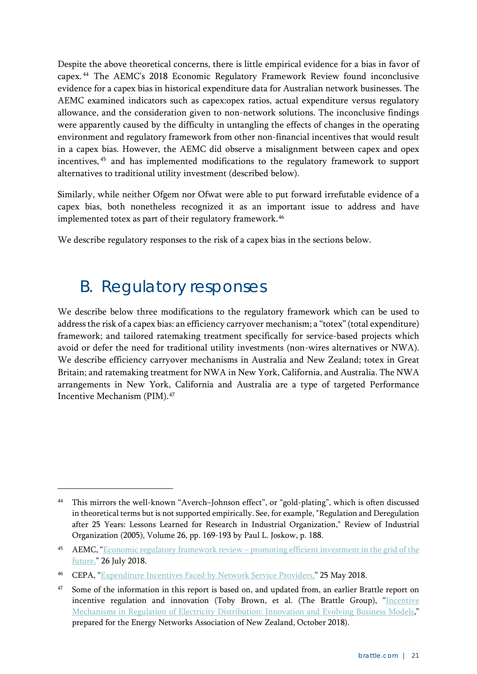Despite the above theoretical concerns, there is little empirical evidence for a bias in favor of capex. [44](#page-24-1) The AEMC's 2018 Economic Regulatory Framework Review found inconclusive evidence for a capex bias in historical expenditure data for Australian network businesses. The AEMC examined indicators such as capex:opex ratios, actual expenditure versus regulatory allowance, and the consideration given to non-network solutions. The inconclusive findings were apparently caused by the difficulty in untangling the effects of changes in the operating environment and regulatory framework from other non-financial incentives that would result in a capex bias. However, the AEMC did observe a misalignment between capex and opex incentives, [45](#page-24-2) and has implemented modifications to the regulatory framework to support alternatives to traditional utility investment (described below).

Similarly, while neither Ofgem nor Ofwat were able to put forward irrefutable evidence of a capex bias, both nonetheless recognized it as an important issue to address and have implemented totex as part of their regulatory framework.<sup>[46](#page-24-3)</sup>

We describe regulatory responses to the risk of a capex bias in the sections below.

### <span id="page-24-0"></span>B. Regulatory responses

-

We describe below three modifications to the regulatory framework which can be used to address the risk of a capex bias: an efficiency carryover mechanism; a "totex" (total expenditure) framework; and tailored ratemaking treatment specifically for service-based projects which avoid or defer the need for traditional utility investments (non-wires alternatives or NWA). We describe efficiency carryover mechanisms in Australia and New Zealand; totex in Great Britain; and ratemaking treatment for NWA in New York, California, and Australia. The NWA arrangements in New York, California and Australia are a type of targeted Performance Incentive Mechanism (PIM).[47](#page-24-4)

<span id="page-24-1"></span><sup>44</sup> This mirrors the well-known "Averch–Johnson effect", or "gold-plating", which is often discussed in theoretical terms but is not supported empirically. See, for example, "Regulation and Deregulation after 25 Years: Lessons Learned for Research in Industrial Organization," Review of Industrial Organization (2005), Volume 26, pp. 169-193 by Paul L. Joskow, p. 188.

<span id="page-24-2"></span><sup>45</sup> AEMC, "Economic regulatory framework review – promoting efficient investment in the grid of the [future,](https://www.aemc.gov.au/sites/default/files/2018-07/Final%20Report.pdf)" 26 July 2018.

<span id="page-24-3"></span><sup>46</sup> CEPA, ["Expenditure Incentives Faced by Network Service Providers,](https://www.aemc.gov.au/sites/default/files/2018-07/CEPA%20Final%20Report.pdf)" 25 May 2018.

<span id="page-24-4"></span>Some of the information in this report is based on, and updated from, an earlier Brattle report on incentive regulation and innovation (Toby Brown, et al. (The Brattle Group), ["Incentive](https://comcom.govt.nz/__data/assets/pdf_file/0020/106076/Brattle-Group-on-behalf-of-ENA-Incentive-mechanisms-in-regulation-of-electricity-distribution-innovation-and-evolving-business-models-October-2018.PDF)  [Mechanisms in Regulation of Electricity Distribution: Innovation and Evolving Business Models,](https://comcom.govt.nz/__data/assets/pdf_file/0020/106076/Brattle-Group-on-behalf-of-ENA-Incentive-mechanisms-in-regulation-of-electricity-distribution-innovation-and-evolving-business-models-October-2018.PDF)" prepared for the Energy Networks Association of New Zealand, October 2018).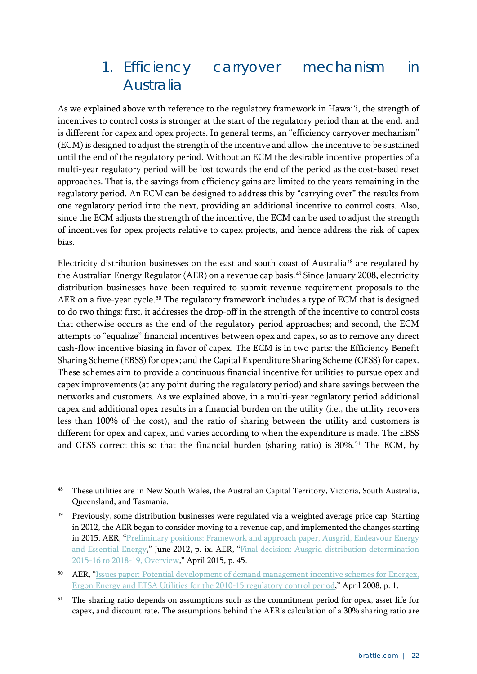### <span id="page-25-0"></span>1. Efficiency carryover mechanism in Australia

As we explained above with reference to the regulatory framework in Hawai'i, the strength of incentives to control costs is stronger at the start of the regulatory period than at the end, and is different for capex and opex projects. In general terms, an "efficiency carryover mechanism" (ECM) is designed to adjust the strength of the incentive and allow the incentive to be sustained until the end of the regulatory period. Without an ECM the desirable incentive properties of a multi-year regulatory period will be lost towards the end of the period as the cost-based reset approaches. That is, the savings from efficiency gains are limited to the years remaining in the regulatory period. An ECM can be designed to address this by "carrying over" the results from one regulatory period into the next, providing an additional incentive to control costs. Also, since the ECM adjusts the strength of the incentive, the ECM can be used to adjust the strength of incentives for opex projects relative to capex projects, and hence address the risk of capex bias.

Electricity distribution businesses on the east and south coast of Australia<sup>[48](#page-25-1)</sup> are regulated by the Australian Energy Regulator (AER) on a revenue cap basis.<sup>[49](#page-25-2)</sup> Since January 2008, electricity distribution businesses have been required to submit revenue requirement proposals to the AER on a five-year cycle.<sup>[50](#page-25-3)</sup> The regulatory framework includes a type of ECM that is designed to do two things: first, it addresses the drop-off in the strength of the incentive to control costs that otherwise occurs as the end of the regulatory period approaches; and second, the ECM attempts to "equalize" financial incentives between opex and capex, so as to remove any direct cash-flow incentive biasing in favor of capex. The ECM is in two parts: the Efficiency Benefit Sharing Scheme (EBSS) for opex; and the Capital Expenditure Sharing Scheme (CESS) for capex. These schemes aim to provide a continuous financial incentive for utilities to pursue opex and capex improvements (at any point during the regulatory period) and share savings between the networks and customers. As we explained above, in a multi-year regulatory period additional capex and additional opex results in a financial burden on the utility (i.e., the utility recovers less than 100% of the cost), and the ratio of sharing between the utility and customers is different for opex and capex, and varies according to when the expenditure is made. The EBSS and CESS correct this so that the financial burden (sharing ratio) is 30%. [51](#page-25-4) The ECM, by

<span id="page-25-1"></span><sup>48</sup> These utilities are in New South Wales, the Australian Capital Territory, Victoria, South Australia, Queensland, and Tasmania.

<span id="page-25-2"></span><sup>&</sup>lt;sup>49</sup> Previously, some distribution businesses were regulated via a weighted average price cap. Starting in 2012, the AER began to consider moving to a revenue cap, and implemented the changes starting in 2015. AER, "Preliminary positions: Framework and approach paper, Ausgrid, Endeavour Energy [and Essential Energy,](https://www.aer.gov.au/system/files/AER%20Preliminary%20Framework%20%26%20approach%20-%20NSW_0.pdf)" June 2012, p. ix. AER, "Final decision: Ausgrid distribution determination [2015-16 to 2018-19, Overview,](https://www.aer.gov.au/system/files/AER%20-%20Final%20decision%20Ausgrid%20distribution%20determination%20-%20Overview%20-%20April%202015_0.pdf)" April 2015, p. 45.

<span id="page-25-3"></span><sup>50</sup> AER, ["Issues paper: Potential development of demand management incentive schemes for Energex,](https://www.aer.gov.au/system/files/Issues%20paper%20-%20deman%20management%20incentive%20schemes%20for%20QLD%20and%20SA%20-%20April%202008.pdf)  [Ergon Energy and ETSA Utilities for the 2010-15 regulatory control period,](https://www.aer.gov.au/system/files/Issues%20paper%20-%20deman%20management%20incentive%20schemes%20for%20QLD%20and%20SA%20-%20April%202008.pdf)" April 2008, p. 1.

<span id="page-25-4"></span><sup>&</sup>lt;sup>51</sup> The sharing ratio depends on assumptions such as the commitment period for opex, asset life for capex, and discount rate. The assumptions behind the AER's calculation of a 30% sharing ratio are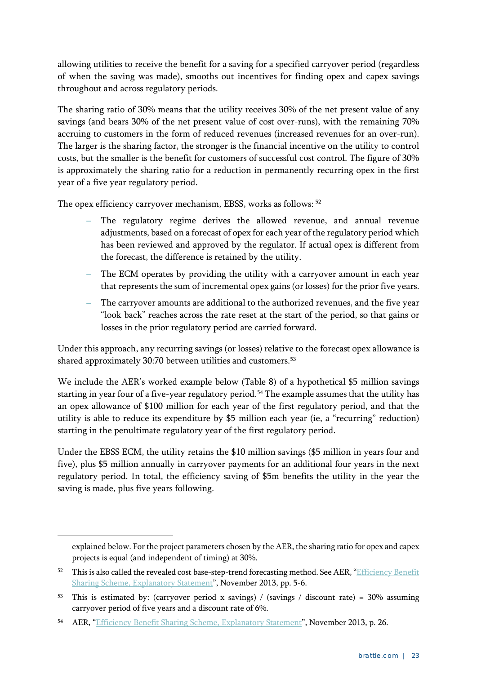allowing utilities to receive the benefit for a saving for a specified carryover period (regardless of when the saving was made), smooths out incentives for finding opex and capex savings throughout and across regulatory periods.

The sharing ratio of 30% means that the utility receives 30% of the net present value of any savings (and bears 30% of the net present value of cost over-runs), with the remaining 70% accruing to customers in the form of reduced revenues (increased revenues for an over-run). The larger is the sharing factor, the stronger is the financial incentive on the utility to control costs, but the smaller is the benefit for customers of successful cost control. The figure of 30% is approximately the sharing ratio for a reduction in permanently recurring opex in the first year of a five year regulatory period.

The opex efficiency carryover mechanism, EBSS, works as follows: [52](#page-26-0)

- **–** The regulatory regime derives the allowed revenue, and annual revenue adjustments, based on a forecast of opex for each year of the regulatory period which has been reviewed and approved by the regulator. If actual opex is different from the forecast, the difference is retained by the utility.
- **–** The ECM operates by providing the utility with a carryover amount in each year that represents the sum of incremental opex gains (or losses) for the prior five years.
- **–** The carryover amounts are additional to the authorized revenues, and the five year "look back" reaches across the rate reset at the start of the period, so that gains or losses in the prior regulatory period are carried forward.

Under this approach, any recurring savings (or losses) relative to the forecast opex allowance is shared approximately 30:70 between utilities and customers.<sup>[53](#page-26-1)</sup>

We include the AER's worked example below [\(Table 8\)](#page-27-0) of a hypothetical \$5 million savings starting in year four of a five-year regulatory period. [54](#page-26-2) The example assumes that the utility has an opex allowance of \$100 million for each year of the first regulatory period, and that the utility is able to reduce its expenditure by \$5 million each year (ie, a "recurring" reduction) starting in the penultimate regulatory year of the first regulatory period.

Under the EBSS ECM, the utility retains the \$10 million savings (\$5 million in years four and five), plus \$5 million annually in carryover payments for an additional four years in the next regulatory period. In total, the efficiency saving of \$5m benefits the utility in the year the saving is made, plus five years following.

explained below. For the project parameters chosen by the AER, the sharing ratio for opex and capex projects is equal (and independent of timing) at 30%.

<span id="page-26-0"></span><sup>52</sup> This is also called the revealed cost base-step-trend forecasting method. See AER, "Efficiency Benefit [Sharing Scheme, Explanatory Statement"](https://www.aer.gov.au/system/files/4.%20AER%20explanatory%20statement%20-%20efficiency%20benefit%20sharing%20scheme%20-%20November%202013.pdf), November 2013, pp. 5-6.

<span id="page-26-1"></span><sup>53</sup> This is estimated by: (carryover period x savings) / (savings / discount rate) = 30% assuming carryover period of five years and a discount rate of 6%.

<span id="page-26-2"></span><sup>&</sup>lt;sup>54</sup> AER, ["Efficiency Benefit Sharing Scheme, Explanatory Statement"](https://www.aer.gov.au/system/files/4.%20AER%20explanatory%20statement%20-%20efficiency%20benefit%20sharing%20scheme%20-%20November%202013.pdf), November 2013, p. 26.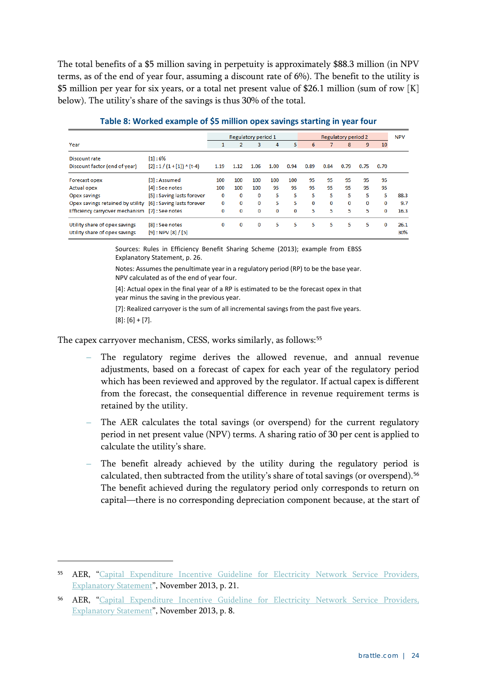The total benefits of a \$5 million saving in perpetuity is approximately \$88.3 million (in NPV terms, as of the end of year four, assuming a discount rate of 6%). The benefit to the utility is \$5 million per year for six years, or a total net present value of \$26.1 million (sum of row [K] below). The utility's share of the savings is thus 30% of the total.

<span id="page-27-0"></span>

|                                               |                                    |      |                | Regulatory period 1 |      |      |      |      | Regulatory period 2 |      |          | <b>NPV</b> |
|-----------------------------------------------|------------------------------------|------|----------------|---------------------|------|------|------|------|---------------------|------|----------|------------|
| Year                                          |                                    |      | $\overline{2}$ | 3                   | 4    | 5    | 6    | 7    | 8                   | 9    | 10       |            |
| Discount rate                                 | [1]:6%                             |      |                |                     |      |      |      |      |                     |      |          |            |
| Discount factor (end of year)                 | $[2] : 1 / (1 + [1]) \wedge (t-4)$ | 1.19 | 1.12           | 1.06                | 1.00 | 0.94 | 0.89 | 0.84 | 0.79                | 0.75 | 0.70     |            |
| Forecast opex                                 | [3]: Assumed                       | 100  | 100            | 100                 | 100  | 100  | 95   | 95   | 95                  | 95   | 95       |            |
| <b>Actual opex</b>                            | [4] : See notes                    | 100  | 100            | 100                 | 95   | 95   | 95   | 95   | 95                  | 95   | 95       |            |
| Opex savings                                  | [5]: Saving lasts forever          | 0    | 0              | 0                   | 5    | 5    | 5    | 5    | 5                   | 5    | 5        | 88.3       |
| Opex savings retained by utility              | [6]: Saving lasts forever          | 0    | 0              | 0                   | 5    | 5    | 0    | 0    | 0                   | 0    | 0        | 9.7        |
| Efficiency carryover mechanism [7]: See notes |                                    | 0    | 0              | $\mathbf 0$         | 0    | 0    | 5    | 5    | 5                   | 5    | 0        | 16.3       |
| Utility share of opex savings                 | [8] : See notes                    | 0    | 0              | $\mathbf 0$         | 5    | 5    | 5    | 5    | 5                   | 5    | $\Omega$ | 26.1       |
| Utility share of opex savings                 | $[9]$ : NPV $[8] / [5]$            |      |                |                     |      |      |      |      |                     |      |          | 30%        |

**Table 8: Worked example of \$5 million opex savings starting in year four**

Sources: Rules in Efficiency Benefit Sharing Scheme (2013); example from EBSS Explanatory Statement, p. 26.

Notes: Assumes the penultimate year in a regulatory period (RP) to be the base year. NPV calculated as of the end of year four.

[4]: Actual opex in the final year of a RP is estimated to be the forecast opex in that year minus the saving in the previous year.

[7]: Realized carryover is the sum of all incremental savings from the past five years.  $[8]$ :  $[6]$  +  $[7]$ .

The capex carryover mechanism, CESS, works similarly, as follows:<sup>[55](#page-27-1)</sup>

- **–** The regulatory regime derives the allowed revenue, and annual revenue adjustments, based on a forecast of capex for each year of the regulatory period which has been reviewed and approved by the regulator. If actual capex is different from the forecast, the consequential difference in revenue requirement terms is retained by the utility.
- **–** The AER calculates the total savings (or overspend) for the current regulatory period in net present value (NPV) terms. A sharing ratio of 30 per cent is applied to calculate the utility's share.
- **–** The benefit already achieved by the utility during the regulatory period is calculated, then subtracted from the utility's share of total savings (or overspend).<sup>[56](#page-27-2)</sup> The benefit achieved during the regulatory period only corresponds to return on capital—there is no corresponding depreciation component because, at the start of

<span id="page-27-1"></span><sup>55</sup> AER, ["Capital Expenditure Incentive Guideline for Electricity Network Service Providers,](https://www.aer.gov.au/system/files/1.%20AER%20explanatory%20statement%20-%20capital%20expenditure%20incentive%20guideline%20-%20November%202013.pdf)  [Explanatory Statement"](https://www.aer.gov.au/system/files/1.%20AER%20explanatory%20statement%20-%20capital%20expenditure%20incentive%20guideline%20-%20November%202013.pdf), November 2013, p. 21.

<span id="page-27-2"></span><sup>56</sup> AER, ["Capital Expenditure Incentive Guideline for Electricity Network Service Providers,](https://www.aer.gov.au/system/files/1.%20AER%20explanatory%20statement%20-%20capital%20expenditure%20incentive%20guideline%20-%20November%202013.pdf)  [Explanatory Statement"](https://www.aer.gov.au/system/files/1.%20AER%20explanatory%20statement%20-%20capital%20expenditure%20incentive%20guideline%20-%20November%202013.pdf), November 2013, p. 8.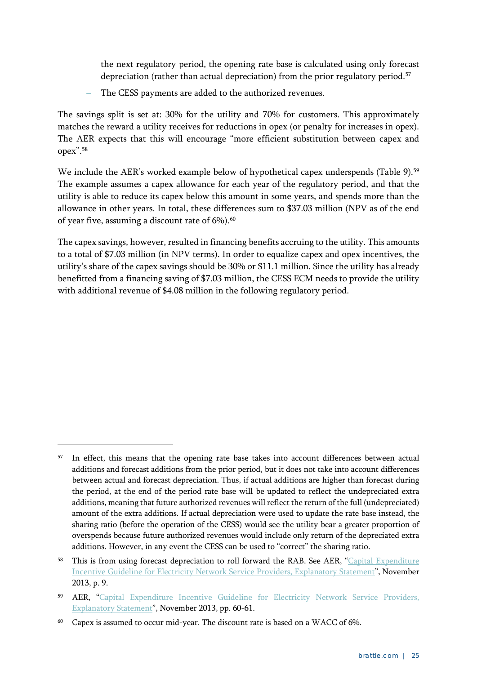the next regulatory period, the opening rate base is calculated using only forecast depreciation (rather than actual depreciation) from the prior regulatory period. [57](#page-28-0)

**–** The CESS payments are added to the authorized revenues.

The savings split is set at: 30% for the utility and 70% for customers. This approximately matches the reward a utility receives for reductions in opex (or penalty for increases in opex). The AER expects that this will encourage "more efficient substitution between capex and opex"[.58](#page-28-1)

We include the AER's worked example below of hypothetical capex underspends [\(Table 9\)](#page-29-1).<sup>[59](#page-28-2)</sup> The example assumes a capex allowance for each year of the regulatory period, and that the utility is able to reduce its capex below this amount in some years, and spends more than the allowance in other years. In total, these differences sum to \$37.03 million (NPV as of the end of year five, assuming a discount rate of 6%).<sup>[60](#page-28-3)</sup>

The capex savings, however, resulted in financing benefits accruing to the utility. This amounts to a total of \$7.03 million (in NPV terms). In order to equalize capex and opex incentives, the utility's share of the capex savings should be 30% or \$11.1 million. Since the utility has already benefitted from a financing saving of \$7.03 million, the CESS ECM needs to provide the utility with additional revenue of \$4.08 million in the following regulatory period.

<span id="page-28-0"></span><sup>&</sup>lt;sup>57</sup> In effect, this means that the opening rate base takes into account differences between actual additions and forecast additions from the prior period, but it does not take into account differences between actual and forecast depreciation. Thus, if actual additions are higher than forecast during the period, at the end of the period rate base will be updated to reflect the undepreciated extra additions, meaning that future authorized revenues will reflect the return of the full (undepreciated) amount of the extra additions. If actual depreciation were used to update the rate base instead, the sharing ratio (before the operation of the CESS) would see the utility bear a greater proportion of overspends because future authorized revenues would include only return of the depreciated extra additions. However, in any event the CESS can be used to "correct" the sharing ratio.

<span id="page-28-1"></span>This is from using forecast depreciation to roll forward the RAB. See AER, "Capital Expenditure [Incentive Guideline for Electricity Network Service Providers, Explanatory Statement"](https://www.aer.gov.au/system/files/1.%20AER%20explanatory%20statement%20-%20capital%20expenditure%20incentive%20guideline%20-%20November%202013.pdf), November 2013, p. 9.

<span id="page-28-2"></span><sup>59</sup> AER, "Capital Expenditure Incentive Guideline for Electricity Network Service Providers, [Explanatory Statement"](https://www.aer.gov.au/system/files/1.%20AER%20explanatory%20statement%20-%20capital%20expenditure%20incentive%20guideline%20-%20November%202013.pdf), November 2013, pp. 60-61.

<span id="page-28-3"></span><sup>60</sup> Capex is assumed to occur mid-year. The discount rate is based on a WACC of 6%.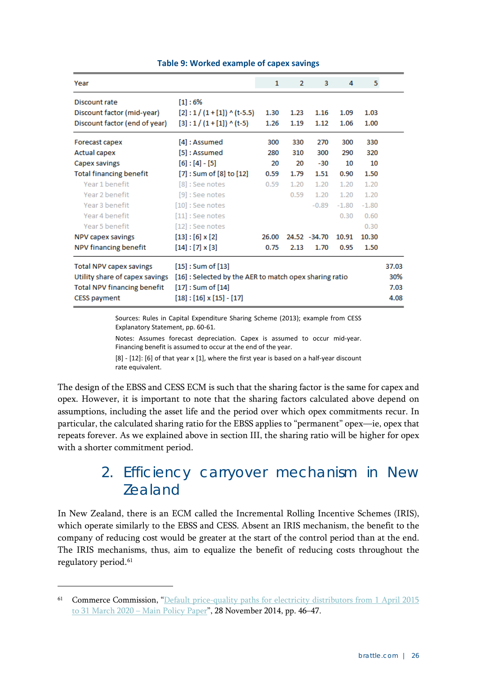<span id="page-29-1"></span>

| Year                                                                                                                          |                                                                                                                                                | 1     | $\overline{2}$ | 3            | 4       | 5                            |  |
|-------------------------------------------------------------------------------------------------------------------------------|------------------------------------------------------------------------------------------------------------------------------------------------|-------|----------------|--------------|---------|------------------------------|--|
| Discount rate                                                                                                                 | [1]:6%                                                                                                                                         |       |                |              |         |                              |  |
| Discount factor (mid-year)                                                                                                    | $[2] : 1 / (1 + [1]) \wedge (t-5.5)$                                                                                                           | 1.30  | 1.23           | 1.16         | 1.09    | 1.03                         |  |
| Discount factor (end of year)                                                                                                 | $[3] : 1 / (1 + [1])$ ^ (t-5)                                                                                                                  | 1.26  | 1.19           | 1.12         | 1.06    | 1.00                         |  |
| Forecast capex                                                                                                                | [4] : Assumed                                                                                                                                  | 300   | 330            | 270          | 300     | 330                          |  |
| <b>Actual capex</b>                                                                                                           | [5]: Assumed                                                                                                                                   | 280   | 310            | 300          | 290     | 320                          |  |
| Capex savings                                                                                                                 | $[6] : [4] - [5]$                                                                                                                              | 20    | 20             | -30          | 10      | 10                           |  |
| <b>Total financing benefit</b>                                                                                                | [7] : Sum of [8] to [12]                                                                                                                       | 0.59  | 1.79           | 1.51         | 0.90    | 1.50                         |  |
| Year 1 benefit                                                                                                                | [8] : See notes                                                                                                                                | 0.59  | 1.20           | 1.20         | 1.20    | 1.20                         |  |
| Year 2 benefit                                                                                                                | $[9]$ : See notes                                                                                                                              |       | 0.59           | 1.20         | 1.20    | 1.20                         |  |
| Year 3 benefit                                                                                                                | $[10]$ : See notes                                                                                                                             |       |                | $-0.89$      | $-1.80$ | $-1.80$                      |  |
| Year 4 benefit                                                                                                                | $[11]$ : See notes                                                                                                                             |       |                |              | 0.30    | 0.60                         |  |
| Year 5 benefit                                                                                                                | $[12]$ : See notes                                                                                                                             |       |                |              |         | 0.30                         |  |
| NPV capex savings                                                                                                             | $[13] : [6] \times [2]$                                                                                                                        | 26.00 |                | 24.52 -34.70 | 10.91   | 10.30                        |  |
| NPV financing benefit                                                                                                         | $[14] : [7] \times [3]$                                                                                                                        | 0.75  | 2.13           | 1.70         | 0.95    | 1.50                         |  |
| <b>Total NPV capex savings</b><br>Utility share of capex savings<br><b>Total NPV financing benefit</b><br><b>CESS payment</b> | $[15]$ : Sum of $[13]$<br>[16] : Selected by the AER to match opex sharing ratio<br>$[17]$ : Sum of $[14]$<br>$[18] : [16] \times [15] - [17]$ |       |                |              |         | 37.03<br>30%<br>7.03<br>4.08 |  |

#### **Table 9: Worked example of capex savings**

Sources: Rules in Capital Expenditure Sharing Scheme (2013); example from CESS Explanatory Statement, pp. 60-61.

Notes: Assumes forecast depreciation. Capex is assumed to occur mid-year. Financing benefit is assumed to occur at the end of the year.

[8] - [12]: [6] of that year x [1], where the first year is based on a half-year discount rate equivalent.

The design of the EBSS and CESS ECM is such that the sharing factor is the same for capex and opex. However, it is important to note that the sharing factors calculated above depend on assumptions, including the asset life and the period over which opex commitments recur. In particular, the calculated sharing ratio for the EBSS applies to "permanent" opex—ie, opex that repeats forever. As we explained above in section [III,](#page-15-0) the sharing ratio will be higher for opex with a shorter commitment period.

### <span id="page-29-0"></span>2. Efficiency carryover mechanism in New Zealand

In New Zealand, there is an ECM called the Incremental Rolling Incentive Schemes (IRIS), which operate similarly to the EBSS and CESS. Absent an IRIS mechanism, the benefit to the company of reducing cost would be greater at the start of the control period than at the end. The IRIS mechanisms, thus, aim to equalize the benefit of reducing costs throughout the regulatory period.<sup>[61](#page-29-2)</sup>

<span id="page-29-2"></span><sup>&</sup>lt;sup>61</sup> Commerce Commission, "Default price-quality paths for electricity distributors from 1 April 2015 [to 31 March 2020 –](https://comcom.govt.nz/__data/assets/pdf_file/0023/62735/Main-Policy-Paper-EDB-DPP-2015-2020-28-November-2014.pdf) Main Policy Paper", 28 November 2014, pp. 46–47.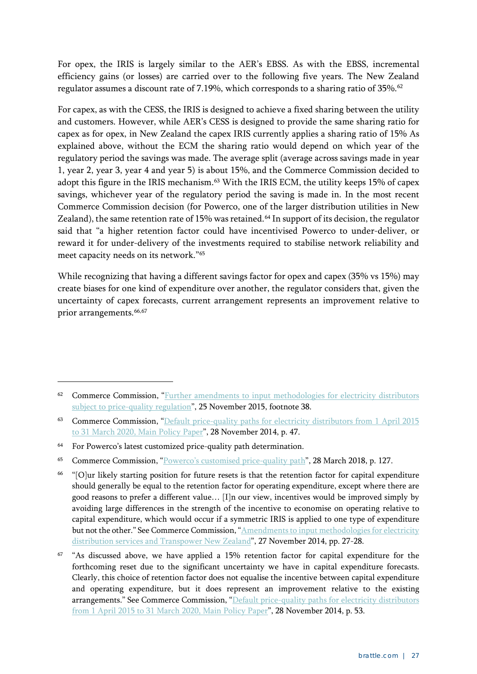For opex, the IRIS is largely similar to the AER's EBSS. As with the EBSS, incremental efficiency gains (or losses) are carried over to the following five years. The New Zealand regulator assumes a discount rate of 7.19%, which corresponds to a sharing ratio of 35%. [62](#page-30-0)

For capex, as with the CESS, the IRIS is designed to achieve a fixed sharing between the utility and customers. However, while AER's CESS is designed to provide the same sharing ratio for capex as for opex, in New Zealand the capex IRIS currently applies a sharing ratio of 15% As explained above, without the ECM the sharing ratio would depend on which year of the regulatory period the savings was made. The average split (average across savings made in year 1, year 2, year 3, year 4 and year 5) is about 15%, and the Commerce Commission decided to adopt this figure in the IRIS mechanism.<sup>[63](#page-30-1)</sup> With the IRIS ECM, the utility keeps 15% of capex savings, whichever year of the regulatory period the saving is made in. In the most recent Commerce Commission decision (for Powerco, one of the larger distribution utilities in New Zealand), the same retention rate of 15% was retained.<sup>[64](#page-30-2)</sup> In support of its decision, the regulator said that "a higher retention factor could have incentivised Powerco to under-deliver, or reward it for under-delivery of the investments required to stabilise network reliability and meet capacity needs on its network."[65](#page-30-3)

While recognizing that having a different savings factor for opex and capex (35% vs 15%) may create biases for one kind of expenditure over another, the regulator considers that, given the uncertainty of capex forecasts, current arrangement represents an improvement relative to prior arrangements.<sup>[66,](#page-30-4)[67](#page-30-5)</sup>

<span id="page-30-0"></span><sup>62</sup> Commerce Commission, "Further amendments to input methodologies for electricity distributors [subject to price-quality regulation"](https://comcom.govt.nz/__data/assets/pdf_file/0026/62639/Final-reasons-paper-Further-amendments-to-IRIS-for-electricity-distributors-25-November-2015.pdf), 25 November 2015, footnote 38.

<span id="page-30-1"></span><sup>63</sup> Commerce Commission, "Default price-quality paths for electricity distributors from 1 April 2015 to 31 March 2020, [Main Policy Paper"](https://comcom.govt.nz/__data/assets/pdf_file/0023/62735/Main-Policy-Paper-EDB-DPP-2015-2020-28-November-2014.pdf), 28 November 2014, p. 47.

<span id="page-30-2"></span><sup>&</sup>lt;sup>64</sup> For Powerco's latest customized price-quality path determination.

<span id="page-30-3"></span><sup>65</sup> Commerce Commission, ["Powerco's customised price-quality path"](https://comcom.govt.nz/__data/assets/pdf_file/0028/78715/Final-decision-on-Powercos-2018-2023-customised-price-quality-path-28-March-2018.PDF), 28 March 2018, p. 127.

<span id="page-30-4"></span><sup>66</sup> "[O]ur likely starting position for future resets is that the retention factor for capital expenditure should generally be equal to the retention factor for operating expenditure, except where there are good reasons to prefer a different value… [I]n our view, incentives would be improved simply by avoiding large differences in the strength of the incentive to economise on operating relative to capital expenditure, which would occur if a symmetric IRIS is applied to one type of expenditure but not the other." See Commerce Commission, "Amendments to input methodologies for electricity [distribution services and Transpower New Zealand"](https://comcom.govt.nz/__data/assets/pdf_file/0028/62659/Final-reasons-paper-Incremental-rolling-incentive-scheme-IRIS-27-November-2014-.pdf), 27 November 2014, pp. 27-28.

<span id="page-30-5"></span><sup>&</sup>lt;sup>67</sup> "As discussed above, we have applied a 15% retention factor for capital expenditure for the forthcoming reset due to the significant uncertainty we have in capital expenditure forecasts. Clearly, this choice of retention factor does not equalise the incentive between capital expenditure and operating expenditure, but it does represent an improvement relative to the existing arrangements." See Commerce Commission, "Default price-quality paths for electricity distributors [from 1 April 2015 to 31 March 2020,](https://comcom.govt.nz/__data/assets/pdf_file/0023/62735/Main-Policy-Paper-EDB-DPP-2015-2020-28-November-2014.pdf) Main Policy Paper", 28 November 2014, p. 53.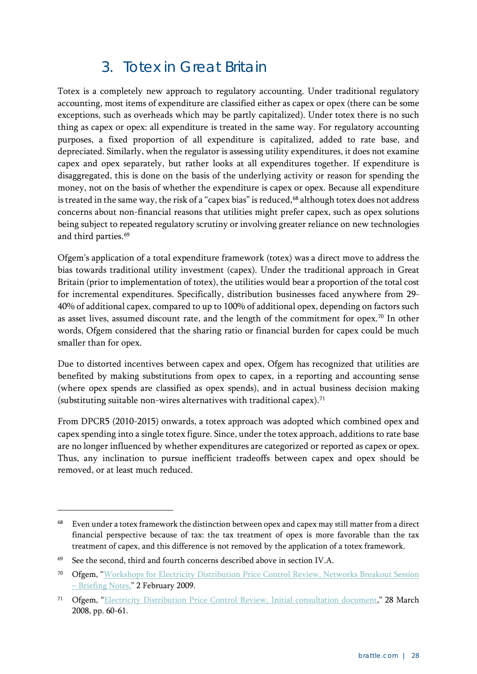### 3. Totex in Great Britain

<span id="page-31-0"></span>Totex is a completely new approach to regulatory accounting. Under traditional regulatory accounting, most items of expenditure are classified either as capex or opex (there can be some exceptions, such as overheads which may be partly capitalized). Under totex there is no such thing as capex or opex: all expenditure is treated in the same way. For regulatory accounting purposes, a fixed proportion of all expenditure is capitalized, added to rate base, and depreciated. Similarly, when the regulator is assessing utility expenditures, it does not examine capex and opex separately, but rather looks at all expenditures together. If expenditure is disaggregated, this is done on the basis of the underlying activity or reason for spending the money, not on the basis of whether the expenditure is capex or opex. Because all expenditure is treated in the same way, the risk of a "capex bias" is reduced, [68](#page-31-1) although totex does not address concerns about non-financial reasons that utilities might prefer capex, such as opex solutions being subject to repeated regulatory scrutiny or involving greater reliance on new technologies and third parties.<sup>[69](#page-31-2)</sup>

Ofgem's application of a total expenditure framework (totex) was a direct move to address the bias towards traditional utility investment (capex). Under the traditional approach in Great Britain (prior to implementation of totex), the utilities would bear a proportion of the total cost for incremental expenditures. Specifically, distribution businesses faced anywhere from 29- 40% of additional capex, compared to up to 100% of additional opex, depending on factors such as asset lives, assumed discount rate, and the length of the commitment for opex.<sup>[70](#page-31-3)</sup> In other words, Ofgem considered that the sharing ratio or financial burden for capex could be much smaller than for opex.

Due to distorted incentives between capex and opex, Ofgem has recognized that utilities are benefited by making substitutions from opex to capex, in a reporting and accounting sense (where opex spends are classified as opex spends), and in actual business decision making (substituting suitable non-wires alternatives with traditional capex).[71](#page-31-4)

From DPCR5 (2010-2015) onwards, a totex approach was adopted which combined opex and capex spending into a single totex figure. Since, under the totex approach, additions to rate base are no longer influenced by whether expenditures are categorized or reported as capex or opex. Thus, any inclination to pursue inefficient tradeoffs between capex and opex should be removed, or at least much reduced.

<span id="page-31-1"></span><sup>68</sup> Even under a totex framework the distinction between opex and capex may still matter from a direct financial perspective because of tax: the tax treatment of opex is more favorable than the tax treatment of capex, and this difference is not removed by the application of a totex framework.

<span id="page-31-2"></span><sup>69</sup> See the second, third and fourth concerns described above in section [IV.A.](#page-22-1)

<span id="page-31-3"></span><sup>70</sup> Ofgem, ["Workshops for Electricity Distribution Price Control Review, Networks Breakout Session](https://www.ofgem.gov.uk/sites/default/files/docs/2009/02/networks---briefing-note.pdf)  – [Briefing Notes,](https://www.ofgem.gov.uk/sites/default/files/docs/2009/02/networks---briefing-note.pdf)" 2 February 2009.

<span id="page-31-4"></span><sup>71</sup> Ofgem, ["Electricity Distribution Price Control Review, Initial consultation document,](https://www.ofgem.gov.uk/ofgem-publications/47047/initial-consultation-documentpdf)" 28 March 2008, pp. 60-61.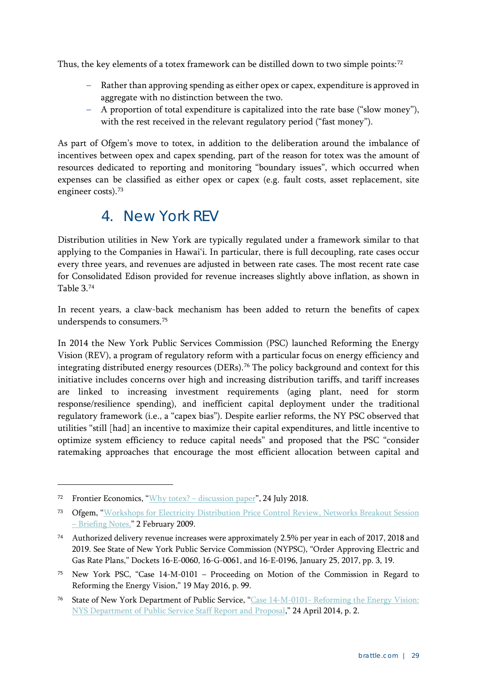Thus, the key elements of a totex framework can be distilled down to two simple points:<sup>[72](#page-32-1)</sup>

- Rather than approving spending as either opex or capex, expenditure is approved in aggregate with no distinction between the two.
- A proportion of total expenditure is capitalized into the rate base ("slow money"), with the rest received in the relevant regulatory period ("fast money").

As part of Ofgem's move to totex, in addition to the deliberation around the imbalance of incentives between opex and capex spending, part of the reason for totex was the amount of resources dedicated to reporting and monitoring "boundary issues", which occurred when expenses can be classified as either opex or capex (e.g. fault costs, asset replacement, site engineer costs).<sup>[73](#page-32-2)</sup>

#### 4. New York REV

<span id="page-32-0"></span>Distribution utilities in New York are typically regulated under a framework similar to that applying to the Companies in Hawai'i. In particular, there is full decoupling, rate cases occur every three years, and revenues are adjusted in between rate cases. The most recent rate case for Consolidated Edison provided for revenue increases slightly above inflation, as shown in [Table 3.](#page-13-1) [74](#page-32-3)

In recent years, a claw-back mechanism has been added to return the benefits of capex underspends to consumers.[75](#page-32-4)

In 2014 the New York Public Services Commission (PSC) launched Reforming the Energy Vision (REV), a program of regulatory reform with a particular focus on energy efficiency and integrating distributed energy resources (DERs).<sup>[76](#page-32-5)</sup> The policy background and context for this initiative includes concerns over high and increasing distribution tariffs, and tariff increases are linked to increasing investment requirements (aging plant, need for storm response/resilience spending), and inefficient capital deployment under the traditional regulatory framework (i.e., a "capex bias"). Despite earlier reforms, the NY PSC observed that utilities "still [had] an incentive to maximize their capital expenditures, and little incentive to optimize system efficiency to reduce capital needs" and proposed that the PSC "consider ratemaking approaches that encourage the most efficient allocation between capital and

<span id="page-32-1"></span><sup>72</sup> Frontier Economics, "Why totex? – [discussion paper"](https://www.energynetworks.com.au/sites/default/files/072418_why_totex_discussion_paper_web.pdf), 24 July 2018.

<span id="page-32-2"></span><sup>73</sup> Ofgem, ["Workshops for Electricity Distribution Price Control Review, Networks Breakout Session](https://www.ofgem.gov.uk/sites/default/files/docs/2009/02/networks---briefing-note.pdf)  – [Briefing Notes,](https://www.ofgem.gov.uk/sites/default/files/docs/2009/02/networks---briefing-note.pdf)" 2 February 2009.

<span id="page-32-3"></span><sup>74</sup> Authorized delivery revenue increases were approximately 2.5% per year in each of 2017, 2018 and 2019. See State of New York Public Service Commission (NYPSC), "Order Approving Electric and Gas Rate Plans," Dockets 16-E-0060, 16-G-0061, and 16-E-0196, January 25, 2017, pp. 3, 19.

<span id="page-32-4"></span><sup>75</sup> New York PSC, "Case 14-M-0101 – Proceeding on Motion of the Commission in Regard to Reforming the Energy Vision," 19 May 2016, p. 99.

<span id="page-32-5"></span><sup>76</sup> State of New York Department of Public Service, "Case 14-M-0101- [Reforming the Energy Vision:](https://webcache.googleusercontent.com/search?q=cache:_vY7HxOzIT8J:https://www3.dps.ny.gov/W/PSCWeb.nsf/96f0fec0b45a3c6485257688006a701a/26be8a93967e604785257cc40066b91a/%2524FILE/ATTK0J3L.pdf/Reforming%2520The%2520Energy%2520Vision%2520(REV)%2520REPORT%25204.25.%252014.pdf+&cd=1&hl=en&ct=clnk&gl=au)  [NYS Department of Public Service Staff Report and Proposal,](https://webcache.googleusercontent.com/search?q=cache:_vY7HxOzIT8J:https://www3.dps.ny.gov/W/PSCWeb.nsf/96f0fec0b45a3c6485257688006a701a/26be8a93967e604785257cc40066b91a/%2524FILE/ATTK0J3L.pdf/Reforming%2520The%2520Energy%2520Vision%2520(REV)%2520REPORT%25204.25.%252014.pdf+&cd=1&hl=en&ct=clnk&gl=au)" 24 April 2014, p. 2.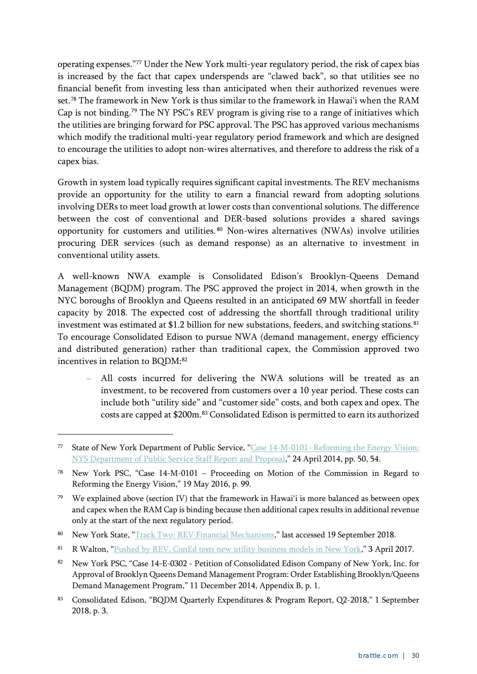operating expenses."[77](#page-33-0) Under the New York multi-year regulatory period, the risk of capex bias is increased by the fact that capex underspends are "clawed back", so that utilities see no financial benefit from investing less than anticipated when their authorized revenues were set.[78](#page-33-1) The framework in New York is thus similar to the framework in Hawai'i when the RAM Cap is not binding.[79](#page-33-2) The NY PSC's REV program is giving rise to a range of initiatives which the utilities are bringing forward for PSC approval. The PSC has approved various mechanisms which modify the traditional multi-year regulatory period framework and which are designed to encourage the utilities to adopt non-wires alternatives, and therefore to address the risk of a capex bias.

Growth in system load typically requires significant capital investments. The REV mechanisms provide an opportunity for the utility to earn a financial reward from adopting solutions involving DERs to meet load growth at lower costs than conventional solutions. The difference between the cost of conventional and DER-based solutions provides a shared savings opportunity for customers and utilities. [80](#page-33-3) Non-wires alternatives (NWAs) involve utilities procuring DER services (such as demand response) as an alternative to investment in conventional utility assets.

A well-known NWA example is Consolidated Edison's Brooklyn-Queens Demand Management (BQDM) program. The PSC approved the project in 2014, when growth in the NYC boroughs of Brooklyn and Queens resulted in an anticipated 69 MW shortfall in feeder capacity by 2018. The expected cost of addressing the shortfall through traditional utility investment was estimated at \$1.2 billion for new substations, feeders, and switching stations. [81](#page-33-4) To encourage Consolidated Edison to pursue NWA (demand management, energy efficiency and distributed generation) rather than traditional capex, the Commission approved two incentives in relation to BODM:<sup>[82](#page-33-5)</sup>

**–** All costs incurred for delivering the NWA solutions will be treated as an investment, to be recovered from customers over a 10 year period. These costs can include both "utility side" and "customer side" costs, and both capex and opex. The costs are capped at \$200m.[83](#page-33-6) Consolidated Edison is permitted to earn its authorized

- <span id="page-33-4"></span>81 R Walton, ["Pushed by REV, ConEd tests new utility](https://www.utilitydive.com/news/pushed-by-rev-coned-tests-new-utility-business-models-in-new-york/435489/) business models in New York," 3 April 2017.
- <span id="page-33-5"></span>82 New York PSC, "Case 14-E-0302 - Petition of Consolidated Edison Company of New York, Inc. for Approval of Brooklyn Queens Demand Management Program: Order Establishing Brooklyn/Queens Demand Management Program," 11 December 2014, Appendix B, p. 1.
- <span id="page-33-6"></span><sup>83</sup> Consolidated Edison, "BQDM Quarterly Expenditures & Program Report, Q2-2018," 1 September 2018, p. 3.

<span id="page-33-0"></span><sup>77</sup> State of New York Department of Public Service, "Case 14-M-0101- [Reforming the Energy Vision:](https://webcache.googleusercontent.com/search?q=cache:_vY7HxOzIT8J:https://www3.dps.ny.gov/W/PSCWeb.nsf/96f0fec0b45a3c6485257688006a701a/26be8a93967e604785257cc40066b91a/%2524FILE/ATTK0J3L.pdf/Reforming%2520The%2520Energy%2520Vision%2520(REV)%2520REPORT%25204.25.%252014.pdf+&cd=1&hl=en&ct=clnk&gl=au)  [NYS Department of Public Service Staff Report and Proposal,](https://webcache.googleusercontent.com/search?q=cache:_vY7HxOzIT8J:https://www3.dps.ny.gov/W/PSCWeb.nsf/96f0fec0b45a3c6485257688006a701a/26be8a93967e604785257cc40066b91a/%2524FILE/ATTK0J3L.pdf/Reforming%2520The%2520Energy%2520Vision%2520(REV)%2520REPORT%25204.25.%252014.pdf+&cd=1&hl=en&ct=clnk&gl=au)" 24 April 2014, pp. 50, 54.

<span id="page-33-1"></span><sup>78</sup> New York PSC, "Case 14-M-0101 – Proceeding on Motion of the Commission in Regard to Reforming the Energy Vision," 19 May 2016, p. 99.

<span id="page-33-2"></span><sup>&</sup>lt;sup>79</sup> We explained above (section [IV\)](#page-14-0) that the framework in Hawai'i is more balanced as between opex and capex when the RAM Cap is binding because then additional capex results in additional revenue only at the start of the next regulatory period.

<span id="page-33-3"></span><sup>80</sup> New York State, ["Track Two: REV Financial Mechanisms,](https://nyrevconnect.com/rev-briefings/track-two-rev-financial-mechanisms/)" last accessed 19 September 2018.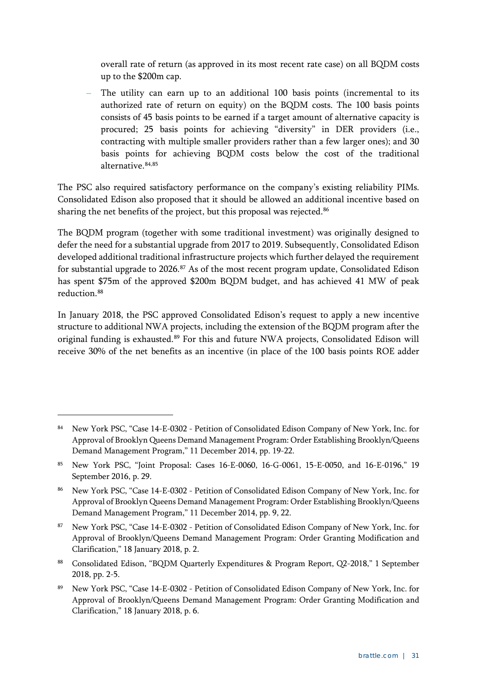overall rate of return (as approved in its most recent rate case) on all BQDM costs up to the \$200m cap.

The utility can earn up to an additional 100 basis points (incremental to its authorized rate of return on equity) on the BQDM costs. The 100 basis points consists of 45 basis points to be earned if a target amount of alternative capacity is procured; 25 basis points for achieving "diversity" in DER providers (i.e., contracting with multiple smaller providers rather than a few larger ones); and 30 basis points for achieving BQDM costs below the cost of the traditional alternative.[84](#page-34-0),[85](#page-34-1)

The PSC also required satisfactory performance on the company's existing reliability PIMs. Consolidated Edison also proposed that it should be allowed an additional incentive based on sharing the net benefits of the project, but this proposal was rejected.<sup>[86](#page-34-2)</sup>

The BQDM program (together with some traditional investment) was originally designed to defer the need for a substantial upgrade from 2017 to 2019. Subsequently, Consolidated Edison developed additional traditional infrastructure projects which further delayed the requirement for substantial upgrade to 2026.<sup>[87](#page-34-3)</sup> As of the most recent program update, Consolidated Edison has spent \$75m of the approved \$200m BQDM budget, and has achieved 41 MW of peak reduction.<sup>[88](#page-34-4)</sup>

In January 2018, the PSC approved Consolidated Edison's request to apply a new incentive structure to additional NWA projects, including the extension of the BQDM program after the original funding is exhausted.<sup>[89](#page-34-5)</sup> For this and future NWA projects, Consolidated Edison will receive 30% of the net benefits as an incentive (in place of the 100 basis points ROE adder

<span id="page-34-0"></span><sup>84</sup> New York PSC, "Case 14-E-0302 - Petition of Consolidated Edison Company of New York, Inc. for Approval of Brooklyn Queens Demand Management Program: Order Establishing Brooklyn/Queens Demand Management Program," 11 December 2014, pp. 19-22.

<span id="page-34-1"></span><sup>85</sup> New York PSC, "Joint Proposal: Cases 16-E-0060, 16-G-0061, 15-E-0050, and 16-E-0196," 19 September 2016, p. 29.

<span id="page-34-2"></span><sup>86</sup> New York PSC, "Case 14-E-0302 - Petition of Consolidated Edison Company of New York, Inc. for Approval of Brooklyn Queens Demand Management Program: Order Establishing Brooklyn/Queens Demand Management Program," 11 December 2014, pp. 9, 22.

<span id="page-34-3"></span><sup>87</sup> New York PSC, "Case 14-E-0302 - Petition of Consolidated Edison Company of New York, Inc. for Approval of Brooklyn/Queens Demand Management Program: Order Granting Modification and Clarification," 18 January 2018, p. 2.

<span id="page-34-4"></span><sup>88</sup> Consolidated Edison, "BQDM Quarterly Expenditures & Program Report, Q2-2018," 1 September 2018, pp. 2-5.

<span id="page-34-5"></span><sup>89</sup> New York PSC, "Case 14-E-0302 - Petition of Consolidated Edison Company of New York, Inc. for Approval of Brooklyn/Queens Demand Management Program: Order Granting Modification and Clarification," 18 January 2018, p. 6.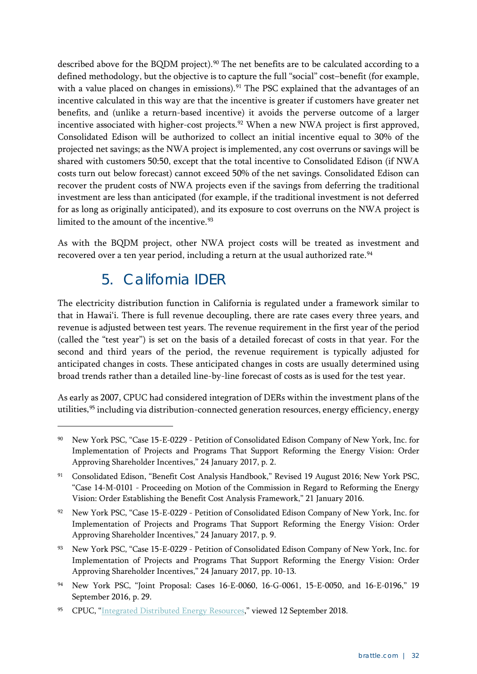described above for the BQDM project).<sup>[90](#page-35-1)</sup> The net benefits are to be calculated according to a defined methodology, but the objective is to capture the full "social" cost–benefit (for example, with a value placed on changes in emissions).<sup>[91](#page-35-2)</sup> The PSC explained that the advantages of an incentive calculated in this way are that the incentive is greater if customers have greater net benefits, and (unlike a return-based incentive) it avoids the perverse outcome of a larger incentive associated with higher-cost projects.<sup>[92](#page-35-3)</sup> When a new NWA project is first approved, Consolidated Edison will be authorized to collect an initial incentive equal to 30% of the projected net savings; as the NWA project is implemented, any cost overruns or savings will be shared with customers 50:50, except that the total incentive to Consolidated Edison (if NWA costs turn out below forecast) cannot exceed 50% of the net savings. Consolidated Edison can recover the prudent costs of NWA projects even if the savings from deferring the traditional investment are less than anticipated (for example, if the traditional investment is not deferred for as long as originally anticipated), and its exposure to cost overruns on the NWA project is limited to the amount of the incentive. $93$ 

<span id="page-35-0"></span>As with the BQDM project, other NWA project costs will be treated as investment and recovered over a ten year period, including a return at the usual authorized rate.<sup>[94](#page-35-5)</sup>

### 5. California IDER

-

The electricity distribution function in California is regulated under a framework similar to that in Hawai'i. There is full revenue decoupling, there are rate cases every three years, and revenue is adjusted between test years. The revenue requirement in the first year of the period (called the "test year") is set on the basis of a detailed forecast of costs in that year. For the second and third years of the period, the revenue requirement is typically adjusted for anticipated changes in costs. These anticipated changes in costs are usually determined using broad trends rather than a detailed line-by-line forecast of costs as is used for the test year.

As early as 2007, CPUC had considered integration of DERs within the investment plans of the utilities, <sup>[95](#page-35-6)</sup> including via distribution-connected generation resources, energy efficiency, energy

<span id="page-35-1"></span><sup>90</sup> New York PSC, "Case 15-E-0229 - Petition of Consolidated Edison Company of New York, Inc. for Implementation of Projects and Programs That Support Reforming the Energy Vision: Order Approving Shareholder Incentives," 24 January 2017, p. 2.

<span id="page-35-2"></span><sup>91</sup> Consolidated Edison, "Benefit Cost Analysis Handbook," Revised 19 August 2016; New York PSC, "Case 14-M-0101 - Proceeding on Motion of the Commission in Regard to Reforming the Energy Vision: Order Establishing the Benefit Cost Analysis Framework," 21 January 2016.

<span id="page-35-3"></span><sup>92</sup> New York PSC, "Case 15-E-0229 - Petition of Consolidated Edison Company of New York, Inc. for Implementation of Projects and Programs That Support Reforming the Energy Vision: Order Approving Shareholder Incentives," 24 January 2017, p. 9.

<span id="page-35-4"></span><sup>93</sup> New York PSC, "Case 15-E-0229 - Petition of Consolidated Edison Company of New York, Inc. for Implementation of Projects and Programs That Support Reforming the Energy Vision: Order Approving Shareholder Incentives," 24 January 2017, pp. 10-13.

<span id="page-35-5"></span><sup>94</sup> New York PSC, "Joint Proposal: Cases 16-E-0060, 16-G-0061, 15-E-0050, and 16-E-0196," 19 September 2016, p. 29.

<span id="page-35-6"></span><sup>95</sup> CPUC, ["Integrated Distributed Energy Resources,](http://www.cpuc.ca.gov/General.aspx?id=10710)" viewed 12 September 2018.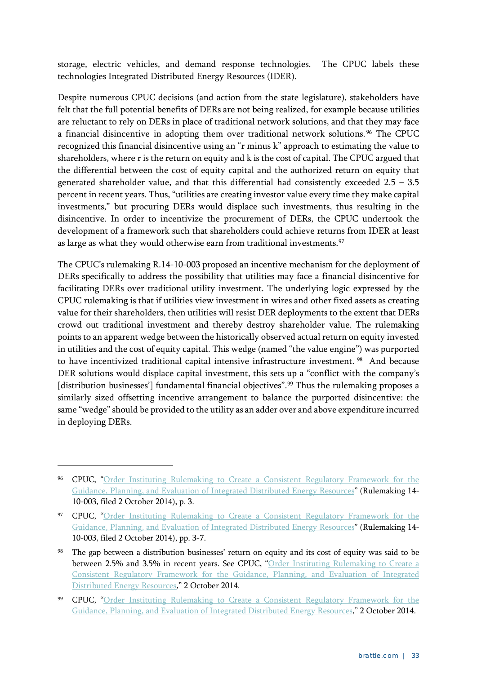storage, electric vehicles, and demand response technologies. The CPUC labels these technologies Integrated Distributed Energy Resources (IDER).

Despite numerous CPUC decisions (and action from the state legislature), stakeholders have felt that the full potential benefits of DERs are not being realized, for example because utilities are reluctant to rely on DERs in place of traditional network solutions, and that they may face a financial disincentive in adopting them over traditional network solutions. [96](#page-36-0) The CPUC recognized this financial disincentive using an "r minus k" approach to estimating the value to shareholders, where r is the return on equity and k is the cost of capital. The CPUC argued that the differential between the cost of equity capital and the authorized return on equity that generated shareholder value, and that this differential had consistently exceeded  $2.5 - 3.5$ percent in recent years. Thus, "utilities are creating investor value every time they make capital investments," but procuring DERs would displace such investments, thus resulting in the disincentive. In order to incentivize the procurement of DERs, the CPUC undertook the development of a framework such that shareholders could achieve returns from IDER at least as large as what they would otherwise earn from traditional investments.<sup>[97](#page-36-1)</sup>

The CPUC's rulemaking R.14-10-003 proposed an incentive mechanism for the deployment of DERs specifically to address the possibility that utilities may face a financial disincentive for facilitating DERs over traditional utility investment. The underlying logic expressed by the CPUC rulemaking is that if utilities view investment in wires and other fixed assets as creating value for their shareholders, then utilities will resist DER deployments to the extent that DERs crowd out traditional investment and thereby destroy shareholder value. The rulemaking points to an apparent wedge between the historically observed actual return on equity invested in utilities and the cost of equity capital. This wedge (named "the value engine") was purported to have incentivized traditional capital intensive infrastructure investment. [98](#page-36-2) And because DER solutions would displace capital investment, this sets up a "conflict with the company's [distribution businesses'] fundamental financial objectives".<sup>[99](#page-36-3)</sup> Thus the rulemaking proposes a similarly sized offsetting incentive arrangement to balance the purported disincentive: the same "wedge" should be provided to the utility as an adder over and above expenditure incurred in deploying DERs.

<span id="page-36-0"></span><sup>96</sup> CPUC, ["Order Instituting Rulemaking to Create a Consistent Regulatory Framework for the](http://docs.cpuc.ca.gov/PublishedDocs/Efile/G000/M159/K702/159702148.PDF) [Guidance, Planning, and Evaluation of Integrated Distributed Energy Resources"](http://docs.cpuc.ca.gov/PublishedDocs/Efile/G000/M159/K702/159702148.PDF) (Rulemaking 14- 10-003, filed 2 October 2014), p. 3.

<span id="page-36-1"></span><sup>97</sup> CPUC, ["Order Instituting Rulemaking to Create a Consistent Regulatory Framework for the](http://docs.cpuc.ca.gov/PublishedDocs/Efile/G000/M159/K702/159702148.PDF) [Guidance, Planning, and Evaluation of Integrated Distributed Energy Resources"](http://docs.cpuc.ca.gov/PublishedDocs/Efile/G000/M159/K702/159702148.PDF) (Rulemaking 14- 10-003, filed 2 October 2014), pp. 3-7.

<span id="page-36-2"></span><sup>98</sup> The gap between a distribution businesses' return on equity and its cost of equity was said to be between 2.5% and 3.5% in recent years. See CPUC, "Order Instituting Rulemaking to Create a [Consistent Regulatory Framework for the Guidance, Planning, and Evaluation of Integrated](http://docs.cpuc.ca.gov/PublishedDocs/Efile/G000/M159/K702/159702148.PDF)  [Distributed Energy](http://docs.cpuc.ca.gov/PublishedDocs/Efile/G000/M159/K702/159702148.PDF) Resources," 2 October 2014.

<span id="page-36-3"></span><sup>99</sup> CPUC, ["Order Instituting Rulemaking to Create a Consistent Regulatory Framework for the](http://docs.cpuc.ca.gov/PublishedDocs/Efile/G000/M159/K702/159702148.PDF)  [Guidance, Planning, and Evaluation of Integrated Distributed Energy Resources,](http://docs.cpuc.ca.gov/PublishedDocs/Efile/G000/M159/K702/159702148.PDF)" 2 October 2014.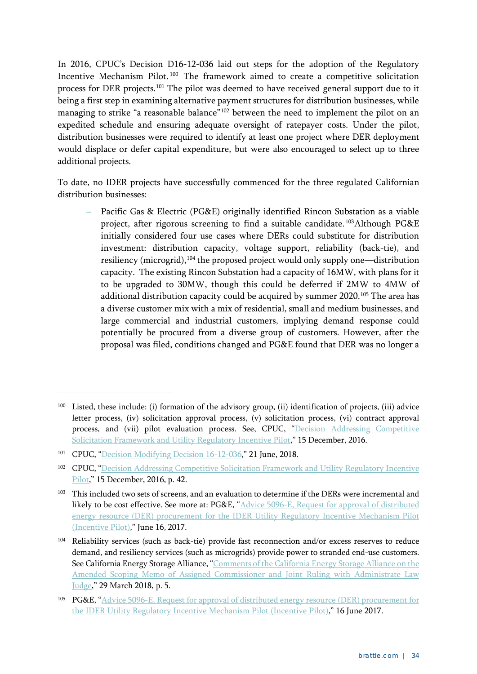In 2016, CPUC's Decision D16-12-036 laid out steps for the adoption of the Regulatory Incentive Mechanism Pilot. [100](#page-37-0) The framework aimed to create a competitive solicitation process for DER projects.[101](#page-37-1) The pilot was deemed to have received general support due to it being a first step in examining alternative payment structures for distribution businesses, while managing to strike "a reasonable balance"<sup>[102](#page-37-2)</sup> between the need to implement the pilot on an expedited schedule and ensuring adequate oversight of ratepayer costs. Under the pilot, distribution businesses were required to identify at least one project where DER deployment would displace or defer capital expenditure, but were also encouraged to select up to three additional projects.

To date, no IDER projects have successfully commenced for the three regulated Californian distribution businesses:

**–** Pacific Gas & Electric (PG&E) originally identified Rincon Substation as a viable project, after rigorous screening to find a suitable candidate. [103](#page-37-3)Although PG&E initially considered four use cases where DERs could substitute for distribution investment: distribution capacity, voltage support, reliability (back-tie), and resiliency (microgrid),[104](#page-37-4) the proposed project would only supply one—distribution capacity. The existing Rincon Substation had a capacity of 16MW, with plans for it to be upgraded to 30MW, though this could be deferred if 2MW to 4MW of additional distribution capacity could be acquired by summer 2020.<sup>[105](#page-37-5)</sup> The area has a diverse customer mix with a mix of residential, small and medium businesses, and large commercial and industrial customers, implying demand response could potentially be procured from a diverse group of customers. However, after the proposal was filed, conditions changed and PG&E found that DER was no longer a

<span id="page-37-0"></span><sup>100</sup> Listed, these include: (i) formation of the advisory group, (ii) identification of projects, (iii) advice letter process, (iv) solicitation approval process, (v) solicitation process, (vi) contract approval process, and (vii) pilot evaluation process. See, CPUC, "Decision Addressing Competitive [Solicitation Framework and Utility Regulatory Incentive Pilot,](http://docs.cpuc.ca.gov/PublishedDocs/Published/G000/M171/K555/171555623.PDF)" 15 December, 2016.

<span id="page-37-1"></span><sup>101</sup> CPUC, ["Decision Modifying Decision 16-12-036,](http://docs.cpuc.ca.gov/PublishedDocs/Published/G000/M216/K689/216689151.PDF)" 21 June, 2018.

<span id="page-37-2"></span><sup>102</sup> CPUC, ["Decision Addressing Competitive Solicitation Framework and Utility Regulatory Incentive](http://docs.cpuc.ca.gov/PublishedDocs/Published/G000/M171/K555/171555623.PDF)  [Pilot,](http://docs.cpuc.ca.gov/PublishedDocs/Published/G000/M171/K555/171555623.PDF)" 15 December, 2016, p. 42.

<span id="page-37-3"></span><sup>&</sup>lt;sup>103</sup> This included two sets of screens, and an evaluation to determine if the DERs were incremental and likely to be cost effective. See more at: PG&E, ["Advice 5096-E, Request for approval of distributed](https://www.pge.com/tariffs/assets/pdf/adviceletter/ELEC_5096-E.pdf)  [energy resource \(DER\) procurement for the IDER Utility Regulatory Incentive Mechanism Pilot](https://www.pge.com/tariffs/assets/pdf/adviceletter/ELEC_5096-E.pdf)  [\(Incentive Pilot\),](https://www.pge.com/tariffs/assets/pdf/adviceletter/ELEC_5096-E.pdf)" June 16, 2017.

<span id="page-37-4"></span><sup>104</sup> Reliability services (such as back-tie) provide fast reconnection and/or excess reserves to reduce demand, and resiliency services (such as microgrids) provide power to stranded end-use customers. See California Energy Storage Alliance, ["Comments of the California Energy Storage Alliance on the](http://www.storagealliance.org/sites/default/files/Filings/2018-03-29%20CESA%27s%20Comments%20on%20IDER%20Amended%20Scoping%20Memo%20-%20FINAL.pdf)  [Amended Scoping Memo of Assigned Commissioner and Joint Ruling with Administrate Law](http://www.storagealliance.org/sites/default/files/Filings/2018-03-29%20CESA%27s%20Comments%20on%20IDER%20Amended%20Scoping%20Memo%20-%20FINAL.pdf)  [Judge,](http://www.storagealliance.org/sites/default/files/Filings/2018-03-29%20CESA%27s%20Comments%20on%20IDER%20Amended%20Scoping%20Memo%20-%20FINAL.pdf)" 29 March 2018, p. 5.

<span id="page-37-5"></span><sup>105</sup> PG&E, ["Advice 5096-E, Request for approval of distributed energy](https://www.pge.com/tariffs/assets/pdf/adviceletter/ELEC_5096-E.pdf) resource (DER) procurement for [the IDER Utility Regulatory Incentive Mechanism Pilot \(Incentive Pilot\),](https://www.pge.com/tariffs/assets/pdf/adviceletter/ELEC_5096-E.pdf)" 16 June 2017.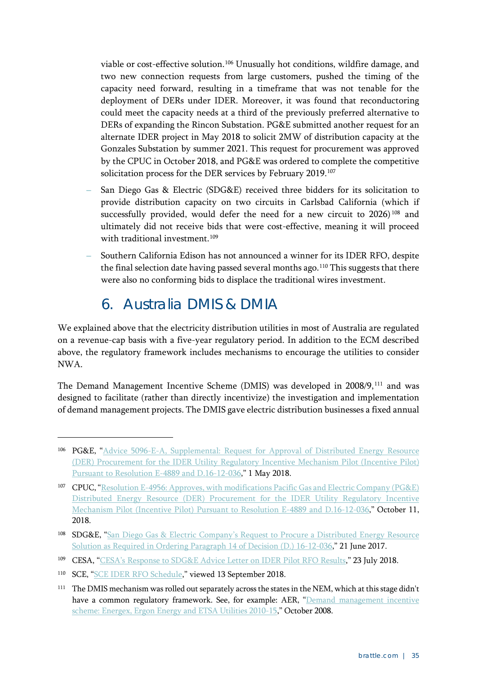viable or cost-effective solution.<sup>[106](#page-38-1)</sup> Unusually hot conditions, wildfire damage, and two new connection requests from large customers, pushed the timing of the capacity need forward, resulting in a timeframe that was not tenable for the deployment of DERs under IDER. Moreover, it was found that reconductoring could meet the capacity needs at a third of the previously preferred alternative to DERs of expanding the Rincon Substation. PG&E submitted another request for an alternate IDER project in May 2018 to solicit 2MW of distribution capacity at the Gonzales Substation by summer 2021. This request for procurement was approved by the CPUC in October 2018, and PG&E was ordered to complete the competitive solicitation process for the DER services by February 2019.[107](#page-38-2)

- **–** San Diego Gas & Electric (SDG&E) received three bidders for its solicitation to provide distribution capacity on two circuits in Carlsbad California (which if successfully provided, would defer the need for a new circuit to 2026)<sup>[108](#page-38-3)</sup> and ultimately did not receive bids that were cost-effective, meaning it will proceed with traditional investment.<sup>[109](#page-38-4)</sup>
- **–** Southern California Edison has not announced a winner for its IDER RFO, despite the final selection date having passed several months ago.<sup>[110](#page-38-5)</sup> This suggests that there were also no conforming bids to displace the traditional wires investment.

### 6. Australia DMIS & DMIA

<span id="page-38-0"></span>We explained above that the electricity distribution utilities in most of Australia are regulated on a revenue-cap basis with a five-year regulatory period. In addition to the ECM described above, the regulatory framework includes mechanisms to encourage the utilities to consider NWA.

The Demand Management Incentive Scheme (DMIS) was developed in 2008/9,<sup>[111](#page-38-6)</sup> and was designed to facilitate (rather than directly incentivize) the investigation and implementation of demand management projects. The DMIS gave electric distribution businesses a fixed annual

<span id="page-38-1"></span><sup>106</sup> PG&E, ["Advice 5096-E-A, Supplemental: Request for Approval of Distributed Energy Resource](https://www.pge.com/tariffs/assets/pdf/adviceletter/ELEC_5096-E-A.pdf)  [\(DER\) Procurement for the IDER Utility Regulatory Incentive Mechanism Pilot \(Incentive Pilot\)](https://www.pge.com/tariffs/assets/pdf/adviceletter/ELEC_5096-E-A.pdf)  [Pursuant to Resolution E-4889 and D.16-12-036,](https://www.pge.com/tariffs/assets/pdf/adviceletter/ELEC_5096-E-A.pdf)" 1 May 2018.

<span id="page-38-2"></span><sup>107</sup> CPUC, ["Resolution E-4956: Approves, with modifications Pacific Gas and Electric Company \(PG&E\)](http://docs.cpuc.ca.gov/PublishedDocs/Published/G000/M227/K110/227110359.PDF)  [Distributed Energy Resource \(DER\) Procurement for the IDER Utility Regulatory Incentive](http://docs.cpuc.ca.gov/PublishedDocs/Published/G000/M227/K110/227110359.PDF)  [Mechanism Pilot \(Incentive Pilot\) Pursuant to Resolution E-4889 and D.16-12-036,](http://docs.cpuc.ca.gov/PublishedDocs/Published/G000/M227/K110/227110359.PDF)" October 11, 2018.

<span id="page-38-3"></span><sup>108</sup> SDG&E, "San Diego Gas & Electric Company's Request to Procure a Distributed Energy Resource [Solution as Required in Ordering Paragraph 14 of Decision \(D.\) 16-12-036,](http://regarchive.sdge.com/tm2/pdf/3089-E.pdf)" 21 June 2017.

<span id="page-38-4"></span><sup>109</sup> CESA, ["CESA's Response to SDG&E Advice Letter on IDER Pilot RFO Results,](http://www.storagealliance.org/sites/default/files/Filings/2018-07-23%20CESA%27s%20Response%20to%20SDG%26E%20Advice%20Letter%20on%20IDER%20Pilot%20RFO%20Results%20-%20FINAL.pdf)" 23 July 2018.

<span id="page-38-5"></span><sup>110</sup> SCE, ["SCE IDER RFO Schedule,](https://sceider.accionpower.com/_sceider_1701/calendar.asp)" viewed 13 September 2018.

<span id="page-38-6"></span><sup>&</sup>lt;sup>111</sup> The DMIS mechanism was rolled out separately across the states in the NEM, which at this stage didn't have a common regulatory framework. See, for example: AER, "Demand management incentive [scheme: Energex, Ergon Energy and ETSA Utilities 2010-15,](https://www.aer.gov.au/system/files/Demand%20management%20incentive%20scheme%20for%20QLDSA%20-%20October%202008.pdf)" October 2008.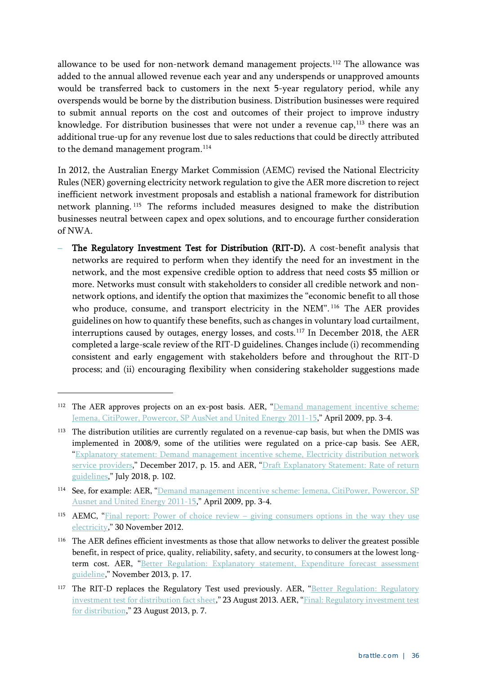allowance to be used for non-network demand management projects.<sup>[112](#page-39-0)</sup> The allowance was added to the annual allowed revenue each year and any underspends or unapproved amounts would be transferred back to customers in the next 5-year regulatory period, while any overspends would be borne by the distribution business. Distribution businesses were required to submit annual reports on the cost and outcomes of their project to improve industry knowledge. For distribution businesses that were not under a revenue cap, $113$  there was an additional true-up for any revenue lost due to sales reductions that could be directly attributed to the demand management program.<sup>[114](#page-39-2)</sup>

In 2012, the Australian Energy Market Commission (AEMC) revised the National Electricity Rules (NER) governing electricity network regulation to give the AER more discretion to reject inefficient network investment proposals and establish a national framework for distribution network planning. [115](#page-39-3) The reforms included measures designed to make the distribution businesses neutral between capex and opex solutions, and to encourage further consideration of NWA.

**–** The Regulatory Investment Test for Distribution (RIT-D). A cost-benefit analysis that networks are required to perform when they identify the need for an investment in the network, and the most expensive credible option to address that need costs \$5 million or more. Networks must consult with stakeholders to consider all credible network and nonnetwork options, and identify the option that maximizes the "economic benefit to all those who produce, consume, and transport electricity in the NEM".<sup>[116](#page-39-4)</sup> The AER provides guidelines on how to quantify these benefits, such as changes in voluntary load curtailment, interruptions caused by outages, energy losses, and costs.<sup>[117](#page-39-5)</sup> In December 2018, the AER completed a large-scale review of the RIT-D guidelines. Changes include (i) recommending consistent and early engagement with stakeholders before and throughout the RIT-D process; and (ii) encouraging flexibility when considering stakeholder suggestions made

<span id="page-39-0"></span><sup>&</sup>lt;sup>112</sup> The AER approves projects on an ex-post basis. AER, "Demand management incentive scheme: [Jemena, CitiPower, Powercor, SP AusNet and United Energy 2011-15,](https://www.aer.gov.au/system/files/Final%20Demand%20Management%20Incentive%20Scheme%20for%20Victorian%20DNSPs%20-%201%20April%202009.pdf)" April 2009, pp. 3-4.

<span id="page-39-1"></span><sup>&</sup>lt;sup>113</sup> The distribution utilities are currently regulated on a revenue-cap basis, but when the DMIS was implemented in 2008/9, some of the utilities were regulated on a price-cap basis. See AER, ["Explanatory statement: Demand management incentive scheme, Electricity distribution network](https://www.aer.gov.au/system/files/AER%20-%20Explanatory%20statement%20-%20Demand%20management%20incentive%20scheme%20-%2014%20December%202017.pdf)  [service providers,](https://www.aer.gov.au/system/files/AER%20-%20Explanatory%20statement%20-%20Demand%20management%20incentive%20scheme%20-%2014%20December%202017.pdf)" December 2017, p. 15. and AER, "Draft Explanatory Statement: Rate of return [guidelines,](https://www.aer.gov.au/system/files/AER%20-%20Draft%20rate%20of%20return%20guidelines-%20explanatory%20statement%20-%20%2010%20July%202018_0.pdf)" July 2018, p. 102.

<span id="page-39-2"></span><sup>114</sup> See, for example: AER, "Demand management incentive scheme: Jemena, CitiPower, Powercor, SP [Ausnet and United Energy 2011-15,](https://www.aer.gov.au/system/files/Final%20Demand%20Management%20Incentive%20Scheme%20for%20Victorian%20DNSPs%20-%201%20April%202009.pdf)" April 2009, pp. 3-4.

<span id="page-39-3"></span><sup>115</sup> AEMC, "Final report: Power of choice review – [giving consumers options in the way they use](https://www.aemc.gov.au/sites/default/files/content/2b566f4a-3c27-4b9d-9ddb-1652a691d469/Final-report.pdf)  [electricity,](https://www.aemc.gov.au/sites/default/files/content/2b566f4a-3c27-4b9d-9ddb-1652a691d469/Final-report.pdf)" 30 November 2012.

<span id="page-39-4"></span><sup>&</sup>lt;sup>116</sup> The AER defines efficient investments as those that allow networks to deliver the greatest possible benefit, in respect of price, quality, reliability, safety, and security, to consumers at the lowest longterm cost. AER, "Better Regulation: Explanatory statement, Expenditure forecast assessment [guideline,](https://www.aer.gov.au/system/files/Expenditure%20Forecast%20Assessment%20Guideline%20-%20Explanatory%20Statement%20-%20FINAL.pdf)" November 2013, p. 17.

<span id="page-39-5"></span><sup>&</sup>lt;sup>117</sup> The RIT-D replaces the Regulatory Test used previously. AER, "Better Regulation: Regulatory [investment test for distribution](https://www.aer.gov.au/system/files/AER%20Better%20Regulation%20factsheet%20-%20Regulatory%20investment%20test%20for%20distribution_1.pdf) fact sheet," 23 August 2013. AER, "Final: Regulatory investment test [for distribution,](https://www.aer.gov.au/system/files/AER%20-%20Final%20RIT-D%20-%2023%20August%202013.pdf)" 23 August 2013, p. 7.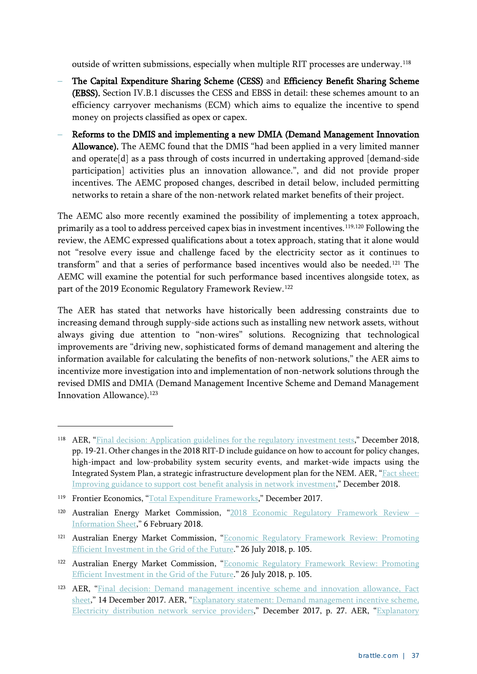outside of written submissions, especially when multiple RIT processes are underway.[118](#page-40-0)

- **–** The Capital Expenditure Sharing Scheme (CESS) and Efficiency Benefit Sharing Scheme (EBSS). Section [IV.B.1](#page-25-0) discusses the CESS and EBSS in detail: these schemes amount to an efficiency carryover mechanisms (ECM) which aims to equalize the incentive to spend money on projects classified as opex or capex.
- **–** Reforms to the DMIS and implementing a new DMIA (Demand Management Innovation Allowance). The AEMC found that the DMIS "had been applied in a very limited manner and operate[d] as a pass through of costs incurred in undertaking approved [demand-side participation] activities plus an innovation allowance.", and did not provide proper incentives. The AEMC proposed changes, described in detail below, included permitting networks to retain a share of the non-network related market benefits of their project.

The AEMC also more recently examined the possibility of implementing a totex approach, primarily as a tool to address perceived capex bias in investment incentives.[119](#page-40-1),[120](#page-40-2) Following the review, the AEMC expressed qualifications about a totex approach, stating that it alone would not "resolve every issue and challenge faced by the electricity sector as it continues to transform" and that a series of performance based incentives would also be needed.[121](#page-40-3) The AEMC will examine the potential for such performance based incentives alongside totex, as part of the 2019 Economic Regulatory Framework Review.<sup>[122](#page-40-4)</sup>

The AER has stated that networks have historically been addressing constraints due to increasing demand through supply-side actions such as installing new network assets, without always giving due attention to "non-wires" solutions. Recognizing that technological improvements are "driving new, sophisticated forms of demand management and altering the information available for calculating the benefits of non-network solutions," the AER aims to incentivize more investigation into and implementation of non-network solutions through the revised DMIS and DMIA (Demand Management Incentive Scheme and Demand Management Innovation Allowance). [123](#page-40-5)

<span id="page-40-0"></span><sup>118</sup> AER, ["Final decision: Application guidelines for the regulatory investment tests,](https://www.aer.gov.au/system/files/AER%20-%20Final%20decision%20-%20RIT%20application%20guidelines%20-%2014%20December%202018.pdf)" December 2018, pp. 19-21. Other changes in the 2018 RIT-D include guidance on how to account for policy changes, high-impact and low-probability system security events, and market-wide impacts using the Integrated System Plan, a strategic infrastructure development plan for the NEM. AER, ["Fact sheet:](https://www.aer.gov.au/system/files/AER%20-%20Fact%20Sheet%20-%20Final%20RIT%20application%20guidelines%20-%2014%20December%202018.pdf)  [Improving guidance to support cost benefit analysis in network investment,](https://www.aer.gov.au/system/files/AER%20-%20Fact%20Sheet%20-%20Final%20RIT%20application%20guidelines%20-%2014%20December%202018.pdf)" December 2018.

<span id="page-40-1"></span><sup>119</sup> Frontier Economics, ["Total Expenditure Frameworks,](https://www.aemc.gov.au/sites/default/files/content/ae0d3fc5-4b9a-496a-a072-50886bc5c86f/2017-12-20-Totex-frameworks-Final-report-STC.pdf)" December 2017.

<span id="page-40-2"></span><sup>120</sup> Australian Energy Market Commission, ["2018 Economic Regulatory Framework Review –](https://www.aemc.gov.au/sites/default/files/2018-07/Information%20sheet_1.pdf) [Information Sheet,](https://www.aemc.gov.au/sites/default/files/2018-07/Information%20sheet_1.pdf)" 6 February 2018.

<span id="page-40-3"></span><sup>121</sup> Australian Energy Market Commission, ["Economic Regulatory Framework Review: Promoting](https://www.aemc.gov.au/sites/default/files/2018-07/Final%20Report.pdf)  [Efficient Investment in the Grid of the Future.](https://www.aemc.gov.au/sites/default/files/2018-07/Final%20Report.pdf)" 26 July 2018, p. 105.

<span id="page-40-4"></span><sup>122</sup> Australian Energy Market Commission, "Economic Regulatory Framework Review: Promoting [Efficient Investment in the Grid of the Future.](https://www.aemc.gov.au/sites/default/files/2018-07/Final%20Report.pdf)" 26 July 2018, p. 105.

<span id="page-40-5"></span><sup>123</sup> AER, ["Final decision: Demand management incentive scheme and innovation allowance, Fact](https://www.aer.gov.au/system/files/D17-173575%20AER%20-%20Fact%20Sheet%20-%20Final%20demand%20management%20incentive%20scheme%20and%20innovation%20allowance%20mechanism%20-%2013%20December%202017.pdf)  [sheet,](https://www.aer.gov.au/system/files/D17-173575%20AER%20-%20Fact%20Sheet%20-%20Final%20demand%20management%20incentive%20scheme%20and%20innovation%20allowance%20mechanism%20-%2013%20December%202017.pdf)" 14 December 2017. AER, ["Explanatory statement: Demand management incentive scheme,](https://www.aer.gov.au/system/files/AER%20-%20Explanatory%20statement%20-%20Demand%20management%20incentive%20scheme%20-%2014%20December%202017.pdf)  [Electricity distribution network service providers,](https://www.aer.gov.au/system/files/AER%20-%20Explanatory%20statement%20-%20Demand%20management%20incentive%20scheme%20-%2014%20December%202017.pdf)" December 2017, p. 27. AER, "Explanatory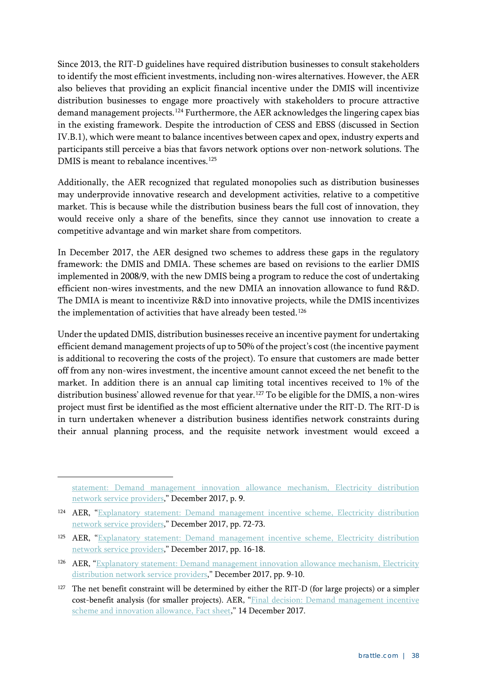Since 2013, the RIT-D guidelines have required distribution businesses to consult stakeholders to identify the most efficient investments, including non-wires alternatives. However, the AER also believes that providing an explicit financial incentive under the DMIS will incentivize distribution businesses to engage more proactively with stakeholders to procure attractive demand management projects.<sup>[124](#page-41-0)</sup> Furthermore, the AER acknowledges the lingering capex bias in the existing framework. Despite the introduction of CESS and EBSS (discussed in Section [IV.B.1\)](#page-25-0), which were meant to balance incentives between capex and opex, industry experts and participants still perceive a bias that favors network options over non-network solutions. The DMIS is meant to rebalance incentives.<sup>[125](#page-41-1)</sup>

Additionally, the AER recognized that regulated monopolies such as distribution businesses may underprovide innovative research and development activities, relative to a competitive market. This is because while the distribution business bears the full cost of innovation, they would receive only a share of the benefits, since they cannot use innovation to create a competitive advantage and win market share from competitors.

In December 2017, the AER designed two schemes to address these gaps in the regulatory framework: the DMIS and DMIA. These schemes are based on revisions to the earlier DMIS implemented in 2008/9, with the new DMIS being a program to reduce the cost of undertaking efficient non-wires investments, and the new DMIA an innovation allowance to fund R&D. The DMIA is meant to incentivize R&D into innovative projects, while the DMIS incentivizes the implementation of activities that have already been tested.<sup>[126](#page-41-2)</sup>

Under the updated DMIS, distribution businesses receive an incentive payment for undertaking efficient demand management projects of up to 50% of the project's cost (the incentive payment is additional to recovering the costs of the project). To ensure that customers are made better off from any non-wires investment, the incentive amount cannot exceed the net benefit to the market. In addition there is an annual cap limiting total incentives received to 1% of the distribution business' allowed revenue for that year.<sup>[127](#page-41-3)</sup> To be eligible for the DMIS, a non-wires project must first be identified as the most efficient alternative under the RIT-D. The RIT-D is in turn undertaken whenever a distribution business identifies network constraints during their annual planning process, and the requisite network investment would exceed a

[statement: Demand management innovation allowance mechanism, Electricity distribution](https://www.aer.gov.au/system/files/AER%20-%20Explanatory%20statement%20-%20Demand%20management%20innovation%20allowance%20mechanism%20-%2014%20December%202017.pdf)  [network service providers,](https://www.aer.gov.au/system/files/AER%20-%20Explanatory%20statement%20-%20Demand%20management%20innovation%20allowance%20mechanism%20-%2014%20December%202017.pdf)" December 2017, p. 9.

<span id="page-41-0"></span><sup>124</sup> AER, ["Explanatory statement: Demand management incentive scheme, Electricity distribution](https://www.aer.gov.au/system/files/AER%20-%20Explanatory%20statement%20-%20Demand%20management%20incentive%20scheme%20-%2014%20December%202017.pdf)  [network service providers,](https://www.aer.gov.au/system/files/AER%20-%20Explanatory%20statement%20-%20Demand%20management%20incentive%20scheme%20-%2014%20December%202017.pdf)" December 2017, pp. 72-73.

<span id="page-41-1"></span><sup>125</sup> AER, "Explanatory statement: Demand management incentive scheme, Electricity distribution [network service providers,](https://www.aer.gov.au/system/files/AER%20-%20Explanatory%20statement%20-%20Demand%20management%20incentive%20scheme%20-%2014%20December%202017.pdf)" December 2017, pp. 16-18.

<span id="page-41-2"></span><sup>&</sup>lt;sup>126</sup> AER, "Explanatory statement: Demand management innovation allowance mechanism, Electricity [distribution network service providers,](https://www.aer.gov.au/system/files/AER%20-%20Explanatory%20statement%20-%20Demand%20management%20innovation%20allowance%20mechanism%20-%2014%20December%202017.pdf)" December 2017, pp. 9-10.

<span id="page-41-3"></span><sup>&</sup>lt;sup>127</sup> The net benefit constraint will be determined by either the RIT-D (for large projects) or a simpler cost-benefit analysis (for smaller projects). AER, ["Final decision: Demand management incentive](https://www.aer.gov.au/system/files/D17-173575%20AER%20-%20Fact%20Sheet%20-%20Final%20demand%20management%20incentive%20scheme%20and%20innovation%20allowance%20mechanism%20-%2013%20December%202017.pdf)  [scheme and innovation allowance, Fact sheet,](https://www.aer.gov.au/system/files/D17-173575%20AER%20-%20Fact%20Sheet%20-%20Final%20demand%20management%20incentive%20scheme%20and%20innovation%20allowance%20mechanism%20-%2013%20December%202017.pdf)" 14 December 2017.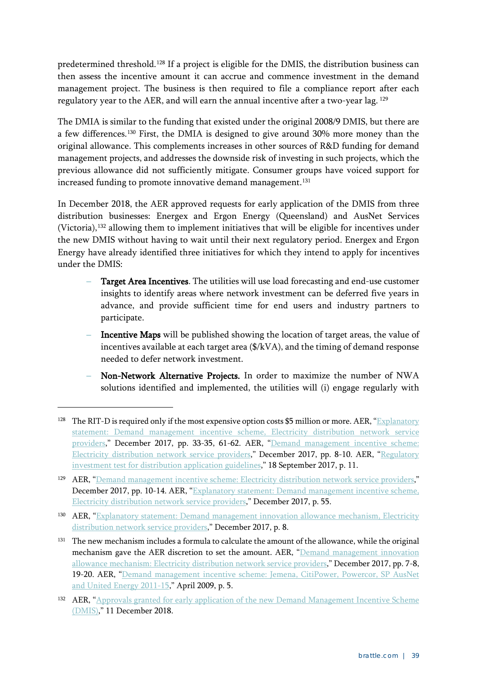predetermined threshold.[128](#page-42-0) If a project is eligible for the DMIS, the distribution business can then assess the incentive amount it can accrue and commence investment in the demand management project. The business is then required to file a compliance report after each regulatory year to the AER, and will earn the annual incentive after a two-year lag. [129](#page-42-1)

The DMIA is similar to the funding that existed under the original 2008/9 DMIS, but there are a few differences.[130](#page-42-2) First, the DMIA is designed to give around 30% more money than the original allowance. This complements increases in other sources of R&D funding for demand management projects, and addresses the downside risk of investing in such projects, which the previous allowance did not sufficiently mitigate. Consumer groups have voiced support for increased funding to promote innovative demand management.<sup>131</sup>

In December 2018, the AER approved requests for early application of the DMIS from three distribution businesses: Energex and Ergon Energy (Queensland) and AusNet Services (Victoria),[132](#page-42-4) allowing them to implement initiatives that will be eligible for incentives under the new DMIS without having to wait until their next regulatory period. Energex and Ergon Energy have already identified three initiatives for which they intend to apply for incentives under the DMIS:

- **–** Target Area Incentives. The utilities will use load forecasting and end-use customer insights to identify areas where network investment can be deferred five years in advance, and provide sufficient time for end users and industry partners to participate.
- **–** Incentive Maps will be published showing the location of target areas, the value of incentives available at each target area (\$/kVA), and the timing of demand response needed to defer network investment.
- **–** Non-Network Alternative Projects. In order to maximize the number of NWA solutions identified and implemented, the utilities will (i) engage regularly with

<span id="page-42-0"></span><sup>&</sup>lt;sup>128</sup> The RIT-D is required only if the most expensive option costs \$5 million or more. AER, "Explanatory" [statement: Demand management incentive scheme, Electricity distribution network service](https://www.aer.gov.au/system/files/AER%20-%20Explanatory%20statement%20-%20Demand%20management%20incentive%20scheme%20-%2014%20December%202017.pdf)  [providers,](https://www.aer.gov.au/system/files/AER%20-%20Explanatory%20statement%20-%20Demand%20management%20incentive%20scheme%20-%2014%20December%202017.pdf)" December 2017, pp. 33-35, 61-62. AER, ["Demand management incentive scheme:](https://www.aer.gov.au/system/files/AER%20-%20Demand%20management%20incentive%20scheme%20-%2014%20December%202017.pdf)  [Electricity distribution network service providers,](https://www.aer.gov.au/system/files/AER%20-%20Demand%20management%20incentive%20scheme%20-%2014%20December%202017.pdf)" December 2017, pp. 8-10. AER, ["Regulatory](https://www.aer.gov.au/system/files/AER%20-%20Final%20RIT-D%20application%20guidelines%20-%20September%202017.pdf)  [investment test for distribution application guidelines,](https://www.aer.gov.au/system/files/AER%20-%20Final%20RIT-D%20application%20guidelines%20-%20September%202017.pdf)" 18 September 2017, p. 11.

<span id="page-42-1"></span><sup>129</sup> AER, ["Demand management incentive scheme: Electricity distribution network service providers,](https://www.aer.gov.au/system/files/AER%20-%20Demand%20management%20incentive%20scheme%20-%2014%20December%202017.pdf)" December 2017, pp. 10-14. AER, "Explanatory statement: Demand management incentive scheme, [Electricity distribution network service providers,](https://www.aer.gov.au/system/files/AER%20-%20Explanatory%20statement%20-%20Demand%20management%20incentive%20scheme%20-%2014%20December%202017.pdf)" December 2017, p. 55.

<span id="page-42-2"></span><sup>130</sup> AER, ["Explanatory statement: Demand management innovation allowance mechanism, Electricity](https://www.aer.gov.au/system/files/AER%20-%20Explanatory%20statement%20-%20Demand%20management%20innovation%20allowance%20mechanism%20-%2014%20December%202017.pdf)  [distribution network service providers,](https://www.aer.gov.au/system/files/AER%20-%20Explanatory%20statement%20-%20Demand%20management%20innovation%20allowance%20mechanism%20-%2014%20December%202017.pdf)" December 2017, p. 8.

<span id="page-42-3"></span><sup>&</sup>lt;sup>131</sup> The new mechanism includes a formula to calculate the amount of the allowance, while the original mechanism gave the AER discretion to set the amount. AER, ["Demand management innovation](https://www.aer.gov.au/system/files/AER%20-%20Demand%20management%20allowance%20mechanism%20-%2014%20December%202017.pdf)  [allowance mechanism: Electricity distribution network service providers,](https://www.aer.gov.au/system/files/AER%20-%20Demand%20management%20allowance%20mechanism%20-%2014%20December%202017.pdf)" December 2017, pp. 7-8, 19-20. AER, ["Demand management incentive scheme: Jemena, CitiPower, Powercor, SP AusNet](https://www.aer.gov.au/system/files/Final%20Demand%20Management%20Incentive%20Scheme%20for%20Victorian%20DNSPs%20-%201%20April%202009.pdf)  [and United Energy 2011-15,](https://www.aer.gov.au/system/files/Final%20Demand%20Management%20Incentive%20Scheme%20for%20Victorian%20DNSPs%20-%201%20April%202009.pdf)" April 2009, p. 5.

<span id="page-42-4"></span><sup>132</sup> AER, "Approvals granted for early application of the new Demand Management Incentive Scheme [\(DMIS\),](https://www.aer.gov.au/communication/approvals-granted-for-early-application-of-the-new-demand-management-incentive-scheme-dmis)" 11 December 2018.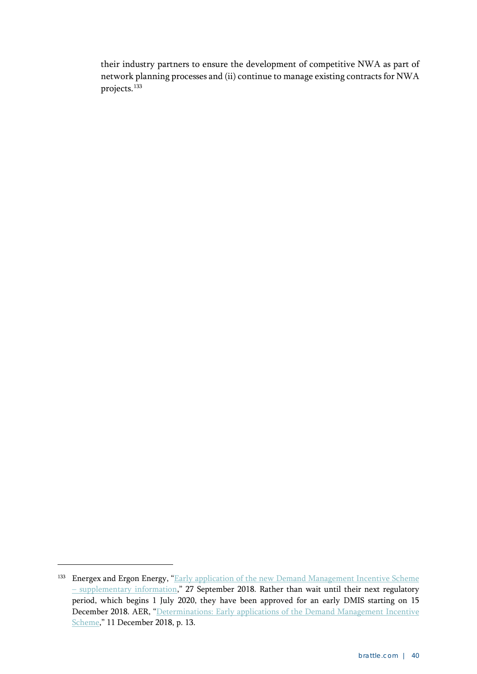their industry partners to ensure the development of competitive NWA as part of network planning processes and (ii) continue to manage existing contracts for NWA projects.<sup>[133](#page-43-0)</sup>

<span id="page-43-0"></span><sup>&</sup>lt;sup>133</sup> Energex and Ergon Energy, "Early application of the new Demand Management Incentive Scheme – [supplementary information,](https://www.aer.gov.au/system/files/EGX%20EE%20letter%20to%20AER%20Early%20application%20of%20DMIS_supplementary%20information_27Sep18.pdf)" 27 September 2018. Rather than wait until their next regulatory period, which begins 1 July 2020, they have been approved for an early DMIS starting on 15 December 2018. AER, "Determinations: Early applications of the Demand Management Incentive [Scheme,](https://www.aer.gov.au/system/files/AER%20%E2%80%93%20Final%20determinations%20-%20Early%20application%20of%20the%20Demand%20Management%20Incentive%20Scheme%20-%20AusNet%20Services%2C%20Ergon%20and%20Energex%20-%2011%20December%202018.pdf)" 11 December 2018, p. 13.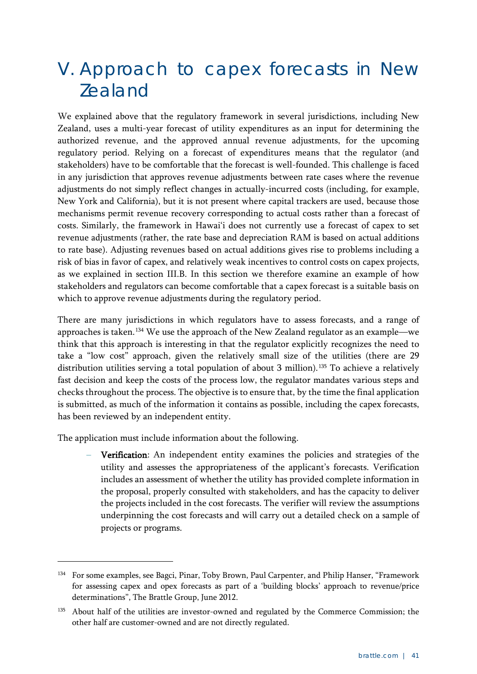## <span id="page-44-0"></span>V. Approach to capex forecasts in New Zealand

We explained above that the regulatory framework in several jurisdictions, including New Zealand, uses a multi-year forecast of utility expenditures as an input for determining the authorized revenue, and the approved annual revenue adjustments, for the upcoming regulatory period. Relying on a forecast of expenditures means that the regulator (and stakeholders) have to be comfortable that the forecast is well-founded. This challenge is faced in any jurisdiction that approves revenue adjustments between rate cases where the revenue adjustments do not simply reflect changes in actually-incurred costs (including, for example, New York and California), but it is not present where capital trackers are used, because those mechanisms permit revenue recovery corresponding to actual costs rather than a forecast of costs. Similarly, the framework in Hawai'i does not currently use a forecast of capex to set revenue adjustments (rather, the rate base and depreciation RAM is based on actual additions to rate base). Adjusting revenues based on actual additions gives rise to problems including a risk of bias in favor of capex, and relatively weak incentives to control costs on capex projects, as we explained in section [III.B.](#page-17-0) In this section we therefore examine an example of how stakeholders and regulators can become comfortable that a capex forecast is a suitable basis on which to approve revenue adjustments during the regulatory period.

There are many jurisdictions in which regulators have to assess forecasts, and a range of approaches is taken.<sup>[134](#page-44-1)</sup> We use the approach of the New Zealand regulator as an example—we think that this approach is interesting in that the regulator explicitly recognizes the need to take a "low cost" approach, given the relatively small size of the utilities (there are 29 distribution utilities serving a total population of about 3 million).<sup>[135](#page-44-2)</sup> To achieve a relatively fast decision and keep the costs of the process low, the regulator mandates various steps and checks throughout the process. The objective is to ensure that, by the time the final application is submitted, as much of the information it contains as possible, including the capex forecasts, has been reviewed by an independent entity.

The application must include information about the following.

-

**–** Verification: An independent entity examines the policies and strategies of the utility and assesses the appropriateness of the applicant's forecasts. Verification includes an assessment of whether the utility has provided complete information in the proposal, properly consulted with stakeholders, and has the capacity to deliver the projects included in the cost forecasts. The verifier will review the assumptions underpinning the cost forecasts and will carry out a detailed check on a sample of projects or programs.

<span id="page-44-1"></span><sup>&</sup>lt;sup>134</sup> For some examples, see Bagci, Pinar, Toby Brown, Paul Carpenter, and Philip Hanser, "Framework for assessing capex and opex forecasts as part of a 'building blocks' approach to revenue/price determinations", The Brattle Group, June 2012.

<span id="page-44-2"></span><sup>&</sup>lt;sup>135</sup> About half of the utilities are investor-owned and regulated by the Commerce Commission; the other half are customer-owned and are not directly regulated.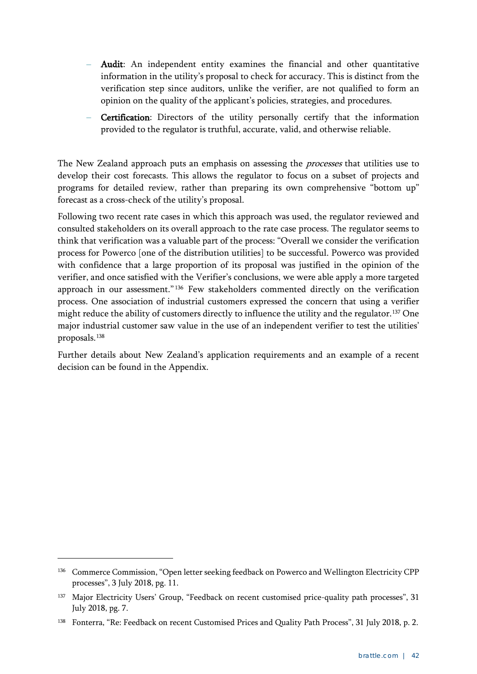- **–** Audit: An independent entity examines the financial and other quantitative information in the utility's proposal to check for accuracy. This is distinct from the verification step since auditors, unlike the verifier, are not qualified to form an opinion on the quality of the applicant's policies, strategies, and procedures.
- **–** Certification: Directors of the utility personally certify that the information provided to the regulator is truthful, accurate, valid, and otherwise reliable.

The New Zealand approach puts an emphasis on assessing the *processes* that utilities use to develop their cost forecasts. This allows the regulator to focus on a subset of projects and programs for detailed review, rather than preparing its own comprehensive "bottom up" forecast as a cross-check of the utility's proposal.

Following two recent rate cases in which this approach was used, the regulator reviewed and consulted stakeholders on its overall approach to the rate case process. The regulator seems to think that verification was a valuable part of the process: "Overall we consider the verification process for Powerco [one of the distribution utilities] to be successful. Powerco was provided with confidence that a large proportion of its proposal was justified in the opinion of the verifier, and once satisfied with the Verifier's conclusions, we were able apply a more targeted approach in our assessment."<sup>[136](#page-45-0)</sup> Few stakeholders commented directly on the verification process. One association of industrial customers expressed the concern that using a verifier might reduce the ability of customers directly to influence the utility and the regulator.<sup>[137](#page-45-1)</sup> One major industrial customer saw value in the use of an independent verifier to test the utilities' proposals.[138](#page-45-2)

Further details about New Zealand's application requirements and an example of a recent decision can be found in the Appendix.

<span id="page-45-0"></span><sup>&</sup>lt;sup>136</sup> Commerce Commission, "Open letter seeking feedback on Powerco and Wellington Electricity CPP processes", 3 July 2018, pg. 11.

<span id="page-45-1"></span><sup>&</sup>lt;sup>137</sup> Major Electricity Users' Group, "Feedback on recent customised price-quality path processes", 31 July 2018, pg. 7.

<span id="page-45-2"></span><sup>&</sup>lt;sup>138</sup> Fonterra, "Re: Feedback on recent Customised Prices and Quality Path Process", 31 July 2018, p. 2.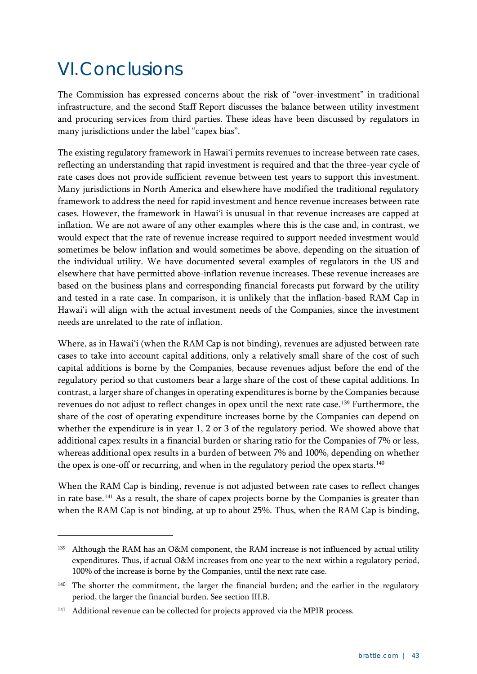## <span id="page-46-0"></span>VI.Conclusions

-

The Commission has expressed concerns about the risk of "over-investment" in traditional infrastructure, and the second Staff Report discusses the balance between utility investment and procuring services from third parties. These ideas have been discussed by regulators in many jurisdictions under the label "capex bias".

The existing regulatory framework in Hawai'i permits revenues to increase between rate cases, reflecting an understanding that rapid investment is required and that the three-year cycle of rate cases does not provide sufficient revenue between test years to support this investment. Many jurisdictions in North America and elsewhere have modified the traditional regulatory framework to address the need for rapid investment and hence revenue increases between rate cases. However, the framework in Hawai'i is unusual in that revenue increases are capped at inflation. We are not aware of any other examples where this is the case and, in contrast, we would expect that the rate of revenue increase required to support needed investment would sometimes be below inflation and would sometimes be above, depending on the situation of the individual utility. We have documented several examples of regulators in the US and elsewhere that have permitted above-inflation revenue increases. These revenue increases are based on the business plans and corresponding financial forecasts put forward by the utility and tested in a rate case. In comparison, it is unlikely that the inflation-based RAM Cap in Hawai'i will align with the actual investment needs of the Companies, since the investment needs are unrelated to the rate of inflation.

Where, as in Hawai'i (when the RAM Cap is not binding), revenues are adjusted between rate cases to take into account capital additions, only a relatively small share of the cost of such capital additions is borne by the Companies, because revenues adjust before the end of the regulatory period so that customers bear a large share of the cost of these capital additions. In contrast, a larger share of changes in operating expenditures is borne by the Companies because revenues do not adjust to reflect changes in opex until the next rate case.<sup>[139](#page-46-1)</sup> Furthermore, the share of the cost of operating expenditure increases borne by the Companies can depend on whether the expenditure is in year 1, 2 or 3 of the regulatory period. We showed above that additional capex results in a financial burden or sharing ratio for the Companies of 7% or less, whereas additional opex results in a burden of between 7% and 100%, depending on whether the opex is one-off or recurring, and when in the regulatory period the opex starts. $140$ 

When the RAM Cap is binding, revenue is not adjusted between rate cases to reflect changes in rate base.<sup>[141](#page-46-3)</sup> As a result, the share of capex projects borne by the Companies is greater than when the RAM Cap is not binding, at up to about 25%. Thus, when the RAM Cap is binding,

<span id="page-46-1"></span>Although the RAM has an O&M component, the RAM increase is not influenced by actual utility expenditures. Thus, if actual O&M increases from one year to the next within a regulatory period, 100% of the increase is borne by the Companies, until the next rate case.

<span id="page-46-2"></span><sup>&</sup>lt;sup>140</sup> The shorter the commitment, the larger the financial burden; and the earlier in the regulatory period, the larger the financial burden. See section [III.B.](#page-17-0)

<span id="page-46-3"></span><sup>&</sup>lt;sup>141</sup> Additional revenue can be collected for projects approved via the MPIR process.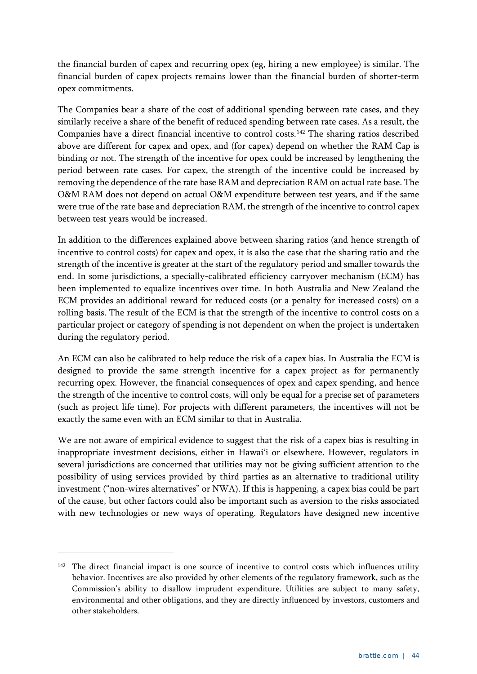the financial burden of capex and recurring opex (eg, hiring a new employee) is similar. The financial burden of capex projects remains lower than the financial burden of shorter-term opex commitments.

The Companies bear a share of the cost of additional spending between rate cases, and they similarly receive a share of the benefit of reduced spending between rate cases. As a result, the Companies have a direct financial incentive to control costs.[142](#page-47-0) The sharing ratios described above are different for capex and opex, and (for capex) depend on whether the RAM Cap is binding or not. The strength of the incentive for opex could be increased by lengthening the period between rate cases. For capex, the strength of the incentive could be increased by removing the dependence of the rate base RAM and depreciation RAM on actual rate base. The O&M RAM does not depend on actual O&M expenditure between test years, and if the same were true of the rate base and depreciation RAM, the strength of the incentive to control capex between test years would be increased.

In addition to the differences explained above between sharing ratios (and hence strength of incentive to control costs) for capex and opex, it is also the case that the sharing ratio and the strength of the incentive is greater at the start of the regulatory period and smaller towards the end. In some jurisdictions, a specially-calibrated efficiency carryover mechanism (ECM) has been implemented to equalize incentives over time. In both Australia and New Zealand the ECM provides an additional reward for reduced costs (or a penalty for increased costs) on a rolling basis. The result of the ECM is that the strength of the incentive to control costs on a particular project or category of spending is not dependent on when the project is undertaken during the regulatory period.

An ECM can also be calibrated to help reduce the risk of a capex bias. In Australia the ECM is designed to provide the same strength incentive for a capex project as for permanently recurring opex. However, the financial consequences of opex and capex spending, and hence the strength of the incentive to control costs, will only be equal for a precise set of parameters (such as project life time). For projects with different parameters, the incentives will not be exactly the same even with an ECM similar to that in Australia.

We are not aware of empirical evidence to suggest that the risk of a capex bias is resulting in inappropriate investment decisions, either in Hawai'i or elsewhere. However, regulators in several jurisdictions are concerned that utilities may not be giving sufficient attention to the possibility of using services provided by third parties as an alternative to traditional utility investment ("non-wires alternatives" or NWA). If this is happening, a capex bias could be part of the cause, but other factors could also be important such as aversion to the risks associated with new technologies or new ways of operating. Regulators have designed new incentive

<span id="page-47-0"></span><sup>&</sup>lt;sup>142</sup> The direct financial impact is one source of incentive to control costs which influences utility behavior. Incentives are also provided by other elements of the regulatory framework, such as the Commission's ability to disallow imprudent expenditure. Utilities are subject to many safety, environmental and other obligations, and they are directly influenced by investors, customers and other stakeholders.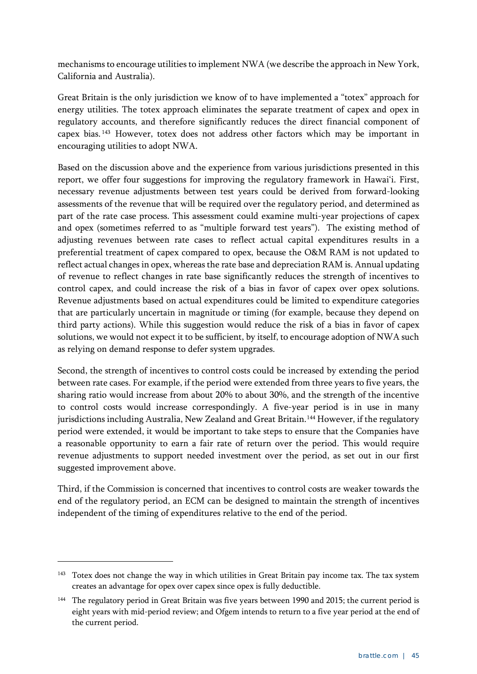mechanisms to encourage utilities to implement NWA (we describe the approach in New York, California and Australia).

Great Britain is the only jurisdiction we know of to have implemented a "totex" approach for energy utilities. The totex approach eliminates the separate treatment of capex and opex in regulatory accounts, and therefore significantly reduces the direct financial component of capex bias. [143](#page-48-0) However, totex does not address other factors which may be important in encouraging utilities to adopt NWA.

Based on the discussion above and the experience from various jurisdictions presented in this report, we offer four suggestions for improving the regulatory framework in Hawai'i. First, necessary revenue adjustments between test years could be derived from forward-looking assessments of the revenue that will be required over the regulatory period, and determined as part of the rate case process. This assessment could examine multi-year projections of capex and opex (sometimes referred to as "multiple forward test years"). The existing method of adjusting revenues between rate cases to reflect actual capital expenditures results in a preferential treatment of capex compared to opex, because the O&M RAM is not updated to reflect actual changes in opex, whereas the rate base and depreciation RAM is. Annual updating of revenue to reflect changes in rate base significantly reduces the strength of incentives to control capex, and could increase the risk of a bias in favor of capex over opex solutions. Revenue adjustments based on actual expenditures could be limited to expenditure categories that are particularly uncertain in magnitude or timing (for example, because they depend on third party actions). While this suggestion would reduce the risk of a bias in favor of capex solutions, we would not expect it to be sufficient, by itself, to encourage adoption of NWA such as relying on demand response to defer system upgrades.

Second, the strength of incentives to control costs could be increased by extending the period between rate cases. For example, if the period were extended from three years to five years, the sharing ratio would increase from about 20% to about 30%, and the strength of the incentive to control costs would increase correspondingly. A five-year period is in use in many jurisdictions including Australia, New Zealand and Great Britain.<sup>[144](#page-48-1)</sup> However, if the regulatory period were extended, it would be important to take steps to ensure that the Companies have a reasonable opportunity to earn a fair rate of return over the period. This would require revenue adjustments to support needed investment over the period, as set out in our first suggested improvement above.

Third, if the Commission is concerned that incentives to control costs are weaker towards the end of the regulatory period, an ECM can be designed to maintain the strength of incentives independent of the timing of expenditures relative to the end of the period.

<span id="page-48-0"></span><sup>&</sup>lt;sup>143</sup> Totex does not change the way in which utilities in Great Britain pay income tax. The tax system creates an advantage for opex over capex since opex is fully deductible.

<span id="page-48-1"></span><sup>&</sup>lt;sup>144</sup> The regulatory period in Great Britain was five years between 1990 and 2015; the current period is eight years with mid-period review; and Ofgem intends to return to a five year period at the end of the current period.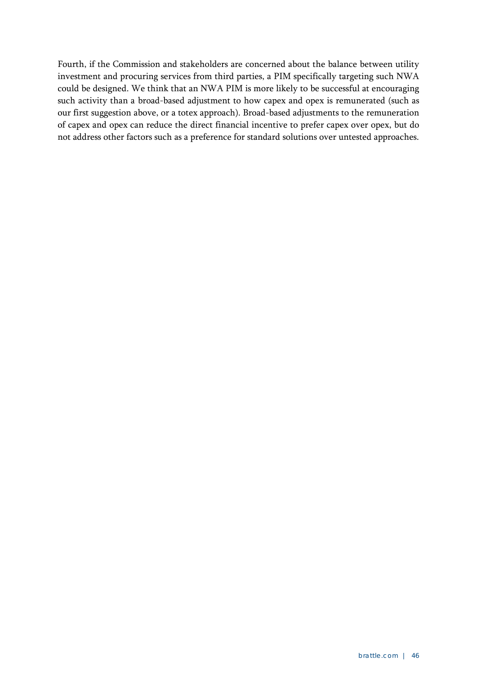Fourth, if the Commission and stakeholders are concerned about the balance between utility investment and procuring services from third parties, a PIM specifically targeting such NWA could be designed. We think that an NWA PIM is more likely to be successful at encouraging such activity than a broad-based adjustment to how capex and opex is remunerated (such as our first suggestion above, or a totex approach). Broad-based adjustments to the remuneration of capex and opex can reduce the direct financial incentive to prefer capex over opex, but do not address other factors such as a preference for standard solutions over untested approaches.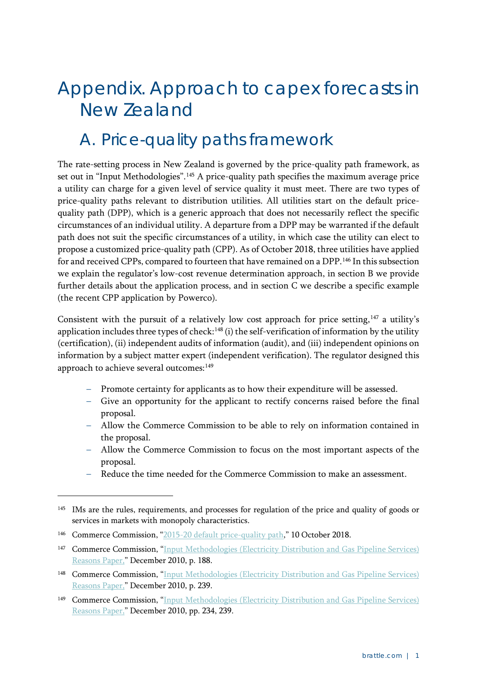## <span id="page-50-0"></span>Appendix. Approach to capex forecasts in New Zealand

### <span id="page-50-1"></span>A. Price-quality paths framework

The rate-setting process in New Zealand is governed by the price-quality path framework, as set out in "Input Methodologies".<sup>[145](#page-50-2)</sup> A price-quality path specifies the maximum average price a utility can charge for a given level of service quality it must meet. There are two types of price-quality paths relevant to distribution utilities. All utilities start on the default pricequality path (DPP), which is a generic approach that does not necessarily reflect the specific circumstances of an individual utility. A departure from a DPP may be warranted if the default path does not suit the specific circumstances of a utility, in which case the utility can elect to propose a customized price-quality path (CPP). As of October 2018, three utilities have applied for and received CPPs, compared to fourteen that have remained on a DPP[.146](#page-50-3) In this subsection we explain the regulator's low-cost revenue determination approach, in section B we provide further details about the application process, and in section C we describe a specific example (the recent CPP application by Powerco).

Consistent with the pursuit of a relatively low cost approach for price setting, $147$  a utility's application includes three types of check:<sup>[148](#page-50-5)</sup> (i) the self-verification of information by the utility (certification), (ii) independent audits of information (audit), and (iii) independent opinions on information by a subject matter expert (independent verification). The regulator designed this approach to achieve several outcomes:<sup>[149](#page-50-6)</sup>

- Promote certainty for applicants as to how their expenditure will be assessed.
- Give an opportunity for the applicant to rectify concerns raised before the final proposal.
- Allow the Commerce Commission to be able to rely on information contained in the proposal.
- Allow the Commerce Commission to focus on the most important aspects of the proposal.
- Reduce the time needed for the Commerce Commission to make an assessment.

<span id="page-50-2"></span><sup>&</sup>lt;sup>145</sup> IMs are the rules, requirements, and processes for regulation of the price and quality of goods or services in markets with monopoly characteristics.

<span id="page-50-3"></span><sup>&</sup>lt;sup>146</sup> Commerce Commission, ["2015-20 default price-quality path,](https://comcom.govt.nz/regulated-industries/electricity-lines/electricity-lines-price-quality-paths/electricity-lines-default-price-quality-path/2015-2020-default-price-quality-path)" 10 October 2018.

<span id="page-50-4"></span><sup>&</sup>lt;sup>147</sup> Commerce Commission, "Input Methodologies (Electricity Distribution and Gas Pipeline Services) [Reasons Paper,](https://comcom.govt.nz/__data/assets/pdf_file/0015/62106/EDB-GPB-Input-Methodologies-Reasons-Paper-Dec-2.pdf)" December 2010, p. 188.

<span id="page-50-5"></span><sup>148</sup> Commerce Commission, "Input Methodologies [\(Electricity Distribution and Gas Pipeline Services\)](https://comcom.govt.nz/__data/assets/pdf_file/0015/62106/EDB-GPB-Input-Methodologies-Reasons-Paper-Dec-2.pdf)  [Reasons Paper,](https://comcom.govt.nz/__data/assets/pdf_file/0015/62106/EDB-GPB-Input-Methodologies-Reasons-Paper-Dec-2.pdf)" December 2010, p. 239.

<span id="page-50-6"></span><sup>149</sup> Commerce Commission, ["Input Methodologies \(Electricity Distribution and Gas Pipeline Services\)](https://comcom.govt.nz/__data/assets/pdf_file/0015/62106/EDB-GPB-Input-Methodologies-Reasons-Paper-Dec-2.pdf)  [Reasons Paper,](https://comcom.govt.nz/__data/assets/pdf_file/0015/62106/EDB-GPB-Input-Methodologies-Reasons-Paper-Dec-2.pdf)" December 2010, pp. 234, 239.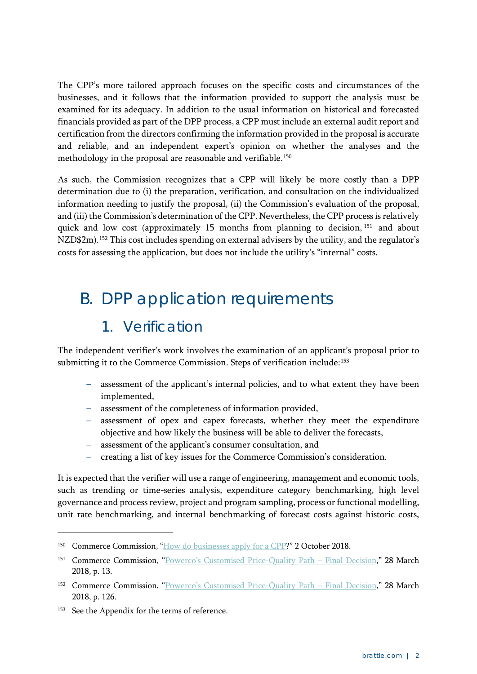The CPP's more tailored approach focuses on the specific costs and circumstances of the businesses, and it follows that the information provided to support the analysis must be examined for its adequacy. In addition to the usual information on historical and forecasted financials provided as part of the DPP process, a CPP must include an external audit report and certification from the directors confirming the information provided in the proposal is accurate and reliable, and an independent expert's opinion on whether the analyses and the methodology in the proposal are reasonable and verifiable.<sup>[150](#page-51-1)</sup>

As such, the Commission recognizes that a CPP will likely be more costly than a DPP determination due to (i) the preparation, verification, and consultation on the individualized information needing to justify the proposal, (ii) the Commission's evaluation of the proposal, and (iii) the Commission's determination of the CPP. Nevertheless, the CPP process is relatively quick and low cost (approximately 15 months from planning to decision, <sup>[151](#page-51-2)</sup> and about NZD\$2m).<sup>[152](#page-51-3)</sup> This cost includes spending on external advisers by the utility, and the regulator's costs for assessing the application, but does not include the utility's "internal" costs.

## <span id="page-51-0"></span>B. DPP application requirements

### 1. Verification

The independent verifier's work involves the examination of an applicant's proposal prior to submitting it to the Commerce Commission. Steps of verification include:<sup>[153](#page-51-4)</sup>

- assessment of the applicant's internal policies, and to what extent they have been implemented,
- assessment of the completeness of information provided,
- assessment of opex and capex forecasts, whether they meet the expenditure objective and how likely the business will be able to deliver the forecasts,
- assessment of the applicant's consumer consultation, and
- creating a list of key issues for the Commerce Commission's consideration.

It is expected that the verifier will use a range of engineering, management and economic tools, such as trending or time-series analysis, expenditure category benchmarking, high level governance and process review, project and program sampling, process or functional modelling, unit rate benchmarking, and internal benchmarking of forecast costs against historic costs,

<span id="page-51-1"></span><sup>&</sup>lt;sup>150</sup> Commerce Commission, ["How do businesses apply for a CPP?](https://comcom.govt.nz/regulated-industries/electricity-lines/electricity-lines-price-quality-paths/electricity-lines-customised-price-quality-path/how-do-businesses-apply-for-a-cpp)" 2 October 2018.

<span id="page-51-2"></span><sup>&</sup>lt;sup>151</sup> Commerce Commission, ["Powerco's Customised Price-Quality Path –](https://comcom.govt.nz/__data/assets/pdf_file/0028/78715/Final-decision-on-Powercos-2018-2023-customised-price-quality-path-28-March-2018.PDF) Final Decision," 28 March 2018, p. 13.

<span id="page-51-3"></span><sup>152</sup> Commerce Commission, ["Powerco's Customised Price-Quality Path –](https://comcom.govt.nz/__data/assets/pdf_file/0028/78715/Final-decision-on-Powercos-2018-2023-customised-price-quality-path-28-March-2018.PDF) Final Decision," 28 March 2018, p. 126.

<span id="page-51-4"></span><sup>&</sup>lt;sup>153</sup> See the Appendix for the terms of reference.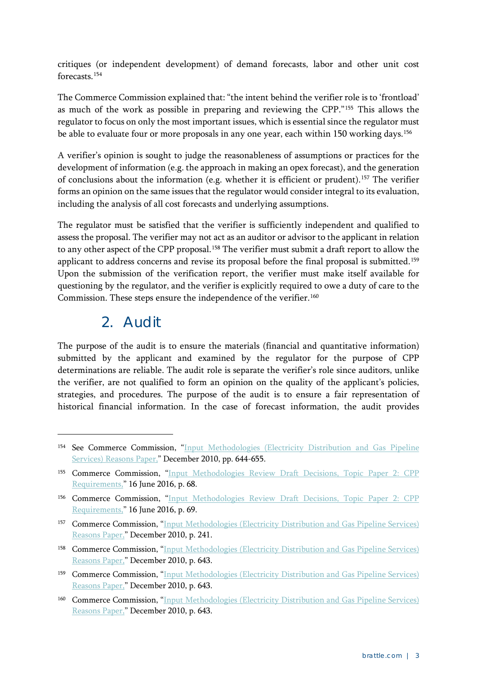critiques (or independent development) of demand forecasts, labor and other unit cost forecasts.[154](#page-52-0)

The Commerce Commission explained that: "the intent behind the verifier role is to 'frontload' as much of the work as possible in preparing and reviewing the CPP."[155](#page-52-1) This allows the regulator to focus on only the most important issues, which is essential since the regulator must be able to evaluate four or more proposals in any one year, each within 150 working days.<sup>[156](#page-52-2)</sup>

A verifier's opinion is sought to judge the reasonableness of assumptions or practices for the development of information (e.g. the approach in making an opex forecast), and the generation of conclusions about the information (e.g. whether it is efficient or prudent).[157](#page-52-3) The verifier forms an opinion on the same issues that the regulator would consider integral to its evaluation, including the analysis of all cost forecasts and underlying assumptions.

The regulator must be satisfied that the verifier is sufficiently independent and qualified to assess the proposal. The verifier may not act as an auditor or advisor to the applicant in relation to any other aspect of the CPP proposal.<sup>158</sup> The verifier must submit a draft report to allow the applicant to address concerns and revise its proposal before the final proposal is submitted.<sup>[159](#page-52-5)</sup> Upon the submission of the verification report, the verifier must make itself available for questioning by the regulator, and the verifier is explicitly required to owe a duty of care to the Commission. These steps ensure the independence of the verifier.<sup>[160](#page-52-6)</sup>

#### 2. Audit

-

The purpose of the audit is to ensure the materials (financial and quantitative information) submitted by the applicant and examined by the regulator for the purpose of CPP determinations are reliable. The audit role is separate the verifier's role since auditors, unlike the verifier, are not qualified to form an opinion on the quality of the applicant's policies, strategies, and procedures. The purpose of the audit is to ensure a fair representation of historical financial information. In the case of forecast information, the audit provides

<span id="page-52-0"></span><sup>&</sup>lt;sup>154</sup> See Commerce Commission, "Input Methodologies (Electricity Distribution and Gas Pipeline [Services\) Reasons Paper,](https://comcom.govt.nz/__data/assets/pdf_file/0015/62106/EDB-GPB-Input-Methodologies-Reasons-Paper-Dec-2.pdf)" December 2010, pp. 644-655.

<span id="page-52-1"></span><sup>155</sup> Commerce Commission, "Input Methodologies Review Draft Decisions, Topic Paper 2: CPP [Requirements,](https://comcom.govt.nz/__data/assets/pdf_file/0020/62408/Input-methodologies-review-draft-decisions-Topic-paper-2-CPP-requirements-16-June-2016.pdf)" 16 June 2016, p. 68.

<span id="page-52-2"></span><sup>156</sup> Commerce Commission, ["Input Methodologies Review Draft Decisions, Topic Paper 2: CPP](https://comcom.govt.nz/__data/assets/pdf_file/0020/62408/Input-methodologies-review-draft-decisions-Topic-paper-2-CPP-requirements-16-June-2016.pdf)  [Requirements,](https://comcom.govt.nz/__data/assets/pdf_file/0020/62408/Input-methodologies-review-draft-decisions-Topic-paper-2-CPP-requirements-16-June-2016.pdf)" 16 June 2016, p. 69.

<span id="page-52-3"></span><sup>157</sup> Commerce Commission, "Input Methodologies (Electricity Distribution and Gas Pipeline Services) [Reasons Paper,](https://comcom.govt.nz/__data/assets/pdf_file/0015/62106/EDB-GPB-Input-Methodologies-Reasons-Paper-Dec-2.pdf)" December 2010, p. 241.

<span id="page-52-4"></span><sup>158</sup> Commerce Commission, "Input Methodologies (Electricity Distribution and Gas Pipeline Services) [Reasons Paper,](https://comcom.govt.nz/__data/assets/pdf_file/0015/62106/EDB-GPB-Input-Methodologies-Reasons-Paper-Dec-2.pdf)" December 2010, p. 643.

<span id="page-52-5"></span><sup>159</sup> Commerce Commission, "Input Methodologies (Electricity Distribution and Gas Pipeline Services) [Reasons Paper,](https://comcom.govt.nz/__data/assets/pdf_file/0015/62106/EDB-GPB-Input-Methodologies-Reasons-Paper-Dec-2.pdf)" December 2010, p. 643.

<span id="page-52-6"></span><sup>160</sup> Commerce Commission, ["Input Methodologies \(Electricity Distribution and Gas Pipeline Services\)](https://comcom.govt.nz/__data/assets/pdf_file/0015/62106/EDB-GPB-Input-Methodologies-Reasons-Paper-Dec-2.pdf)  [Reasons Paper,](https://comcom.govt.nz/__data/assets/pdf_file/0015/62106/EDB-GPB-Input-Methodologies-Reasons-Paper-Dec-2.pdf)" December 2010, p. 643.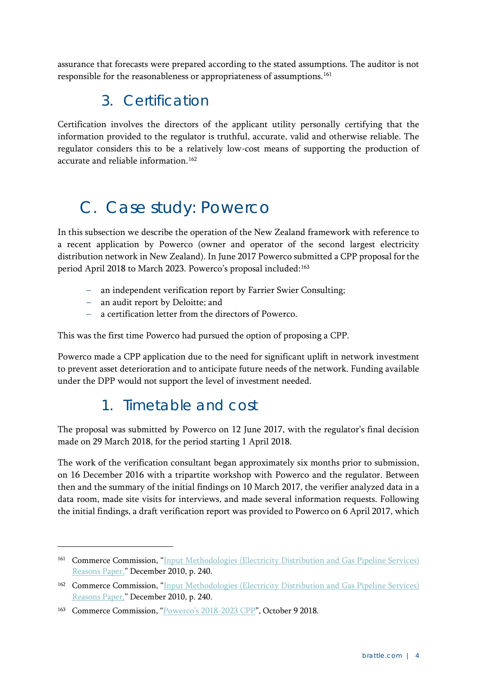assurance that forecasts were prepared according to the stated assumptions. The auditor is not responsible for the reasonableness or appropriateness of assumptions.<sup>[161](#page-53-1)</sup>

#### 3. Certification

Certification involves the directors of the applicant utility personally certifying that the information provided to the regulator is truthful, accurate, valid and otherwise reliable. The regulator considers this to be a relatively low-cost means of supporting the production of accurate and reliable information.<sup>[162](#page-53-2)</sup>

## <span id="page-53-0"></span>C. Case study: Powerco

In this subsection we describe the operation of the New Zealand framework with reference to a recent application by Powerco (owner and operator of the second largest electricity distribution network in New Zealand). In June 2017 Powerco submitted a CPP proposal for the period April 2018 to March 2023. Powerco's proposal included:<sup>[163](#page-53-3)</sup>

- an independent verification report by Farrier Swier Consulting;
- an audit report by Deloitte; and
- a certification letter from the directors of Powerco.

This was the first time Powerco had pursued the option of proposing a CPP.

Powerco made a CPP application due to the need for significant uplift in network investment to prevent asset deterioration and to anticipate future needs of the network. Funding available under the DPP would not support the level of investment needed.

### 1. Timetable and cost

The proposal was submitted by Powerco on 12 June 2017, with the regulator's final decision made on 29 March 2018, for the period starting 1 April 2018.

The work of the verification consultant began approximately six months prior to submission, on 16 December 2016 with a tripartite workshop with Powerco and the regulator. Between then and the summary of the initial findings on 10 March 2017, the verifier analyzed data in a data room, made site visits for interviews, and made several information requests. Following the initial findings, a draft verification report was provided to Powerco on 6 April 2017, which

<span id="page-53-1"></span><sup>161</sup> Commerce Commission, ["Input Methodologies \(Electricity Distribution and Gas Pipeline Services\)](https://comcom.govt.nz/__data/assets/pdf_file/0015/62106/EDB-GPB-Input-Methodologies-Reasons-Paper-Dec-2.pdf)  [Reasons Paper,](https://comcom.govt.nz/__data/assets/pdf_file/0015/62106/EDB-GPB-Input-Methodologies-Reasons-Paper-Dec-2.pdf)" December 2010, p. 240.

<span id="page-53-2"></span><sup>162</sup> Commerce Commission, ["Input Methodologies \(Electricity Distribution and Gas Pipeline Services\)](https://comcom.govt.nz/__data/assets/pdf_file/0015/62106/EDB-GPB-Input-Methodologies-Reasons-Paper-Dec-2.pdf)  [Reasons Paper,](https://comcom.govt.nz/__data/assets/pdf_file/0015/62106/EDB-GPB-Input-Methodologies-Reasons-Paper-Dec-2.pdf)" December 2010, p. 240.

<span id="page-53-3"></span><sup>&</sup>lt;sup>163</sup> Commerce Commission, ["Powerco's 2018-2023 CPP"](https://comcom.govt.nz/regulated-industries/electricity-lines/electricity-lines-price-quality-paths/electricity-lines-customised-price-quality-path/powercos-20182023-cpp), October 9 2018.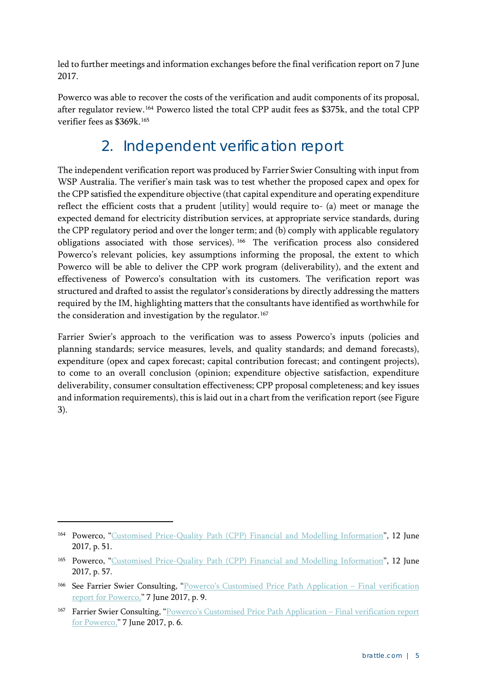led to further meetings and information exchanges before the final verification report on 7 June 2017.

Powerco was able to recover the costs of the verification and audit components of its proposal, after regulator review.[164](#page-54-0) Powerco listed the total CPP audit fees as \$375k, and the total CPP verifier fees as \$369k [165](#page-54-1)

### 2. Independent verification report

The independent verification report was produced by Farrier Swier Consulting with input from WSP Australia. The verifier's main task was to test whether the proposed capex and opex for the CPP satisfied the expenditure objective (that capital expenditure and operating expenditure reflect the efficient costs that a prudent [utility] would require to- (a) meet or manage the expected demand for electricity distribution services, at appropriate service standards, during the CPP regulatory period and over the longer term; and (b) comply with applicable regulatory obligations associated with those services). [166](#page-54-2) The verification process also considered Powerco's relevant policies, key assumptions informing the proposal, the extent to which Powerco will be able to deliver the CPP work program (deliverability), and the extent and effectiveness of Powerco's consultation with its customers. The verification report was structured and drafted to assist the regulator's considerations by directly addressing the matters required by the IM, highlighting matters that the consultants have identified as worthwhile for the consideration and investigation by the regulator.<sup>[167](#page-54-3)</sup>

Farrier Swier's approach to the verification was to assess Powerco's inputs (policies and planning standards; service measures, levels, and quality standards; and demand forecasts), expenditure (opex and capex forecast; capital contribution forecast; and contingent projects), to come to an overall conclusion (opinion; expenditure objective satisfaction, expenditure deliverability, consumer consultation effectiveness; CPP proposal completeness; and key issues and information requirements), this is laid out in a chart from the verification report (se[e Figure](#page-55-0)  [3\)](#page-55-0).

<span id="page-54-0"></span><sup>&</sup>lt;sup>164</sup> Powerco, ["Customised Price-Quality Path \(CPP\) Financial and Modelling Information"](http://www.yourenergyfuture.co.nz/wp-content/uploads/04.04.01-Financial-and-Modelling-Information-P1.pdf), 12 June 2017, p. 51.

<span id="page-54-1"></span><sup>&</sup>lt;sup>165</sup> Powerco, ["Customised Price-Quality Path \(CPP\) Financial and Modelling Information"](http://www.yourenergyfuture.co.nz/wp-content/uploads/04.04.01-Financial-and-Modelling-Information-P1.pdf), 12 June 2017, p. 57.

<span id="page-54-2"></span><sup>166</sup> See Farrier Swier Consulting, ["Powerco's Customised Price Path Application –](https://comcom.govt.nz/__data/assets/pdf_file/0026/61595/Farrier-Swier-final-verification-report-Powerco-CPP-12-June-2017-.pdf) Final verification [report for Powerco,](https://comcom.govt.nz/__data/assets/pdf_file/0026/61595/Farrier-Swier-final-verification-report-Powerco-CPP-12-June-2017-.pdf)" 7 June 2017, p. 9.

<span id="page-54-3"></span><sup>167</sup> Farrier Swier Consulting, ["Powerco's Customised Price Path Application –](https://comcom.govt.nz/__data/assets/pdf_file/0026/61595/Farrier-Swier-final-verification-report-Powerco-CPP-12-June-2017-.pdf) Final verification report [for Powerco,](https://comcom.govt.nz/__data/assets/pdf_file/0026/61595/Farrier-Swier-final-verification-report-Powerco-CPP-12-June-2017-.pdf)" 7 June 2017, p. 6.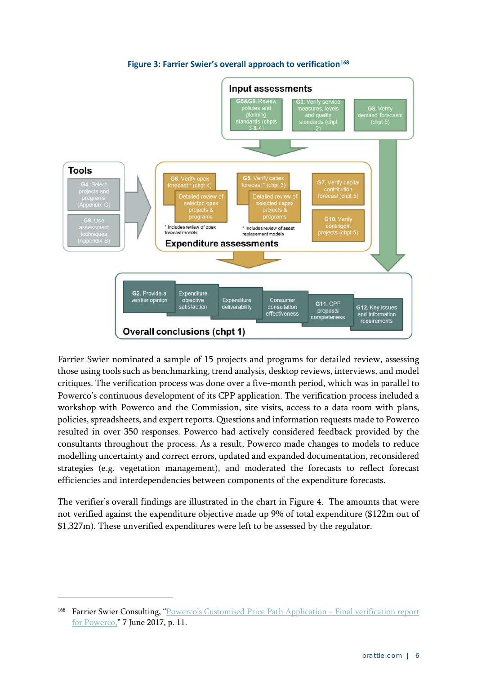<span id="page-55-0"></span>

#### **Figure 3: Farrier Swier's overall approach to verification**[168](#page-55-1)

Farrier Swier nominated a sample of 15 projects and programs for detailed review, assessing those using tools such as benchmarking, trend analysis, desktop reviews, interviews, and model critiques. The verification process was done over a five-month period, which was in parallel to Powerco's continuous development of its CPP application. The verification process included a workshop with Powerco and the Commission, site visits, access to a data room with plans, policies, spreadsheets, and expert reports. Questions and information requests made to Powerco resulted in over 350 responses. Powerco had actively considered feedback provided by the consultants throughout the process. As a result, Powerco made changes to models to reduce modelling uncertainty and correct errors, updated and expanded documentation, reconsidered strategies (e.g. vegetation management), and moderated the forecasts to reflect forecast efficiencies and interdependencies between components of the expenditure forecasts.

The verifier's overall findings are illustrated in the chart in [Figure 4.](#page-56-0) The amounts that were not verified against the expenditure objective made up 9% of total expenditure (\$122m out of \$1,327m). These unverified expenditures were left to be assessed by the regulator.

<span id="page-55-1"></span><sup>168</sup> Farrier Swier Consulting, ["Powerco's Customised Price Path Application –](https://comcom.govt.nz/__data/assets/pdf_file/0026/61595/Farrier-Swier-final-verification-report-Powerco-CPP-12-June-2017-.pdf) Final verification report [for Powerco,](https://comcom.govt.nz/__data/assets/pdf_file/0026/61595/Farrier-Swier-final-verification-report-Powerco-CPP-12-June-2017-.pdf)" 7 June 2017, p. 11.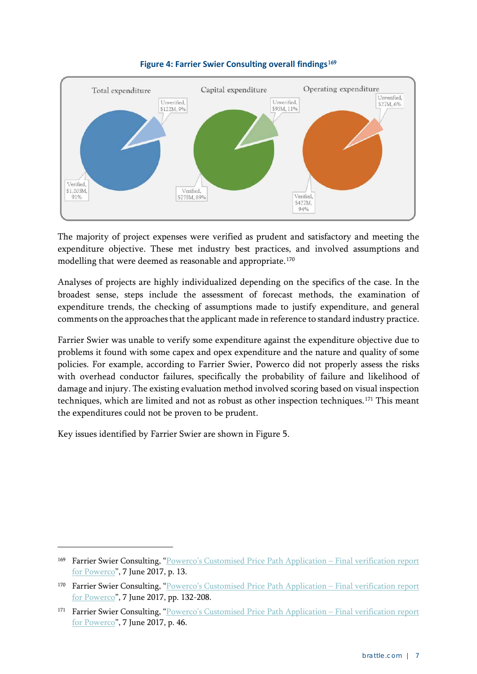<span id="page-56-0"></span>

#### **Figure 4: Farrier Swier Consulting overall findings**[169](#page-56-1)

The majority of project expenses were verified as prudent and satisfactory and meeting the expenditure objective. These met industry best practices, and involved assumptions and modelling that were deemed as reasonable and appropriate.<sup>[170](#page-56-2)</sup>

Analyses of projects are highly individualized depending on the specifics of the case. In the broadest sense, steps include the assessment of forecast methods, the examination of expenditure trends, the checking of assumptions made to justify expenditure, and general comments on the approaches that the applicant made in reference to standard industry practice.

Farrier Swier was unable to verify some expenditure against the expenditure objective due to problems it found with some capex and opex expenditure and the nature and quality of some policies. For example, according to Farrier Swier, Powerco did not properly assess the risks with overhead conductor failures, specifically the probability of failure and likelihood of damage and injury. The existing evaluation method involved scoring based on visual inspection techniques, which are limited and not as robust as other inspection techniques.<sup>[171](#page-56-3)</sup> This meant the expenditures could not be proven to be prudent.

Key issues identified by Farrier Swier are shown in [Figure 5.](#page-57-0)

<span id="page-56-1"></span><sup>169</sup> Farrier Swier Consulting, ["Powerco's Customised Price Path Application –](https://comcom.govt.nz/__data/assets/pdf_file/0026/61595/Farrier-Swier-final-verification-report-Powerco-CPP-12-June-2017-.pdf) Final verification report [for Powerco"](https://comcom.govt.nz/__data/assets/pdf_file/0026/61595/Farrier-Swier-final-verification-report-Powerco-CPP-12-June-2017-.pdf), 7 June 2017, p. 13.

<span id="page-56-2"></span><sup>170</sup> Farrier Swier Consulting, ["Powerco's Customised Price Path Application –](https://comcom.govt.nz/__data/assets/pdf_file/0026/61595/Farrier-Swier-final-verification-report-Powerco-CPP-12-June-2017-.pdf) Final verification report [for Powerco"](https://comcom.govt.nz/__data/assets/pdf_file/0026/61595/Farrier-Swier-final-verification-report-Powerco-CPP-12-June-2017-.pdf), 7 June 2017, pp. 132-208.

<span id="page-56-3"></span><sup>171</sup> Farrier Swier Consulting, ["Powerco's Customised Price Path Application –](https://comcom.govt.nz/__data/assets/pdf_file/0026/61595/Farrier-Swier-final-verification-report-Powerco-CPP-12-June-2017-.pdf) Final verification report [for Powerco"](https://comcom.govt.nz/__data/assets/pdf_file/0026/61595/Farrier-Swier-final-verification-report-Powerco-CPP-12-June-2017-.pdf), 7 June 2017, p. 46.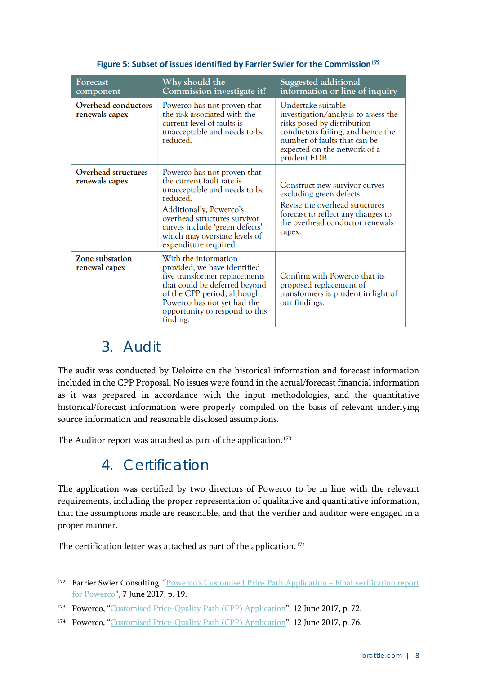<span id="page-57-0"></span>

| Forecast                                     | Why should the                                                                                                                                                                                                                                              | Suggested additional                                                                                                                                                                                           |
|----------------------------------------------|-------------------------------------------------------------------------------------------------------------------------------------------------------------------------------------------------------------------------------------------------------------|----------------------------------------------------------------------------------------------------------------------------------------------------------------------------------------------------------------|
| component                                    | Commission investigate it?                                                                                                                                                                                                                                  | information or line of inquiry                                                                                                                                                                                 |
| Overhead conductors<br>renewals capex        | Powerco has not proven that<br>the risk associated with the<br>current level of faults is<br>unacceptable and needs to be<br>reduced.                                                                                                                       | Undertake suitable<br>investigation/analysis to assess the<br>risks posed by distribution<br>conductors failing, and hence the<br>number of faults that can be<br>expected on the network of a<br>prudent EDB. |
| <b>Overhead structures</b><br>renewals capex | Powerco has not proven that<br>the current fault rate is<br>unacceptable and needs to be<br>reduced.<br>Additionally, Powerco's<br>overhead structures survivor<br>curves include 'green defects'<br>which may overstate levels of<br>expenditure required. | Construct new survivor curves<br>excluding green defects.<br>Revise the overhead structures<br>forecast to reflect any changes to<br>the overhead conductor renewals<br>capex.                                 |
| Zone substation<br>renewal capex             | With the information<br>provided, we have identified<br>five transformer replacements<br>that could be deferred beyond<br>of the CPP period, although<br>Powerco has not yet had the<br>opportunity to respond to this<br>finding.                          | Confirm with Powerco that its<br>proposed replacement of<br>transformers is prudent in light of<br>our findings.                                                                                               |

#### **Figure 5: Subset of issues identified by Farrier Swier for the Commission**[172](#page-57-1)

#### 3. Audit

-

The audit was conducted by Deloitte on the historical information and forecast information included in the CPP Proposal. No issues were found in the actual/forecast financial information as it was prepared in accordance with the input methodologies, and the quantitative historical/forecast information were properly compiled on the basis of relevant underlying source information and reasonable disclosed assumptions.

The Auditor report was attached as part of the application.<sup>[173](#page-57-2)</sup>

#### 4. Certification

The application was certified by two directors of Powerco to be in line with the relevant requirements, including the proper representation of qualitative and quantitative information, that the assumptions made are reasonable, and that the verifier and auditor were engaged in a proper manner.

The certification letter was attached as part of the application.<sup>[174](#page-57-3)</sup>

<span id="page-57-1"></span><sup>172</sup> Farrier Swier Consulting, ["Powerco's Customised Price Path Application –](https://comcom.govt.nz/__data/assets/pdf_file/0026/61595/Farrier-Swier-final-verification-report-Powerco-CPP-12-June-2017-.pdf) Final verification report [for Powerco"](https://comcom.govt.nz/__data/assets/pdf_file/0026/61595/Farrier-Swier-final-verification-report-Powerco-CPP-12-June-2017-.pdf), 7 June 2017, p. 19.

<span id="page-57-2"></span><sup>&</sup>lt;sup>173</sup> Powerco, ["Customised Price-Quality Path \(CPP\) Application"](https://comcom.govt.nz/__data/assets/pdf_file/0023/61592/CPP-application-Powerco-CPP-12-June-2017.pdf), 12 June 2017, p. 72.

<span id="page-57-3"></span><sup>&</sup>lt;sup>174</sup> Powerco, ["Customised Price-Quality Path \(CPP\) Application"](https://comcom.govt.nz/__data/assets/pdf_file/0023/61592/CPP-application-Powerco-CPP-12-June-2017.pdf), 12 June 2017, p. 76.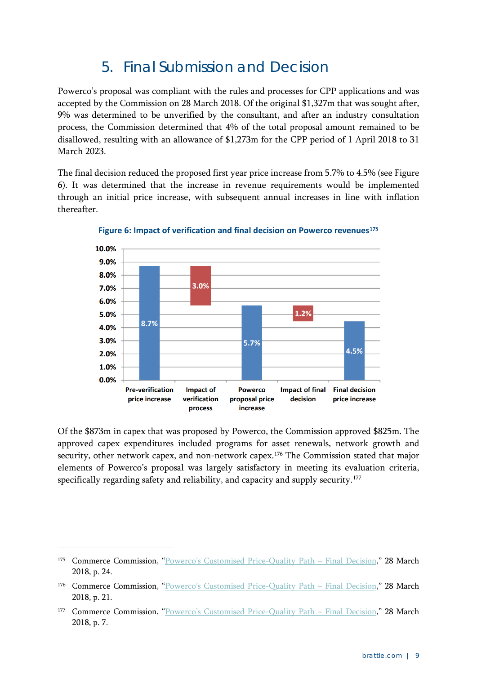### 5. Final Submission and Decision

Powerco's proposal was compliant with the rules and processes for CPP applications and was accepted by the Commission on 28 March 2018. Of the original \$1,327m that was sought after, 9% was determined to be unverified by the consultant, and after an industry consultation process, the Commission determined that 4% of the total proposal amount remained to be disallowed, resulting with an allowance of \$1,273m for the CPP period of 1 April 2018 to 31 March 2023.

The final decision reduced the proposed first year price increase from 5.7% to 4.5% (see [Figure](#page-58-0)  [6\)](#page-58-0). It was determined that the increase in revenue requirements would be implemented through an initial price increase, with subsequent annual increases in line with inflation thereafter.

<span id="page-58-0"></span>

**Figure 6: Impact of verification and final decision on Powerco revenues**[175](#page-58-1)

Of the \$873m in capex that was proposed by Powerco, the Commission approved \$825m. The approved capex expenditures included programs for asset renewals, network growth and security, other network capex, and non-network capex.<sup>176</sup> The Commission stated that major elements of Powerco's proposal was largely satisfactory in meeting its evaluation criteria, specifically regarding safety and reliability, and capacity and supply security.<sup>[177](#page-58-3)</sup>

<span id="page-58-1"></span><sup>175</sup> Commerce Commission, ["Powerco's Customised Price-Quality Path –](https://comcom.govt.nz/__data/assets/pdf_file/0028/78715/Final-decision-on-Powercos-2018-2023-customised-price-quality-path-28-March-2018.PDF) Final Decision," 28 March 2018, p. 24.

<span id="page-58-2"></span><sup>176</sup> Commerce Commission, ["Powerco's Customised Price-Quality Path –](https://comcom.govt.nz/__data/assets/pdf_file/0028/78715/Final-decision-on-Powercos-2018-2023-customised-price-quality-path-28-March-2018.PDF) Final Decision," 28 March 2018, p. 21.

<span id="page-58-3"></span><sup>177</sup> Commerce Commission, ["Powerco's Customised Price-Quality Path –](https://comcom.govt.nz/__data/assets/pdf_file/0028/78715/Final-decision-on-Powercos-2018-2023-customised-price-quality-path-28-March-2018.PDF) Final Decision," 28 March 2018, p. 7.